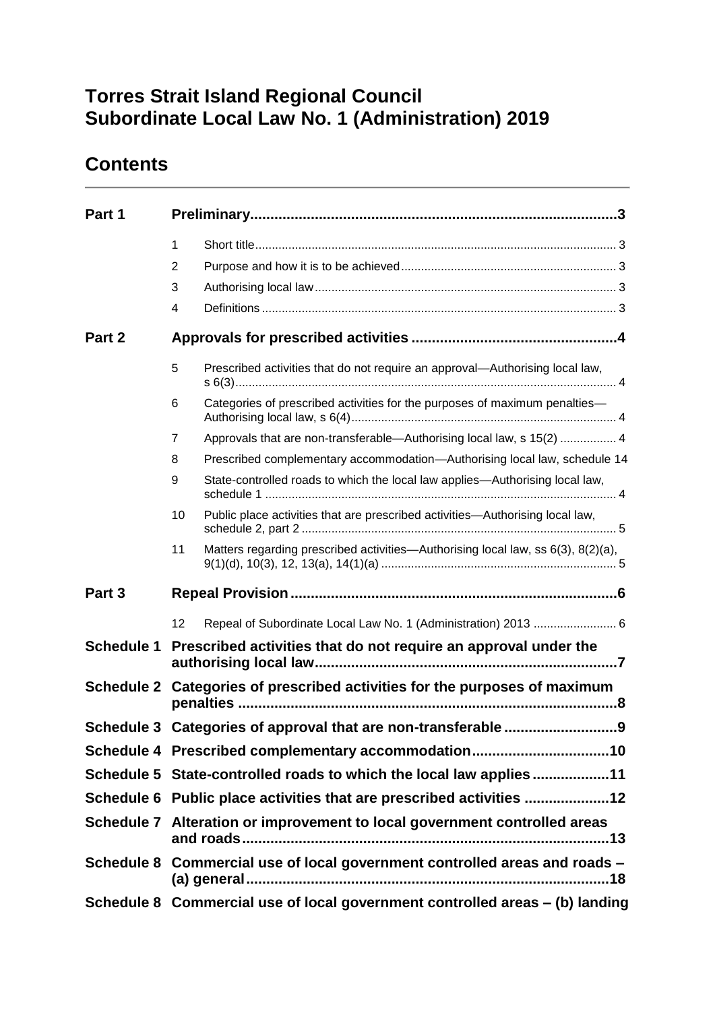# **Torres Strait Island Regional Council Subordinate Local Law No. 1 (Administration) 2019**

## **Contents**

| Part 1            |                                                                              |                                                                                  |  |
|-------------------|------------------------------------------------------------------------------|----------------------------------------------------------------------------------|--|
|                   | $\mathbf{1}$                                                                 |                                                                                  |  |
|                   | 2                                                                            |                                                                                  |  |
|                   | 3                                                                            |                                                                                  |  |
|                   | 4                                                                            |                                                                                  |  |
| Part 2            |                                                                              |                                                                                  |  |
|                   | 5                                                                            | Prescribed activities that do not require an approval—Authorising local law,     |  |
|                   | 6                                                                            | Categories of prescribed activities for the purposes of maximum penalties-       |  |
|                   | 7                                                                            | Approvals that are non-transferable-Authorising local law, s 15(2)  4            |  |
|                   | 8                                                                            | Prescribed complementary accommodation—Authorising local law, schedule 14        |  |
|                   | 9                                                                            | State-controlled roads to which the local law applies—Authorising local law,     |  |
|                   | 10                                                                           | Public place activities that are prescribed activities-Authorising local law,    |  |
|                   | 11                                                                           | Matters regarding prescribed activities—Authorising local law, ss 6(3), 8(2)(a), |  |
| Part <sub>3</sub> |                                                                              |                                                                                  |  |
|                   | 12                                                                           | Repeal of Subordinate Local Law No. 1 (Administration) 2013  6                   |  |
| <b>Schedule 1</b> |                                                                              | Prescribed activities that do not require an approval under the                  |  |
| <b>Schedule 2</b> | Categories of prescribed activities for the purposes of maximum              |                                                                                  |  |
|                   | Schedule 3 Categories of approval that are non-transferable 9                |                                                                                  |  |
|                   | Schedule 4 Prescribed complementary accommodation10                          |                                                                                  |  |
|                   | Schedule 5 State-controlled roads to which the local law applies11           |                                                                                  |  |
|                   | Schedule 6 Public place activities that are prescribed activities 12         |                                                                                  |  |
|                   | Schedule 7 Alteration or improvement to local government controlled areas    |                                                                                  |  |
|                   | Schedule 8 Commercial use of local government controlled areas and roads -   |                                                                                  |  |
|                   | Schedule 8 Commercial use of local government controlled areas - (b) landing |                                                                                  |  |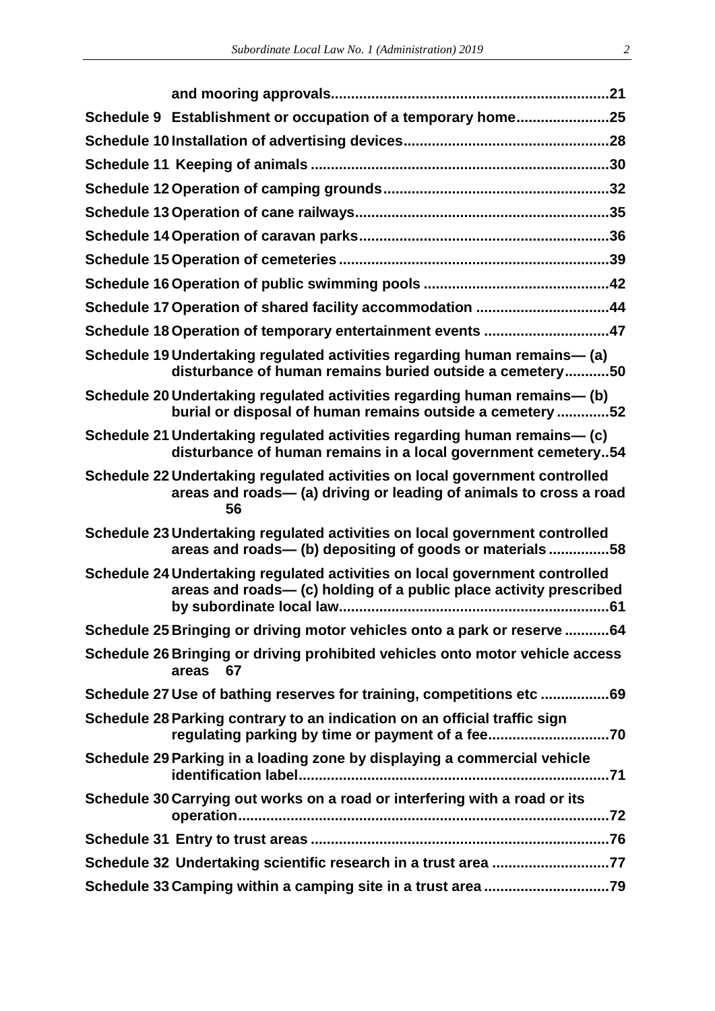| Schedule 9 Establishment or occupation of a temporary home25                                                                                            |  |
|---------------------------------------------------------------------------------------------------------------------------------------------------------|--|
|                                                                                                                                                         |  |
|                                                                                                                                                         |  |
|                                                                                                                                                         |  |
|                                                                                                                                                         |  |
|                                                                                                                                                         |  |
|                                                                                                                                                         |  |
|                                                                                                                                                         |  |
| Schedule 17 Operation of shared facility accommodation 44                                                                                               |  |
| Schedule 18 Operation of temporary entertainment events 47                                                                                              |  |
| Schedule 19 Undertaking regulated activities regarding human remains— (a)<br>disturbance of human remains buried outside a cemetery50                   |  |
| Schedule 20 Undertaking regulated activities regarding human remains— (b)<br>burial or disposal of human remains outside a cemetery 52                  |  |
| Schedule 21 Undertaking regulated activities regarding human remains— (c)<br>disturbance of human remains in a local government cemetery54              |  |
| Schedule 22 Undertaking regulated activities on local government controlled<br>areas and roads- (a) driving or leading of animals to cross a road<br>56 |  |
| Schedule 23 Undertaking regulated activities on local government controlled<br>areas and roads- (b) depositing of goods or materials58                  |  |
| Schedule 24 Undertaking regulated activities on local government controlled<br>areas and roads— (c) holding of a public place activity prescribed       |  |
| Schedule 25 Bringing or driving motor vehicles onto a park or reserve 64                                                                                |  |
| Schedule 26 Bringing or driving prohibited vehicles onto motor vehicle access<br>areas 67                                                               |  |
| Schedule 27 Use of bathing reserves for training, competitions etc69                                                                                    |  |
| Schedule 28 Parking contrary to an indication on an official traffic sign                                                                               |  |
| Schedule 29 Parking in a loading zone by displaying a commercial vehicle                                                                                |  |
| Schedule 30 Carrying out works on a road or interfering with a road or its                                                                              |  |
|                                                                                                                                                         |  |
| Schedule 32 Undertaking scientific research in a trust area 77                                                                                          |  |
|                                                                                                                                                         |  |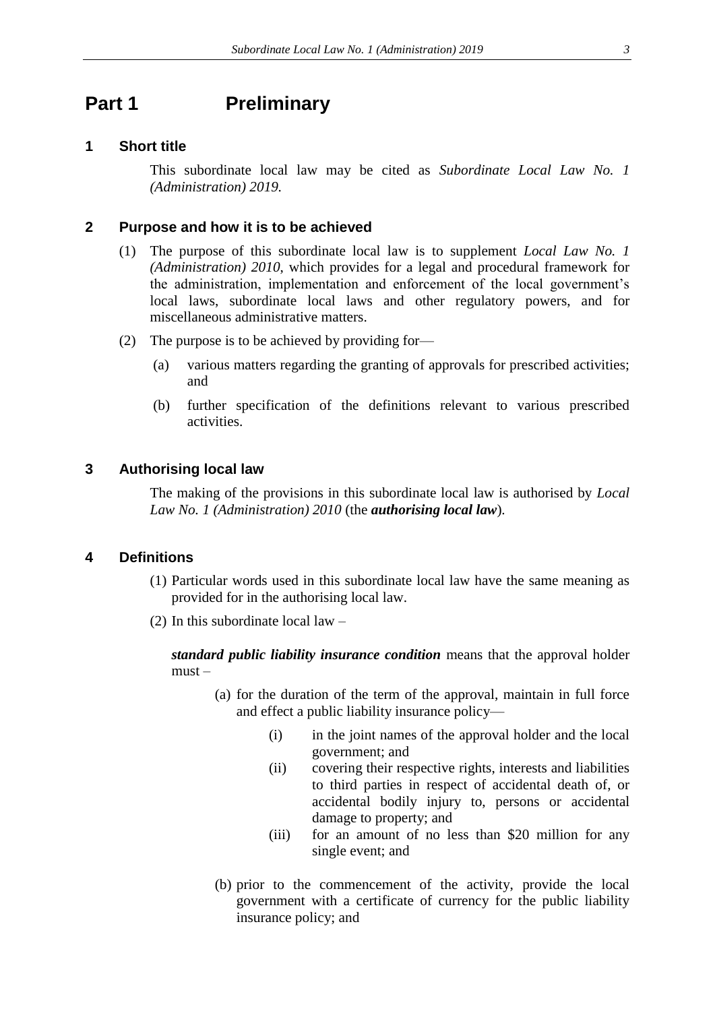## <span id="page-2-0"></span>**Part 1 Preliminary**

#### <span id="page-2-1"></span>**1 Short title**

This subordinate local law may be cited as *Subordinate Local Law No. 1 (Administration) 2019.*

#### <span id="page-2-2"></span>**2 Purpose and how it is to be achieved**

- (1) The purpose of this subordinate local law is to supplement *Local Law No. 1 (Administration) 2010*, which provides for a legal and procedural framework for the administration, implementation and enforcement of the local government's local laws, subordinate local laws and other regulatory powers, and for miscellaneous administrative matters.
- (2) The purpose is to be achieved by providing for—
	- (a) various matters regarding the granting of approvals for prescribed activities; and
	- (b) further specification of the definitions relevant to various prescribed activities.

#### <span id="page-2-3"></span>**3 Authorising local law**

The making of the provisions in this subordinate local law is authorised by *Local Law No. 1 (Administration) 2010* (the *authorising local law*)*.*

#### <span id="page-2-4"></span>**4 Definitions**

- (1) Particular words used in this subordinate local law have the same meaning as provided for in the authorising local law.
- (2) In this subordinate local law –

*standard public liability insurance condition* means that the approval holder must –

- (a) for the duration of the term of the approval, maintain in full force and effect a public liability insurance policy—
	- (i) in the joint names of the approval holder and the local government; and
	- (ii) covering their respective rights, interests and liabilities to third parties in respect of accidental death of, or accidental bodily injury to, persons or accidental damage to property; and
	- (iii) for an amount of no less than \$20 million for any single event; and
- (b) prior to the commencement of the activity, provide the local government with a certificate of currency for the public liability insurance policy; and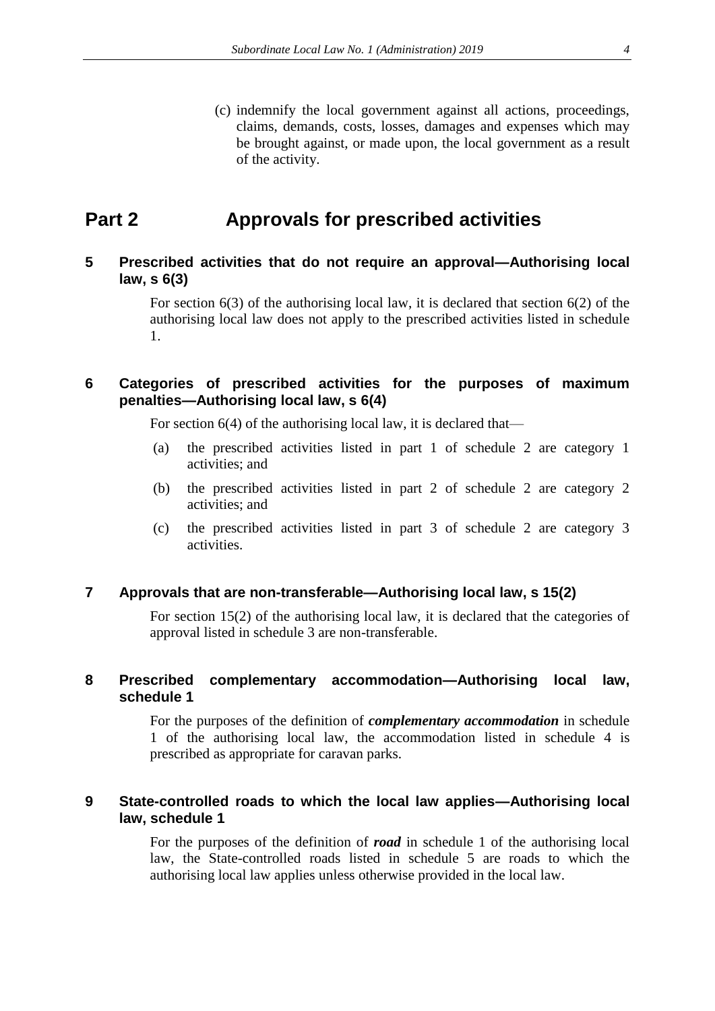(c) indemnify the local government against all actions, proceedings, claims, demands, costs, losses, damages and expenses which may be brought against, or made upon, the local government as a result of the activity.

## <span id="page-3-0"></span>**Part 2 Approvals for prescribed activities**

## <span id="page-3-1"></span>**5 Prescribed activities that do not require an approval—Authorising local law, s 6(3)**

For section 6(3) of the authorising local law, it is declared that section 6(2) of the authorising local law does not apply to the prescribed activities listed in schedule 1.

### <span id="page-3-2"></span>**6 Categories of prescribed activities for the purposes of maximum penalties—Authorising local law, s 6(4)**

For section 6(4) of the authorising local law, it is declared that—

- (a) the prescribed activities listed in part 1 of schedule 2 are category 1 activities; and
- (b) the prescribed activities listed in part 2 of schedule 2 are category 2 activities; and
- (c) the prescribed activities listed in part 3 of schedule 2 are category 3 activities.

#### <span id="page-3-3"></span>**7 Approvals that are non-transferable—Authorising local law, s 15(2)**

For section 15(2) of the authorising local law, it is declared that the categories of approval listed in schedule 3 are non-transferable.

#### <span id="page-3-4"></span>**8 Prescribed complementary accommodation—Authorising local law, schedule 1**

For the purposes of the definition of *complementary accommodation* in schedule 1 of the authorising local law, the accommodation listed in schedule 4 is prescribed as appropriate for caravan parks.

#### <span id="page-3-5"></span>**9 State-controlled roads to which the local law applies—Authorising local law, schedule 1**

For the purposes of the definition of *road* in schedule 1 of the authorising local law, the State-controlled roads listed in schedule 5 are roads to which the authorising local law applies unless otherwise provided in the local law.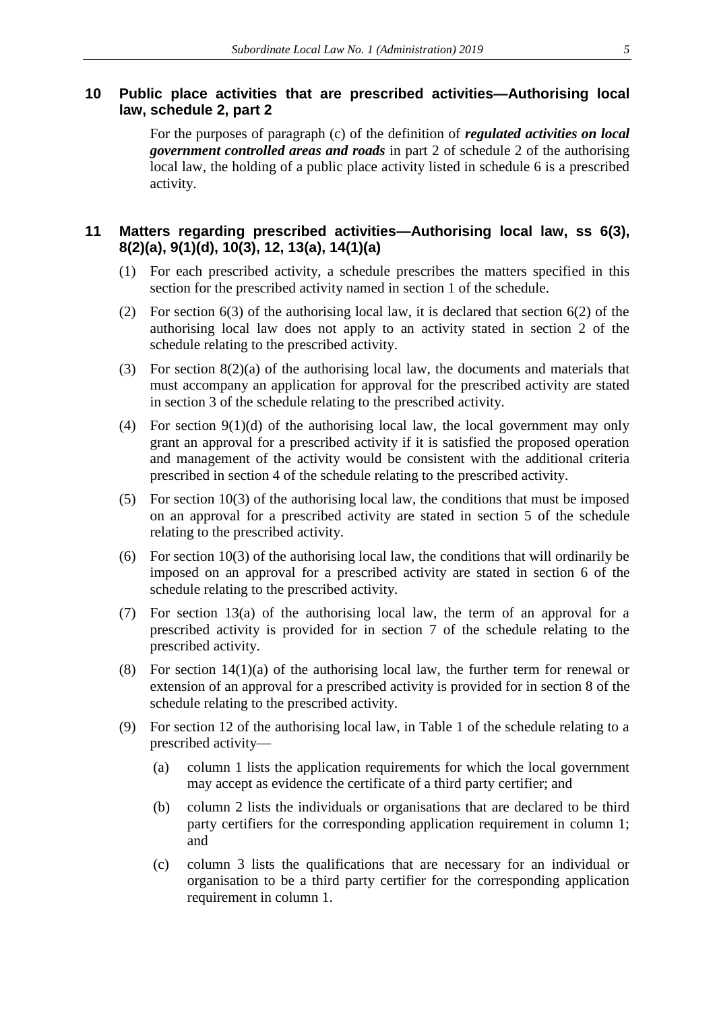### <span id="page-4-0"></span>**10 Public place activities that are prescribed activities—Authorising local law, schedule 2, part 2**

For the purposes of paragraph (c) of the definition of *regulated activities on local government controlled areas and roads* in part 2 of schedule 2 of the authorising local law, the holding of a public place activity listed in schedule 6 is a prescribed activity.

### <span id="page-4-1"></span>**11 Matters regarding prescribed activities—Authorising local law, ss 6(3), 8(2)(a), 9(1)(d), 10(3), 12, 13(a), 14(1)(a)**

- (1) For each prescribed activity, a schedule prescribes the matters specified in this section for the prescribed activity named in section 1 of the schedule.
- (2) For section 6(3) of the authorising local law, it is declared that section 6(2) of the authorising local law does not apply to an activity stated in section 2 of the schedule relating to the prescribed activity.
- (3) For section 8(2)(a) of the authorising local law, the documents and materials that must accompany an application for approval for the prescribed activity are stated in section 3 of the schedule relating to the prescribed activity.
- (4) For section  $9(1)(d)$  of the authorising local law, the local government may only grant an approval for a prescribed activity if it is satisfied the proposed operation and management of the activity would be consistent with the additional criteria prescribed in section 4 of the schedule relating to the prescribed activity.
- (5) For section 10(3) of the authorising local law, the conditions that must be imposed on an approval for a prescribed activity are stated in section 5 of the schedule relating to the prescribed activity.
- (6) For section 10(3) of the authorising local law, the conditions that will ordinarily be imposed on an approval for a prescribed activity are stated in section 6 of the schedule relating to the prescribed activity.
- (7) For section 13(a) of the authorising local law, the term of an approval for a prescribed activity is provided for in section 7 of the schedule relating to the prescribed activity.
- (8) For section 14(1)(a) of the authorising local law, the further term for renewal or extension of an approval for a prescribed activity is provided for in section 8 of the schedule relating to the prescribed activity.
- (9) For section 12 of the authorising local law, in Table 1 of the schedule relating to a prescribed activity—
	- (a) column 1 lists the application requirements for which the local government may accept as evidence the certificate of a third party certifier; and
	- (b) column 2 lists the individuals or organisations that are declared to be third party certifiers for the corresponding application requirement in column 1; and
	- (c) column 3 lists the qualifications that are necessary for an individual or organisation to be a third party certifier for the corresponding application requirement in column 1.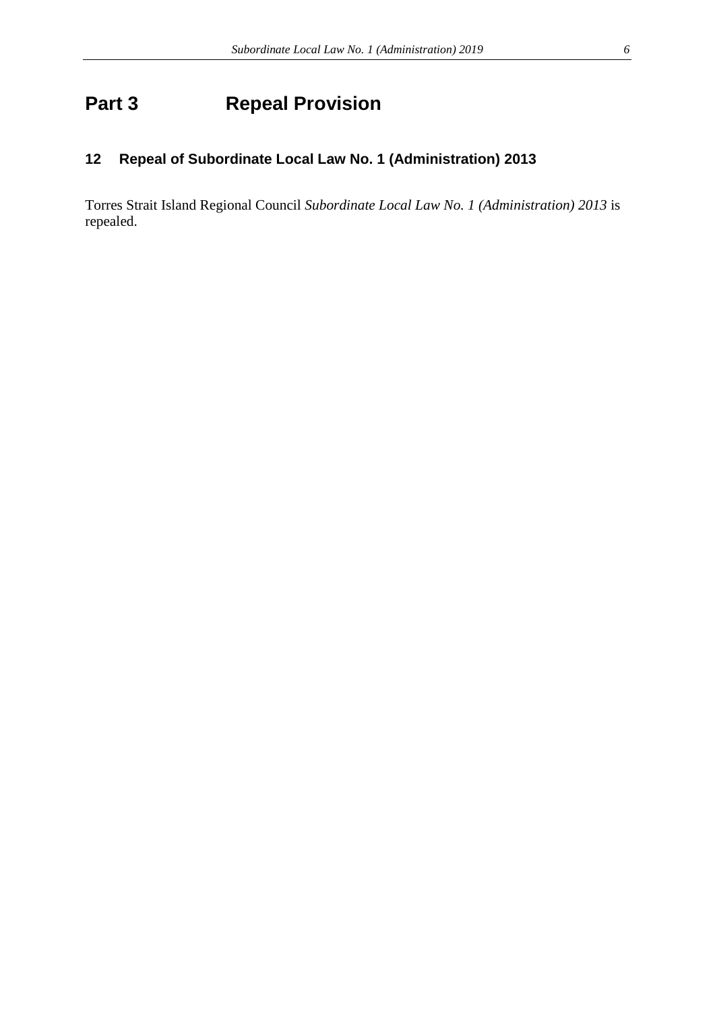# <span id="page-5-0"></span>**Part 3 Repeal Provision**

## <span id="page-5-1"></span>**12 Repeal of Subordinate Local Law No. 1 (Administration) 2013**

Torres Strait Island Regional Council *Subordinate Local Law No. 1 (Administration) 2013* is repealed.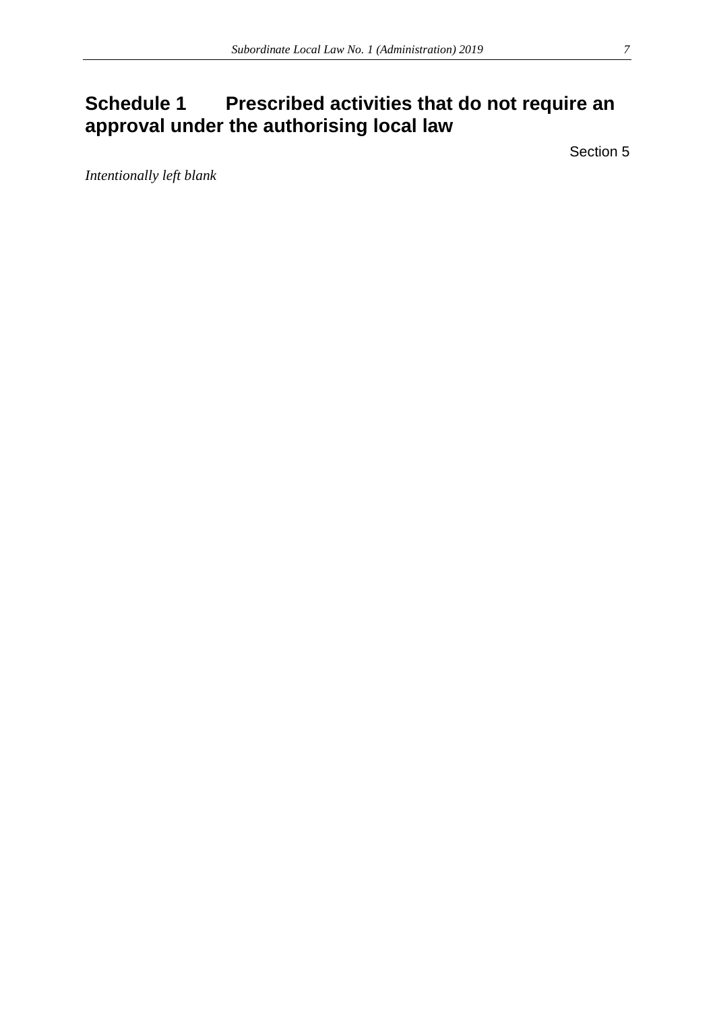# <span id="page-6-0"></span>**Schedule 1 Prescribed activities that do not require an approval under the authorising local law**

Section 5

*Intentionally left blank*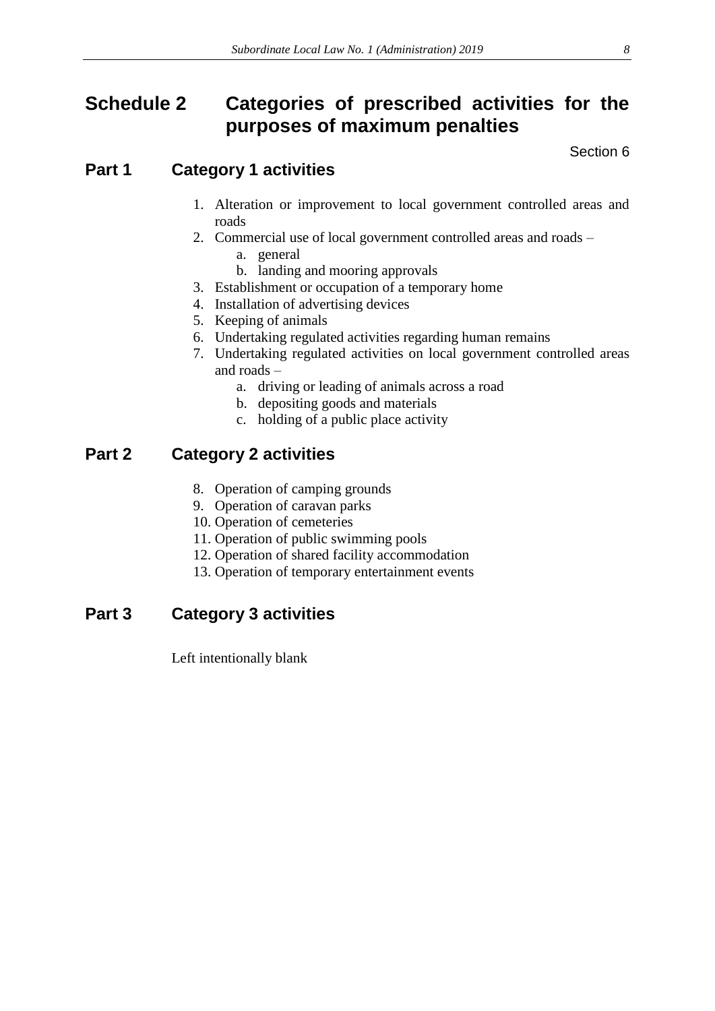# <span id="page-7-0"></span>**Schedule 2 Categories of prescribed activities for the purposes of maximum penalties**

Section 6

## **Part 1 Category 1 activities**

- 1. Alteration or improvement to local government controlled areas and roads
- 2. Commercial use of local government controlled areas and roads
	- a. general
	- b. landing and mooring approvals
- 3. Establishment or occupation of a temporary home
- 4. Installation of advertising devices
- 5. Keeping of animals
- 6. Undertaking regulated activities regarding human remains
- 7. Undertaking regulated activities on local government controlled areas and roads –
	- a. driving or leading of animals across a road
	- b. depositing goods and materials
	- c. holding of a public place activity

## **Part 2 Category 2 activities**

- 8. Operation of camping grounds
- 9. Operation of caravan parks
- 10. Operation of cemeteries
- 11. Operation of public swimming pools
- 12. Operation of shared facility accommodation
- 13. Operation of temporary entertainment events

## **Part 3 Category 3 activities**

Left intentionally blank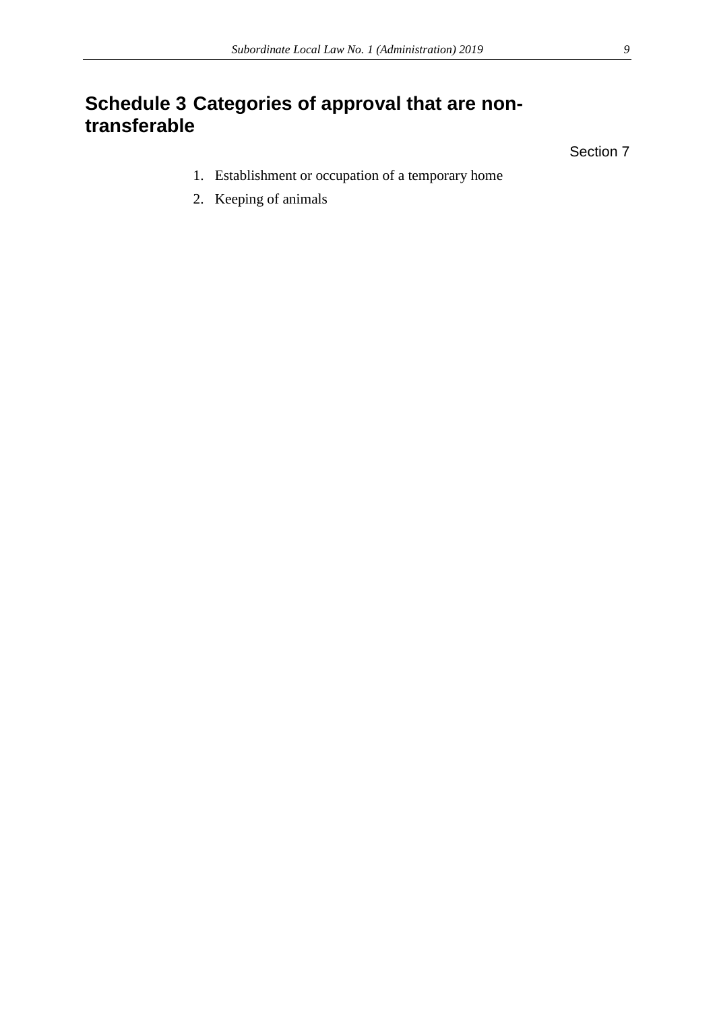# <span id="page-8-0"></span>**Schedule 3 Categories of approval that are nontransferable**

Section 7

- 1. Establishment or occupation of a temporary home
- 2. Keeping of animals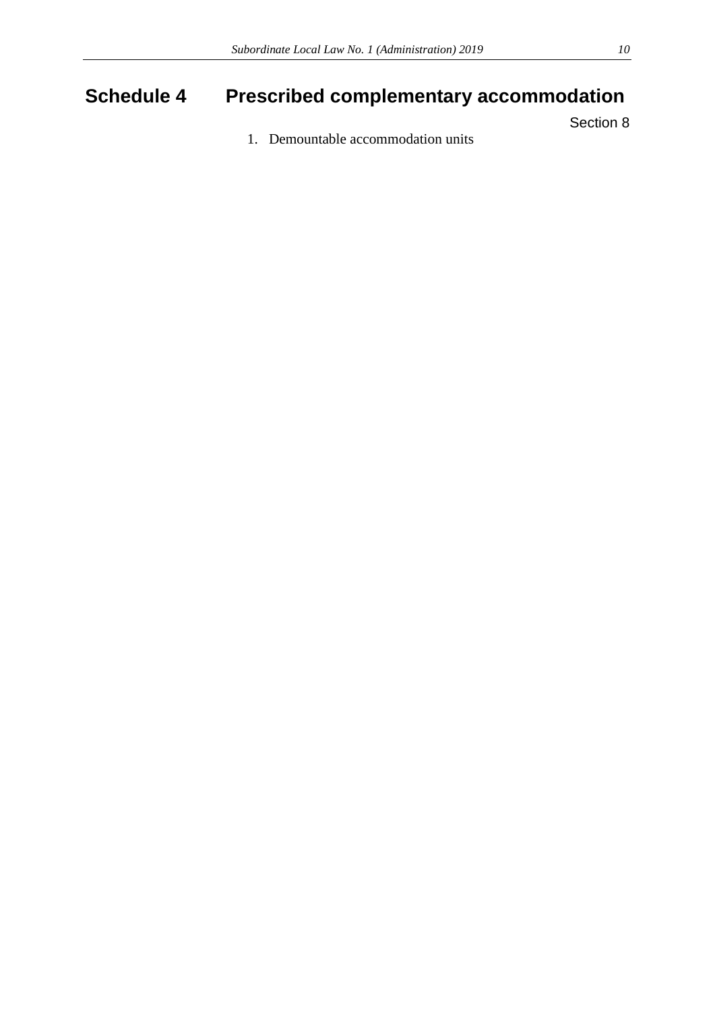# <span id="page-9-0"></span>**Schedule 4 Prescribed complementary accommodation**

Section 8

1. Demountable accommodation units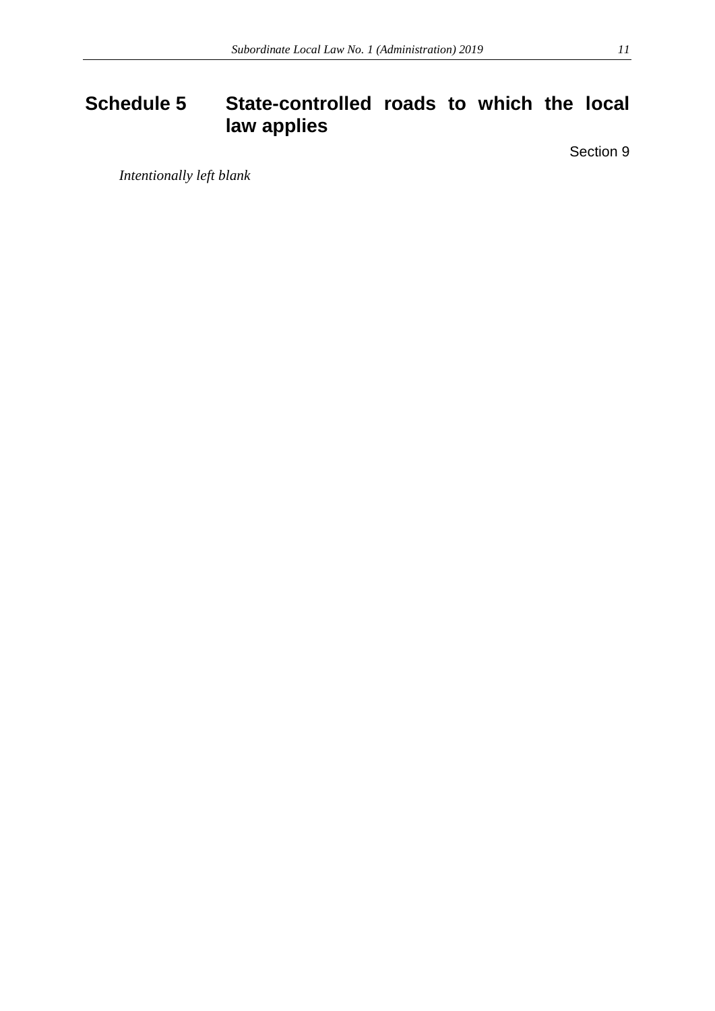# <span id="page-10-0"></span>**Schedule 5 State-controlled roads to which the local law applies**

Section 9

*Intentionally left blank*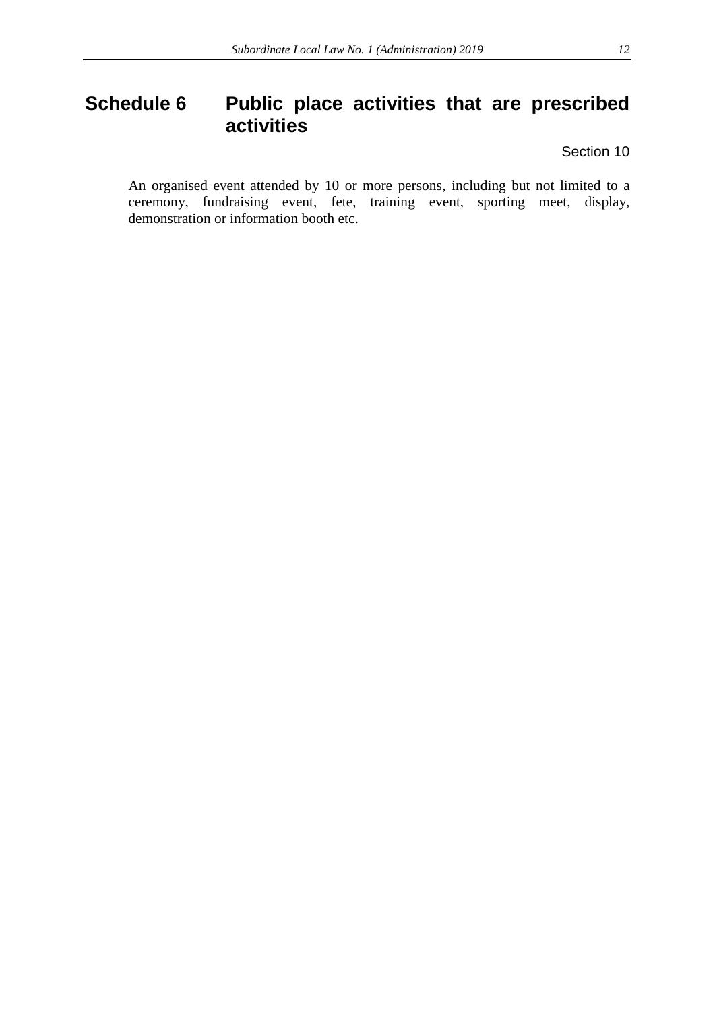## <span id="page-11-0"></span>**Schedule 6 Public place activities that are prescribed activities**

Section 10

An organised event attended by 10 or more persons, including but not limited to a ceremony, fundraising event, fete, training event, sporting meet, display, demonstration or information booth etc.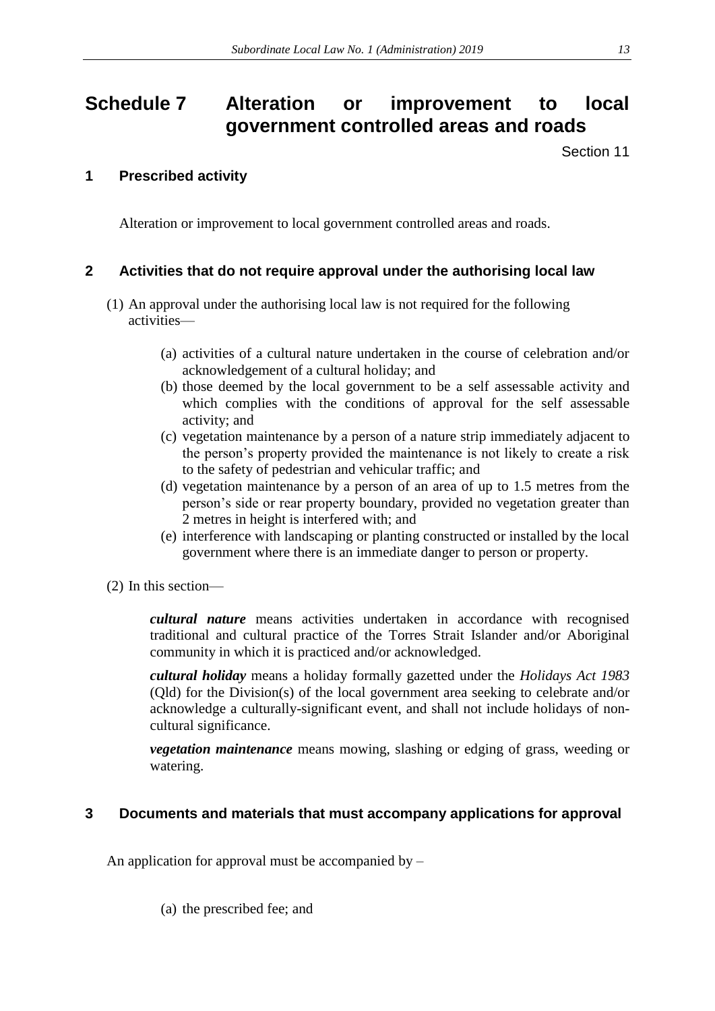# <span id="page-12-0"></span>**Schedule 7 Alteration or improvement to local government controlled areas and roads**

Section 11

## **1 Prescribed activity**

Alteration or improvement to local government controlled areas and roads.

## **2 Activities that do not require approval under the authorising local law**

- (1) An approval under the authorising local law is not required for the following activities—
	- (a) activities of a cultural nature undertaken in the course of celebration and/or acknowledgement of a cultural holiday; and
	- (b) those deemed by the local government to be a self assessable activity and which complies with the conditions of approval for the self assessable activity; and
	- (c) vegetation maintenance by a person of a nature strip immediately adjacent to the person's property provided the maintenance is not likely to create a risk to the safety of pedestrian and vehicular traffic; and
	- (d) vegetation maintenance by a person of an area of up to 1.5 metres from the person's side or rear property boundary, provided no vegetation greater than 2 metres in height is interfered with; and
	- (e) interference with landscaping or planting constructed or installed by the local government where there is an immediate danger to person or property.
- (2) In this section—

*cultural nature* means activities undertaken in accordance with recognised traditional and cultural practice of the Torres Strait Islander and/or Aboriginal community in which it is practiced and/or acknowledged.

*cultural holiday* means a holiday formally gazetted under the *Holidays Act 1983*  (Qld) for the Division(s) of the local government area seeking to celebrate and/or acknowledge a culturally-significant event, and shall not include holidays of noncultural significance.

*vegetation maintenance* means mowing, slashing or edging of grass, weeding or watering.

## **3 Documents and materials that must accompany applications for approval**

An application for approval must be accompanied by  $-$ 

(a) the prescribed fee; and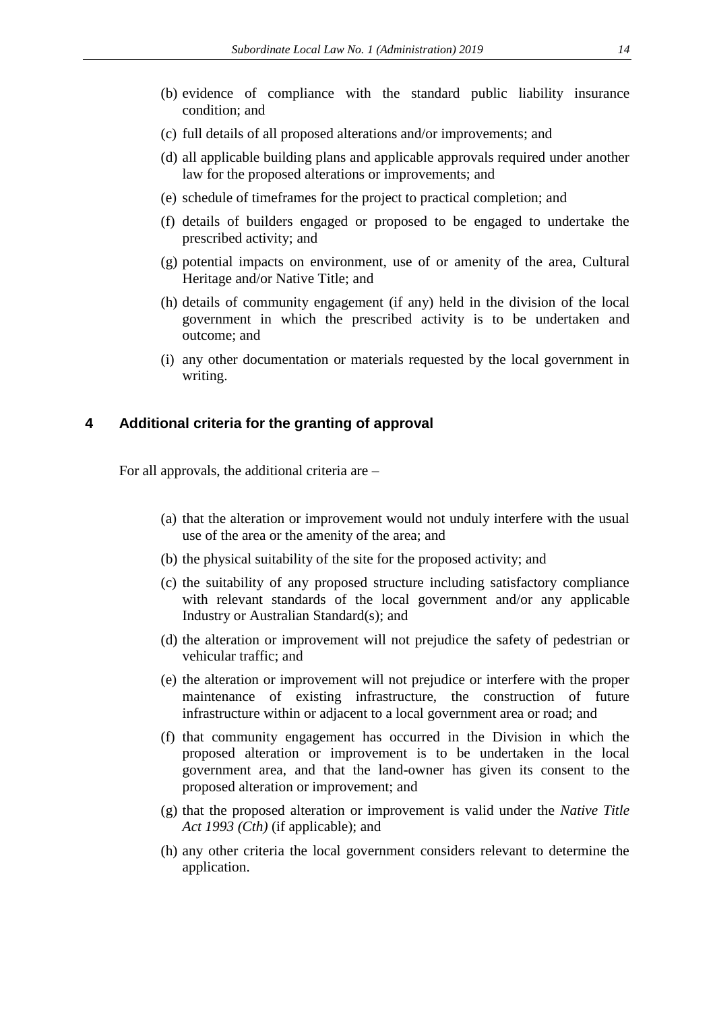- (b) evidence of compliance with the standard public liability insurance condition; and
- (c) full details of all proposed alterations and/or improvements; and
- (d) all applicable building plans and applicable approvals required under another law for the proposed alterations or improvements; and
- (e) schedule of timeframes for the project to practical completion; and
- (f) details of builders engaged or proposed to be engaged to undertake the prescribed activity; and
- (g) potential impacts on environment, use of or amenity of the area, Cultural Heritage and/or Native Title; and
- (h) details of community engagement (if any) held in the division of the local government in which the prescribed activity is to be undertaken and outcome; and
- (i) any other documentation or materials requested by the local government in writing.

#### **4 Additional criteria for the granting of approval**

For all approvals, the additional criteria are –

- (a) that the alteration or improvement would not unduly interfere with the usual use of the area or the amenity of the area; and
- (b) the physical suitability of the site for the proposed activity; and
- (c) the suitability of any proposed structure including satisfactory compliance with relevant standards of the local government and/or any applicable Industry or Australian Standard(s); and
- (d) the alteration or improvement will not prejudice the safety of pedestrian or vehicular traffic; and
- (e) the alteration or improvement will not prejudice or interfere with the proper maintenance of existing infrastructure, the construction of future infrastructure within or adjacent to a local government area or road; and
- (f) that community engagement has occurred in the Division in which the proposed alteration or improvement is to be undertaken in the local government area, and that the land-owner has given its consent to the proposed alteration or improvement; and
- (g) that the proposed alteration or improvement is valid under the *Native Title Act 1993 (Cth)* (if applicable); and
- (h) any other criteria the local government considers relevant to determine the application.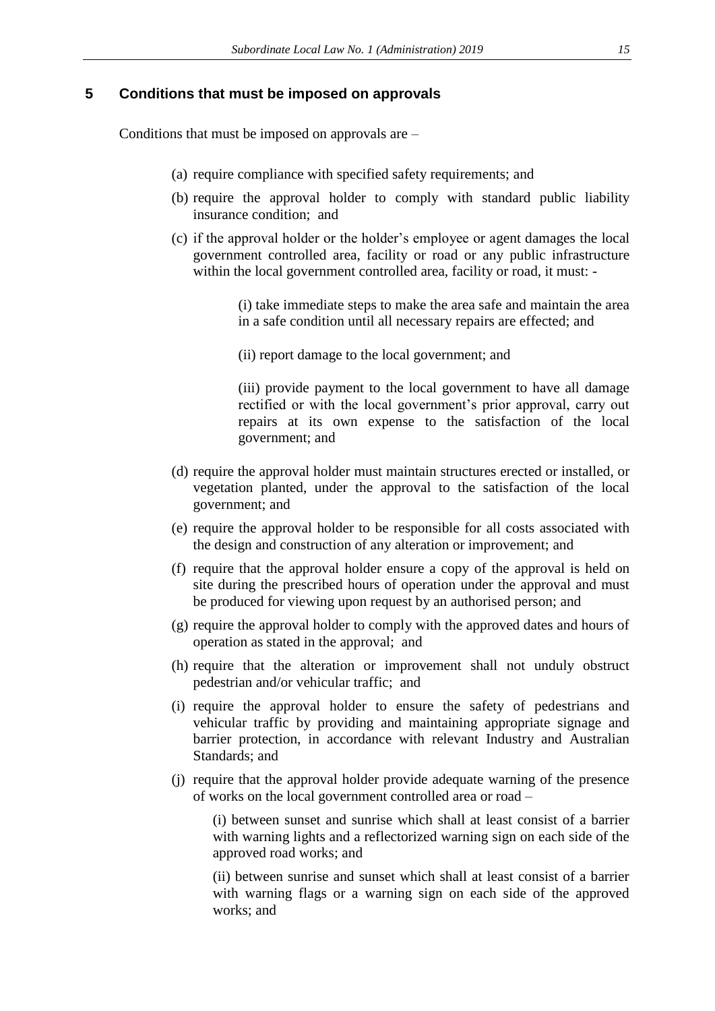#### **5 Conditions that must be imposed on approvals**

Conditions that must be imposed on approvals are –

- (a) require compliance with specified safety requirements; and
- (b) require the approval holder to comply with standard public liability insurance condition; and
- (c) if the approval holder or the holder's employee or agent damages the local government controlled area, facility or road or any public infrastructure within the local government controlled area, facility or road, it must: -

(i) take immediate steps to make the area safe and maintain the area in a safe condition until all necessary repairs are effected; and

(ii) report damage to the local government; and

(iii) provide payment to the local government to have all damage rectified or with the local government's prior approval, carry out repairs at its own expense to the satisfaction of the local government; and

- (d) require the approval holder must maintain structures erected or installed, or vegetation planted, under the approval to the satisfaction of the local government; and
- (e) require the approval holder to be responsible for all costs associated with the design and construction of any alteration or improvement; and
- (f) require that the approval holder ensure a copy of the approval is held on site during the prescribed hours of operation under the approval and must be produced for viewing upon request by an authorised person; and
- (g) require the approval holder to comply with the approved dates and hours of operation as stated in the approval; and
- (h) require that the alteration or improvement shall not unduly obstruct pedestrian and/or vehicular traffic; and
- (i) require the approval holder to ensure the safety of pedestrians and vehicular traffic by providing and maintaining appropriate signage and barrier protection, in accordance with relevant Industry and Australian Standards; and
- (j) require that the approval holder provide adequate warning of the presence of works on the local government controlled area or road –

(i) between sunset and sunrise which shall at least consist of a barrier with warning lights and a reflectorized warning sign on each side of the approved road works; and

(ii) between sunrise and sunset which shall at least consist of a barrier with warning flags or a warning sign on each side of the approved works; and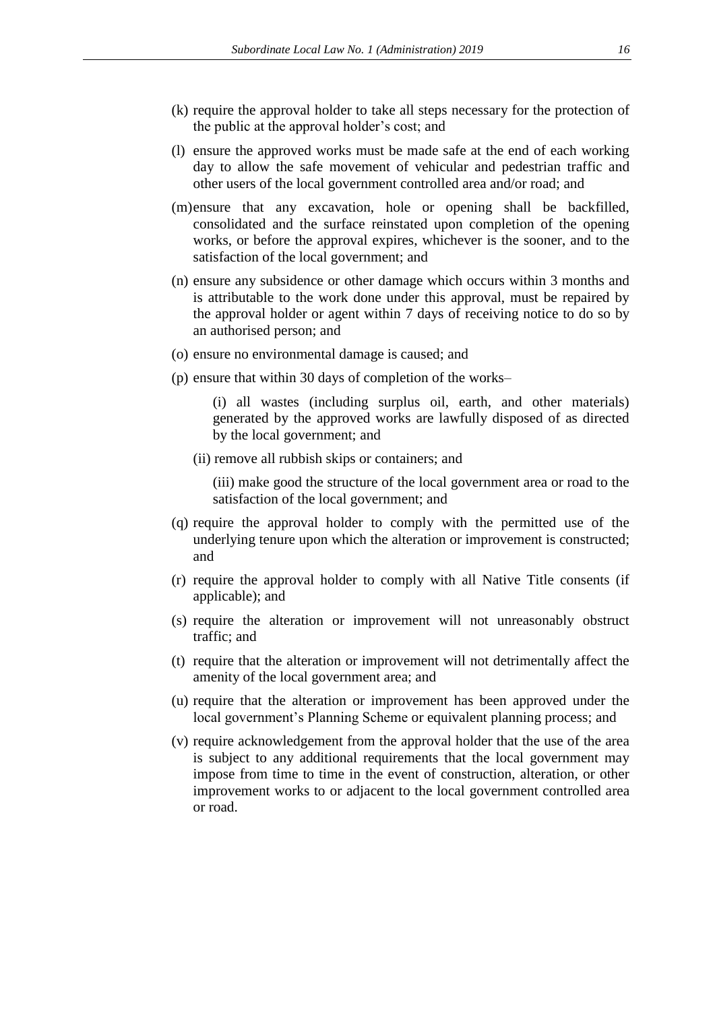- (k) require the approval holder to take all steps necessary for the protection of the public at the approval holder's cost; and
- (l) ensure the approved works must be made safe at the end of each working day to allow the safe movement of vehicular and pedestrian traffic and other users of the local government controlled area and/or road; and
- (m)ensure that any excavation, hole or opening shall be backfilled, consolidated and the surface reinstated upon completion of the opening works, or before the approval expires, whichever is the sooner, and to the satisfaction of the local government; and
- (n) ensure any subsidence or other damage which occurs within 3 months and is attributable to the work done under this approval, must be repaired by the approval holder or agent within 7 days of receiving notice to do so by an authorised person; and
- (o) ensure no environmental damage is caused; and
- (p) ensure that within 30 days of completion of the works–

(i) all wastes (including surplus oil, earth, and other materials) generated by the approved works are lawfully disposed of as directed by the local government; and

(ii) remove all rubbish skips or containers; and

(iii) make good the structure of the local government area or road to the satisfaction of the local government; and

- (q) require the approval holder to comply with the permitted use of the underlying tenure upon which the alteration or improvement is constructed; and
- (r) require the approval holder to comply with all Native Title consents (if applicable); and
- (s) require the alteration or improvement will not unreasonably obstruct traffic; and
- (t) require that the alteration or improvement will not detrimentally affect the amenity of the local government area; and
- (u) require that the alteration or improvement has been approved under the local government's Planning Scheme or equivalent planning process; and
- (v) require acknowledgement from the approval holder that the use of the area is subject to any additional requirements that the local government may impose from time to time in the event of construction, alteration, or other improvement works to or adjacent to the local government controlled area or road.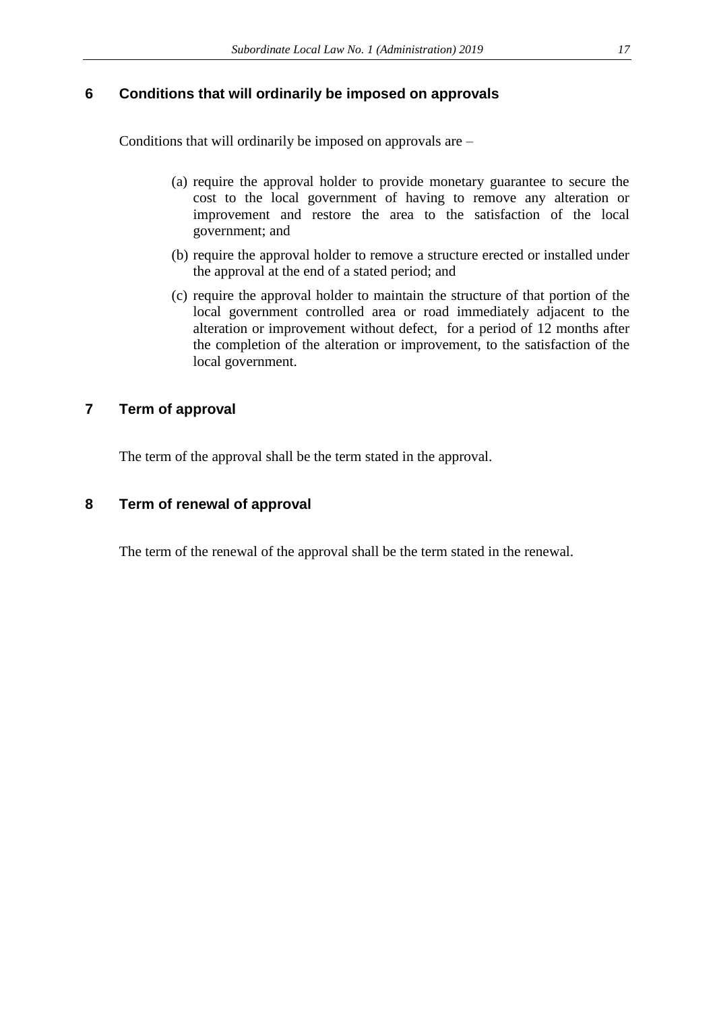### **6 Conditions that will ordinarily be imposed on approvals**

Conditions that will ordinarily be imposed on approvals are –

- (a) require the approval holder to provide monetary guarantee to secure the cost to the local government of having to remove any alteration or improvement and restore the area to the satisfaction of the local government; and
- (b) require the approval holder to remove a structure erected or installed under the approval at the end of a stated period; and
- (c) require the approval holder to maintain the structure of that portion of the local government controlled area or road immediately adjacent to the alteration or improvement without defect, for a period of 12 months after the completion of the alteration or improvement, to the satisfaction of the local government.

## **7 Term of approval**

The term of the approval shall be the term stated in the approval.

#### **8 Term of renewal of approval**

The term of the renewal of the approval shall be the term stated in the renewal.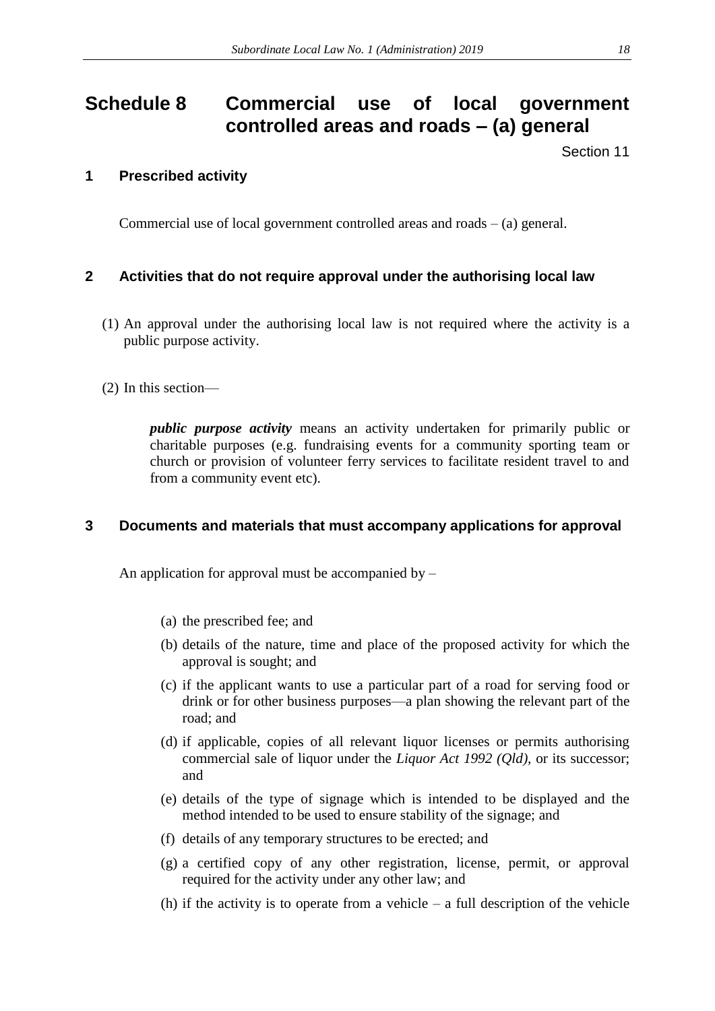# <span id="page-17-0"></span>**Schedule 8 Commercial use of local government controlled areas and roads – (a) general**

Section 11

## **1 Prescribed activity**

Commercial use of local government controlled areas and roads  $-$  (a) general.

## **2 Activities that do not require approval under the authorising local law**

- (1) An approval under the authorising local law is not required where the activity is a public purpose activity.
- (2) In this section—

*public purpose activity* means an activity undertaken for primarily public or charitable purposes (e.g. fundraising events for a community sporting team or church or provision of volunteer ferry services to facilitate resident travel to and from a community event etc).

## **3 Documents and materials that must accompany applications for approval**

An application for approval must be accompanied by  $-$ 

- (a) the prescribed fee; and
- (b) details of the nature, time and place of the proposed activity for which the approval is sought; and
- (c) if the applicant wants to use a particular part of a road for serving food or drink or for other business purposes—a plan showing the relevant part of the road; and
- (d) if applicable, copies of all relevant liquor licenses or permits authorising commercial sale of liquor under the *Liquor Act 1992 (Qld),* or its successor; and
- (e) details of the type of signage which is intended to be displayed and the method intended to be used to ensure stability of the signage; and
- (f) details of any temporary structures to be erected; and
- (g) a certified copy of any other registration, license, permit, or approval required for the activity under any other law; and
- (h) if the activity is to operate from a vehicle  $-$  a full description of the vehicle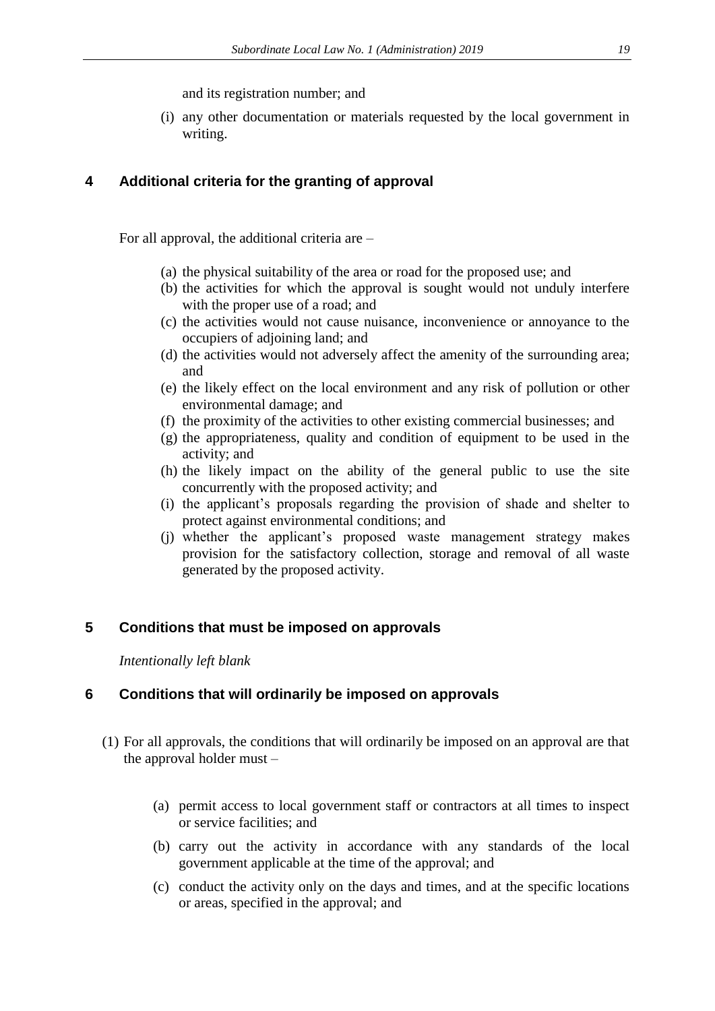and its registration number; and

(i) any other documentation or materials requested by the local government in writing.

## **4 Additional criteria for the granting of approval**

For all approval, the additional criteria are –

- (a) the physical suitability of the area or road for the proposed use; and
- (b) the activities for which the approval is sought would not unduly interfere with the proper use of a road; and
- (c) the activities would not cause nuisance, inconvenience or annoyance to the occupiers of adjoining land; and
- (d) the activities would not adversely affect the amenity of the surrounding area; and
- (e) the likely effect on the local environment and any risk of pollution or other environmental damage; and
- (f) the proximity of the activities to other existing commercial businesses; and
- (g) the appropriateness, quality and condition of equipment to be used in the activity; and
- (h) the likely impact on the ability of the general public to use the site concurrently with the proposed activity; and
- (i) the applicant's proposals regarding the provision of shade and shelter to protect against environmental conditions; and
- (j) whether the applicant's proposed waste management strategy makes provision for the satisfactory collection, storage and removal of all waste generated by the proposed activity.

## **5 Conditions that must be imposed on approvals**

*Intentionally left blank*

## **6 Conditions that will ordinarily be imposed on approvals**

- (1) For all approvals, the conditions that will ordinarily be imposed on an approval are that the approval holder must –
	- (a) permit access to local government staff or contractors at all times to inspect or service facilities; and
	- (b) carry out the activity in accordance with any standards of the local government applicable at the time of the approval; and
	- (c) conduct the activity only on the days and times, and at the specific locations or areas, specified in the approval; and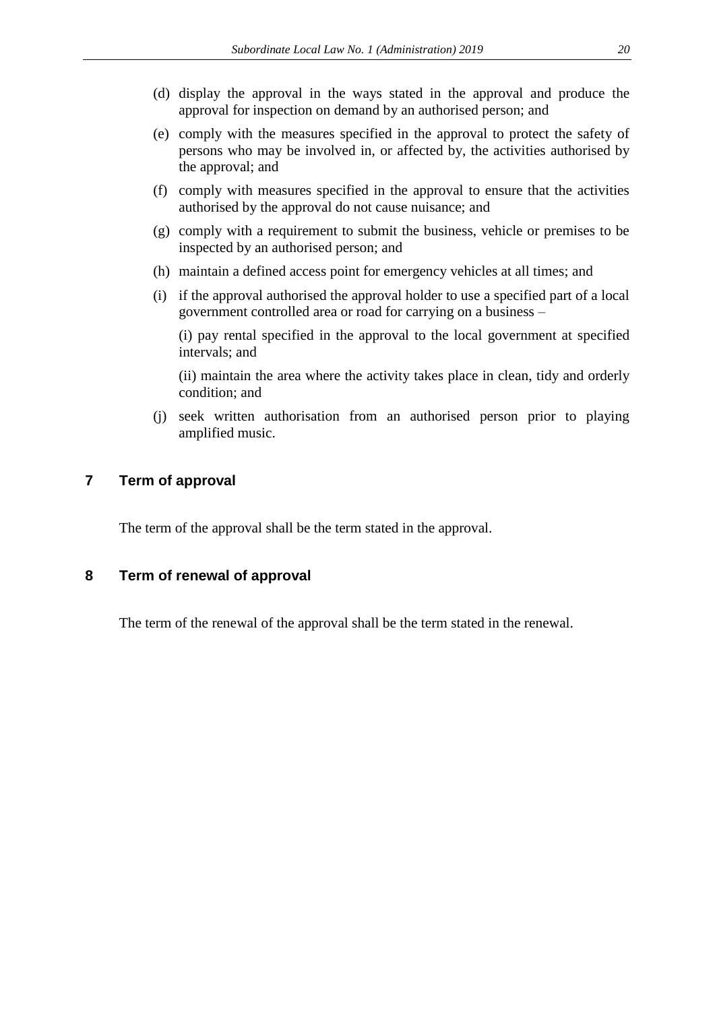- (d) display the approval in the ways stated in the approval and produce the approval for inspection on demand by an authorised person; and
- (e) comply with the measures specified in the approval to protect the safety of persons who may be involved in, or affected by, the activities authorised by the approval; and
- (f) comply with measures specified in the approval to ensure that the activities authorised by the approval do not cause nuisance; and
- (g) comply with a requirement to submit the business, vehicle or premises to be inspected by an authorised person; and
- (h) maintain a defined access point for emergency vehicles at all times; and
- (i) if the approval authorised the approval holder to use a specified part of a local government controlled area or road for carrying on a business –

(i) pay rental specified in the approval to the local government at specified intervals; and

(ii) maintain the area where the activity takes place in clean, tidy and orderly condition; and

(j) seek written authorisation from an authorised person prior to playing amplified music.

### **7 Term of approval**

The term of the approval shall be the term stated in the approval.

#### **8 Term of renewal of approval**

The term of the renewal of the approval shall be the term stated in the renewal.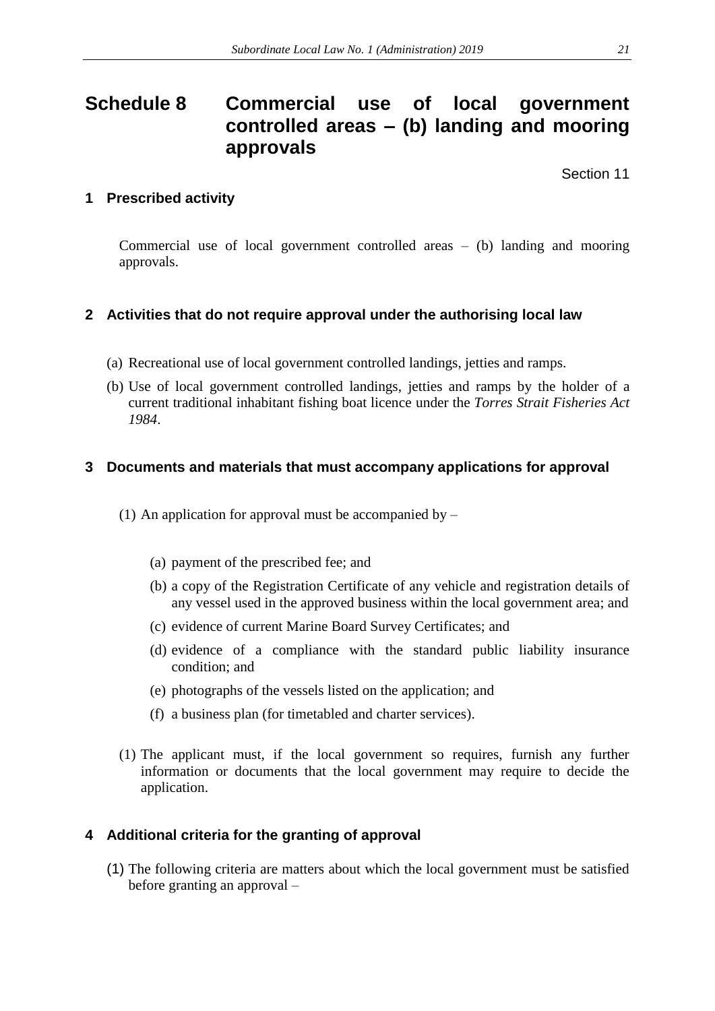## <span id="page-20-0"></span>**Schedule 8 Commercial use of local government controlled areas – (b) landing and mooring approvals**

Section 11

## **1 Prescribed activity**

Commercial use of local government controlled areas – (b) landing and mooring approvals.

## **2 Activities that do not require approval under the authorising local law**

- (a) Recreational use of local government controlled landings, jetties and ramps.
- (b) Use of local government controlled landings, jetties and ramps by the holder of a current traditional inhabitant fishing boat licence under the *Torres Strait Fisheries Act 1984*.

## **3 Documents and materials that must accompany applications for approval**

- (1) An application for approval must be accompanied by  $-$ 
	- (a) payment of the prescribed fee; and
	- (b) a copy of the Registration Certificate of any vehicle and registration details of any vessel used in the approved business within the local government area; and
	- (c) evidence of current Marine Board Survey Certificates; and
	- (d) evidence of a compliance with the standard public liability insurance condition; and
	- (e) photographs of the vessels listed on the application; and
	- (f) a business plan (for timetabled and charter services).
- (1) The applicant must, if the local government so requires, furnish any further information or documents that the local government may require to decide the application.

## **4 Additional criteria for the granting of approval**

(1) The following criteria are matters about which the local government must be satisfied before granting an approval –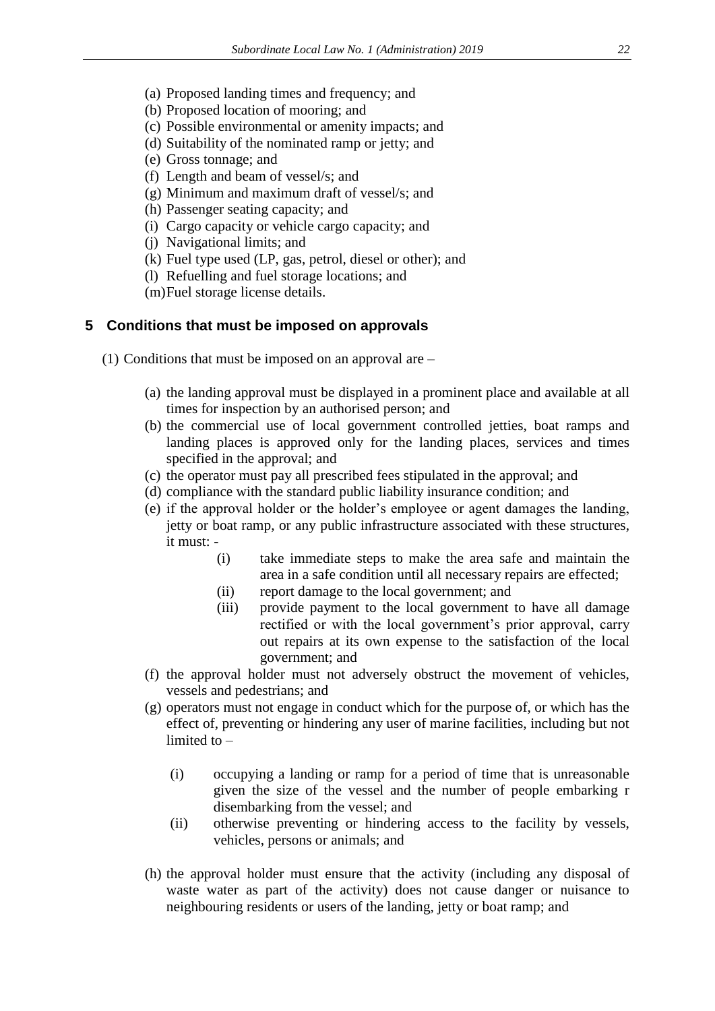- (a) Proposed landing times and frequency; and
- (b) Proposed location of mooring; and
- (c) Possible environmental or amenity impacts; and
- (d) Suitability of the nominated ramp or jetty; and
- (e) Gross tonnage; and
- (f) Length and beam of vessel/s; and
- (g) Minimum and maximum draft of vessel/s; and
- (h) Passenger seating capacity; and
- (i) Cargo capacity or vehicle cargo capacity; and
- (j) Navigational limits; and
- (k) Fuel type used (LP, gas, petrol, diesel or other); and
- (l) Refuelling and fuel storage locations; and
- (m)Fuel storage license details.

#### **5 Conditions that must be imposed on approvals**

- (1) Conditions that must be imposed on an approval are
	- (a) the landing approval must be displayed in a prominent place and available at all times for inspection by an authorised person; and
	- (b) the commercial use of local government controlled jetties, boat ramps and landing places is approved only for the landing places, services and times specified in the approval; and
	- (c) the operator must pay all prescribed fees stipulated in the approval; and
	- (d) compliance with the standard public liability insurance condition; and
	- (e) if the approval holder or the holder's employee or agent damages the landing, jetty or boat ramp, or any public infrastructure associated with these structures, it must: -
		- (i) take immediate steps to make the area safe and maintain the area in a safe condition until all necessary repairs are effected;
		- (ii) report damage to the local government; and
		- (iii) provide payment to the local government to have all damage rectified or with the local government's prior approval, carry out repairs at its own expense to the satisfaction of the local government; and
	- (f) the approval holder must not adversely obstruct the movement of vehicles, vessels and pedestrians; and
	- (g) operators must not engage in conduct which for the purpose of, or which has the effect of, preventing or hindering any user of marine facilities, including but not limited to –
		- (i) occupying a landing or ramp for a period of time that is unreasonable given the size of the vessel and the number of people embarking r disembarking from the vessel; and
		- (ii) otherwise preventing or hindering access to the facility by vessels, vehicles, persons or animals; and
	- (h) the approval holder must ensure that the activity (including any disposal of waste water as part of the activity) does not cause danger or nuisance to neighbouring residents or users of the landing, jetty or boat ramp; and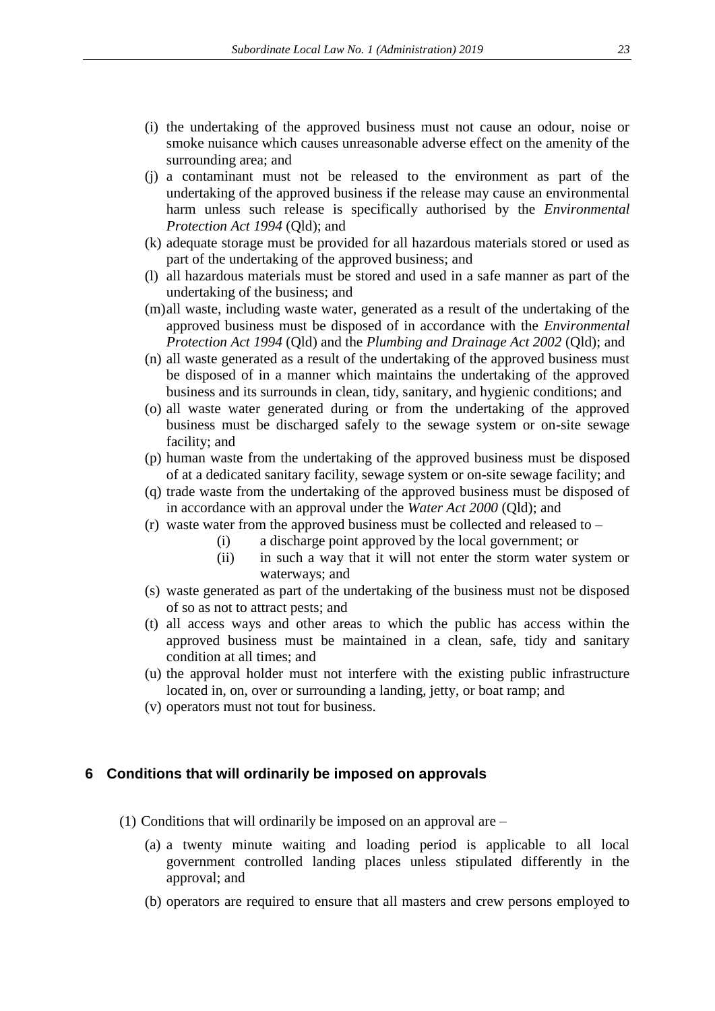- (i) the undertaking of the approved business must not cause an odour, noise or smoke nuisance which causes unreasonable adverse effect on the amenity of the surrounding area; and
- (j) a contaminant must not be released to the environment as part of the undertaking of the approved business if the release may cause an environmental harm unless such release is specifically authorised by the *Environmental Protection Act 1994 (Old)*; and
- (k) adequate storage must be provided for all hazardous materials stored or used as part of the undertaking of the approved business; and
- (l) all hazardous materials must be stored and used in a safe manner as part of the undertaking of the business; and
- (m)all waste, including waste water, generated as a result of the undertaking of the approved business must be disposed of in accordance with the *Environmental Protection Act 1994* (Qld) and the *Plumbing and Drainage Act 2002* (Qld); and
- (n) all waste generated as a result of the undertaking of the approved business must be disposed of in a manner which maintains the undertaking of the approved business and its surrounds in clean, tidy, sanitary, and hygienic conditions; and
- (o) all waste water generated during or from the undertaking of the approved business must be discharged safely to the sewage system or on-site sewage facility; and
- (p) human waste from the undertaking of the approved business must be disposed of at a dedicated sanitary facility, sewage system or on-site sewage facility; and
- (q) trade waste from the undertaking of the approved business must be disposed of in accordance with an approval under the *Water Act 2000* (Qld); and
- (r) waste water from the approved business must be collected and released to
	- (i) a discharge point approved by the local government; or
	- (ii) in such a way that it will not enter the storm water system or waterways; and
- (s) waste generated as part of the undertaking of the business must not be disposed of so as not to attract pests; and
- (t) all access ways and other areas to which the public has access within the approved business must be maintained in a clean, safe, tidy and sanitary condition at all times; and
- (u) the approval holder must not interfere with the existing public infrastructure located in, on, over or surrounding a landing, jetty, or boat ramp; and
- (v) operators must not tout for business.

#### **6 Conditions that will ordinarily be imposed on approvals**

- (1) Conditions that will ordinarily be imposed on an approval are
	- (a) a twenty minute waiting and loading period is applicable to all local government controlled landing places unless stipulated differently in the approval; and
	- (b) operators are required to ensure that all masters and crew persons employed to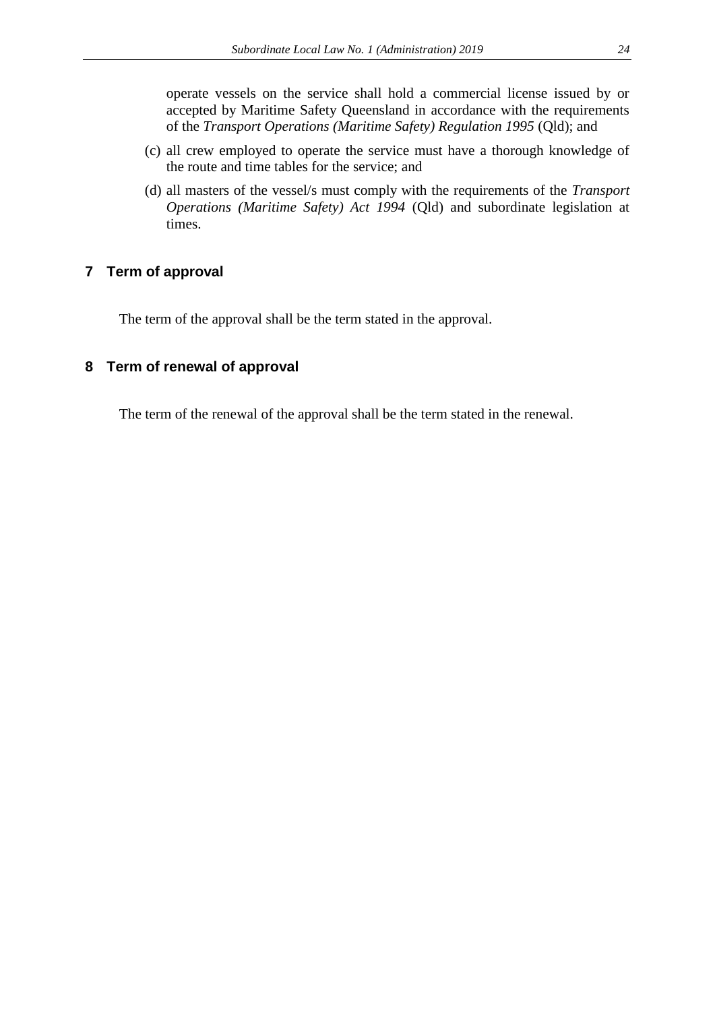operate vessels on the service shall hold a commercial license issued by or accepted by Maritime Safety Queensland in accordance with the requirements of the *Transport Operations (Maritime Safety) Regulation 1995* (Qld); and

- (c) all crew employed to operate the service must have a thorough knowledge of the route and time tables for the service; and
- (d) all masters of the vessel/s must comply with the requirements of the *Transport Operations (Maritime Safety) Act 1994* (Qld) and subordinate legislation at times.

### **7 Term of approval**

The term of the approval shall be the term stated in the approval.

#### **8 Term of renewal of approval**

The term of the renewal of the approval shall be the term stated in the renewal.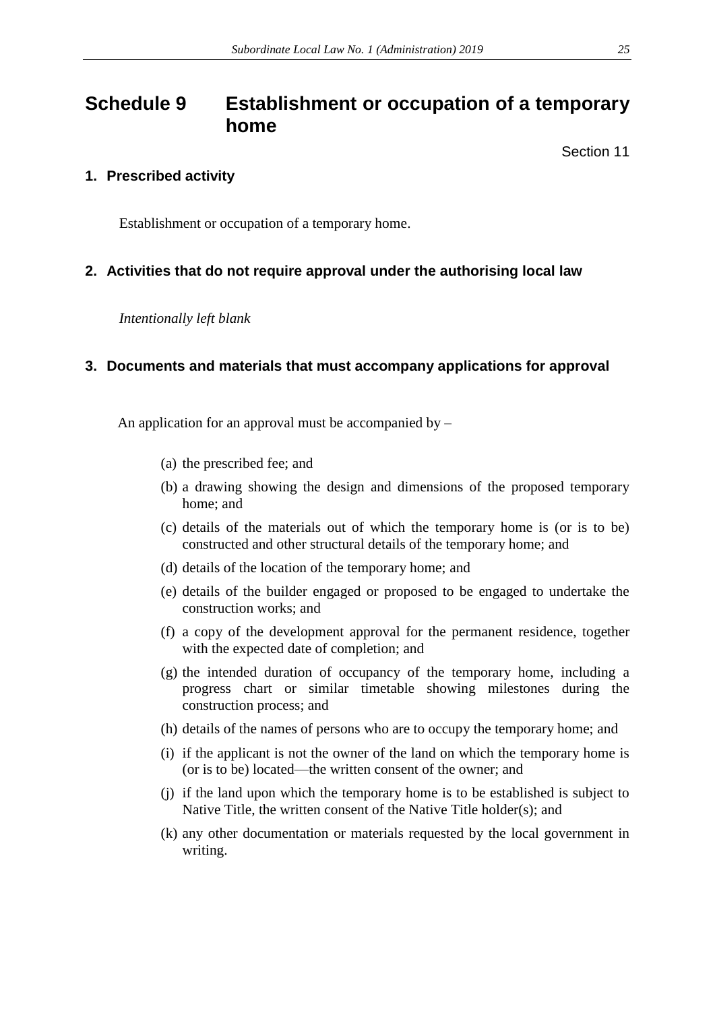## <span id="page-24-0"></span>**Schedule 9 Establishment or occupation of a temporary home**

Section 11

## **1. Prescribed activity**

Establishment or occupation of a temporary home.

## **2. Activities that do not require approval under the authorising local law**

*Intentionally left blank*

## **3. Documents and materials that must accompany applications for approval**

An application for an approval must be accompanied by  $-$ 

- (a) the prescribed fee; and
- (b) a drawing showing the design and dimensions of the proposed temporary home; and
- (c) details of the materials out of which the temporary home is (or is to be) constructed and other structural details of the temporary home; and
- (d) details of the location of the temporary home; and
- (e) details of the builder engaged or proposed to be engaged to undertake the construction works; and
- (f) a copy of the development approval for the permanent residence, together with the expected date of completion; and
- (g) the intended duration of occupancy of the temporary home, including a progress chart or similar timetable showing milestones during the construction process; and
- (h) details of the names of persons who are to occupy the temporary home; and
- (i) if the applicant is not the owner of the land on which the temporary home is (or is to be) located—the written consent of the owner; and
- (j) if the land upon which the temporary home is to be established is subject to Native Title, the written consent of the Native Title holder(s); and
- (k) any other documentation or materials requested by the local government in writing.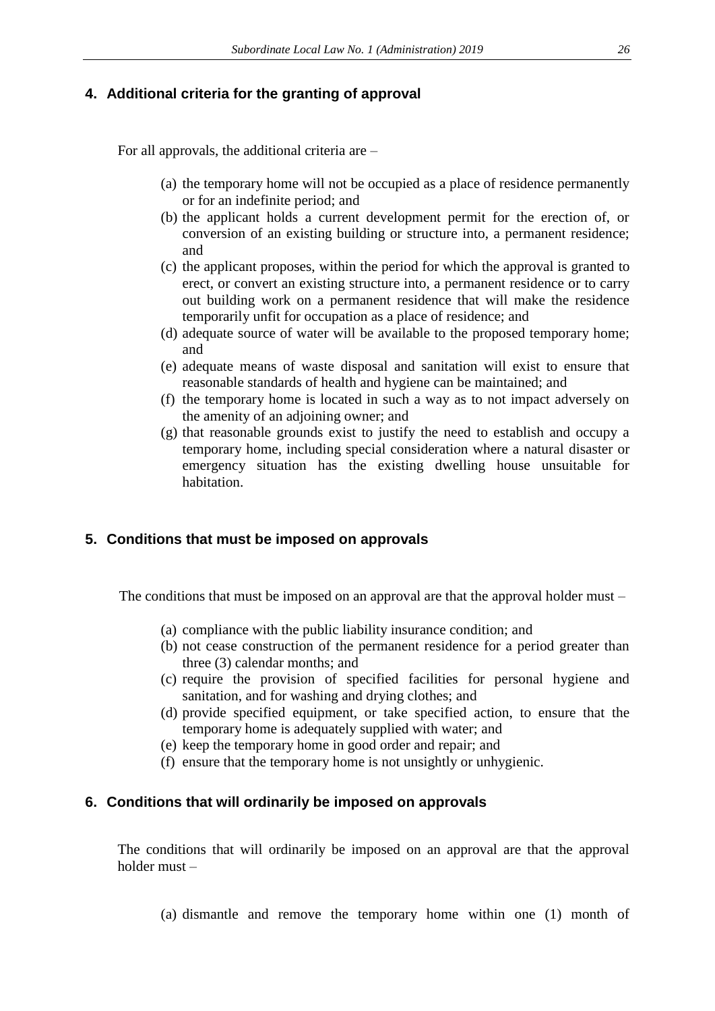## **4. Additional criteria for the granting of approval**

For all approvals, the additional criteria are –

- (a) the temporary home will not be occupied as a place of residence permanently or for an indefinite period; and
- (b) the applicant holds a current development permit for the erection of, or conversion of an existing building or structure into, a permanent residence; and
- (c) the applicant proposes, within the period for which the approval is granted to erect, or convert an existing structure into, a permanent residence or to carry out building work on a permanent residence that will make the residence temporarily unfit for occupation as a place of residence; and
- (d) adequate source of water will be available to the proposed temporary home; and
- (e) adequate means of waste disposal and sanitation will exist to ensure that reasonable standards of health and hygiene can be maintained; and
- (f) the temporary home is located in such a way as to not impact adversely on the amenity of an adjoining owner; and
- (g) that reasonable grounds exist to justify the need to establish and occupy a temporary home, including special consideration where a natural disaster or emergency situation has the existing dwelling house unsuitable for habitation.

## **5. Conditions that must be imposed on approvals**

The conditions that must be imposed on an approval are that the approval holder must –

- (a) compliance with the public liability insurance condition; and
- (b) not cease construction of the permanent residence for a period greater than three (3) calendar months; and
- (c) require the provision of specified facilities for personal hygiene and sanitation, and for washing and drying clothes; and
- (d) provide specified equipment, or take specified action, to ensure that the temporary home is adequately supplied with water; and
- (e) keep the temporary home in good order and repair; and
- (f) ensure that the temporary home is not unsightly or unhygienic.

## **6. Conditions that will ordinarily be imposed on approvals**

The conditions that will ordinarily be imposed on an approval are that the approval holder must –

(a) dismantle and remove the temporary home within one (1) month of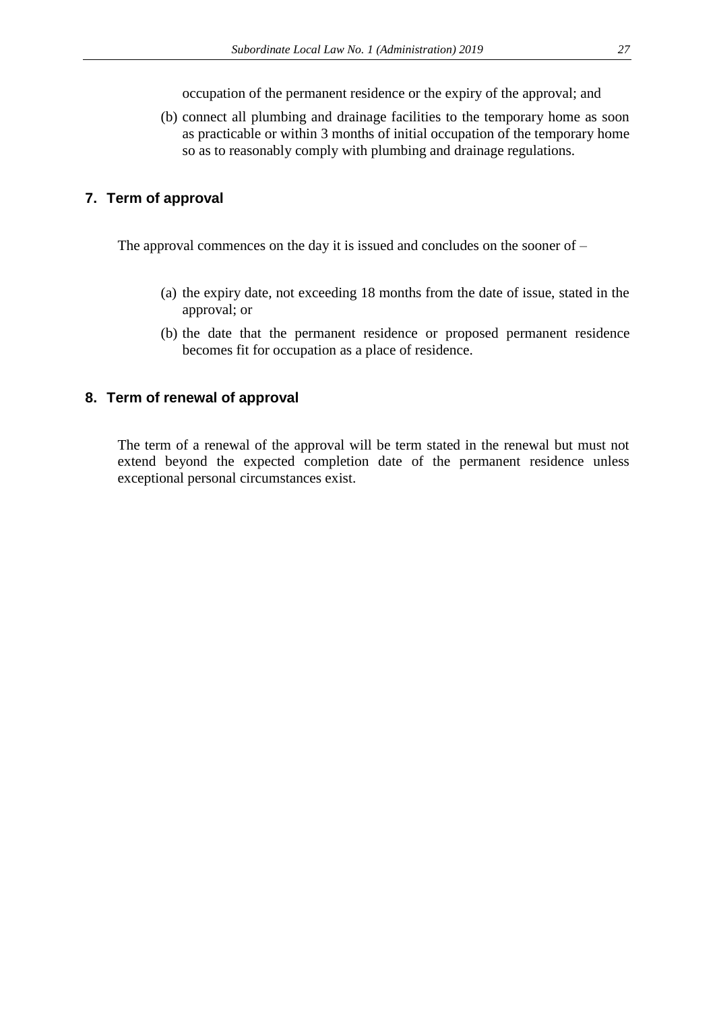occupation of the permanent residence or the expiry of the approval; and

(b) connect all plumbing and drainage facilities to the temporary home as soon as practicable or within 3 months of initial occupation of the temporary home so as to reasonably comply with plumbing and drainage regulations.

## **7. Term of approval**

The approval commences on the day it is issued and concludes on the sooner of –

- (a) the expiry date, not exceeding 18 months from the date of issue, stated in the approval; or
- (b) the date that the permanent residence or proposed permanent residence becomes fit for occupation as a place of residence.

## **8. Term of renewal of approval**

The term of a renewal of the approval will be term stated in the renewal but must not extend beyond the expected completion date of the permanent residence unless exceptional personal circumstances exist.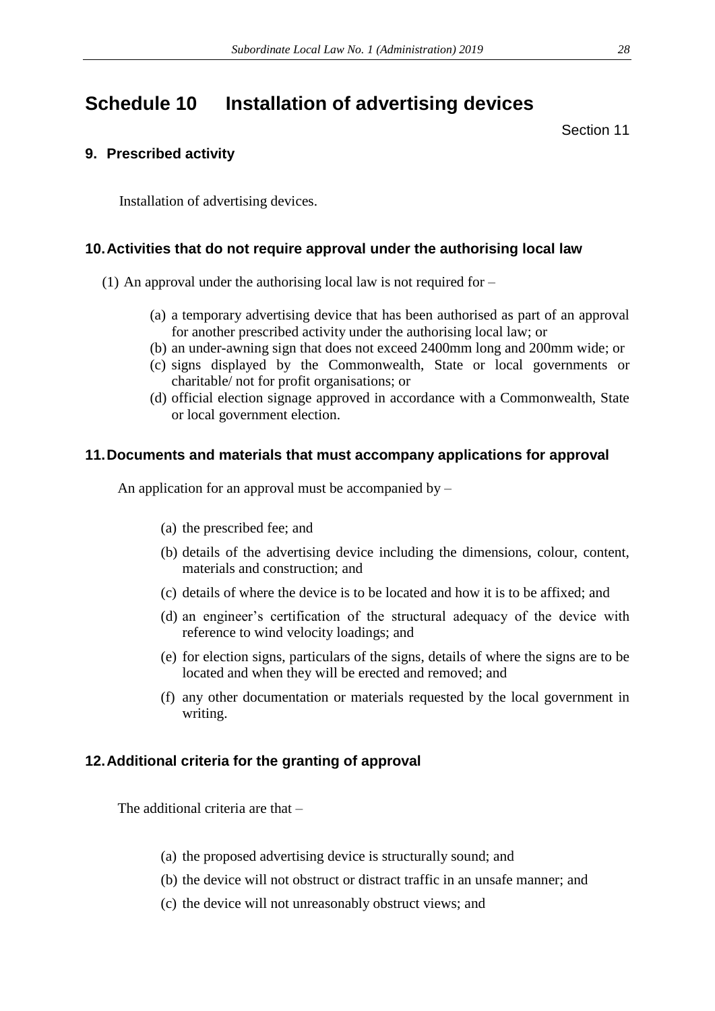## <span id="page-27-0"></span>**Schedule 10 Installation of advertising devices**

Section 11

## **9. Prescribed activity**

Installation of advertising devices.

## **10.Activities that do not require approval under the authorising local law**

- (1) An approval under the authorising local law is not required for
	- (a) a temporary advertising device that has been authorised as part of an approval for another prescribed activity under the authorising local law; or
	- (b) an under-awning sign that does not exceed 2400mm long and 200mm wide; or
	- (c) signs displayed by the Commonwealth, State or local governments or charitable/ not for profit organisations; or
	- (d) official election signage approved in accordance with a Commonwealth, State or local government election.

### **11.Documents and materials that must accompany applications for approval**

An application for an approval must be accompanied by –

- (a) the prescribed fee; and
- (b) details of the advertising device including the dimensions, colour, content, materials and construction; and
- (c) details of where the device is to be located and how it is to be affixed; and
- (d) an engineer's certification of the structural adequacy of the device with reference to wind velocity loadings; and
- (e) for election signs, particulars of the signs, details of where the signs are to be located and when they will be erected and removed; and
- (f) any other documentation or materials requested by the local government in writing.

## **12.Additional criteria for the granting of approval**

The additional criteria are that –

- (a) the proposed advertising device is structurally sound; and
- (b) the device will not obstruct or distract traffic in an unsafe manner; and
- (c) the device will not unreasonably obstruct views; and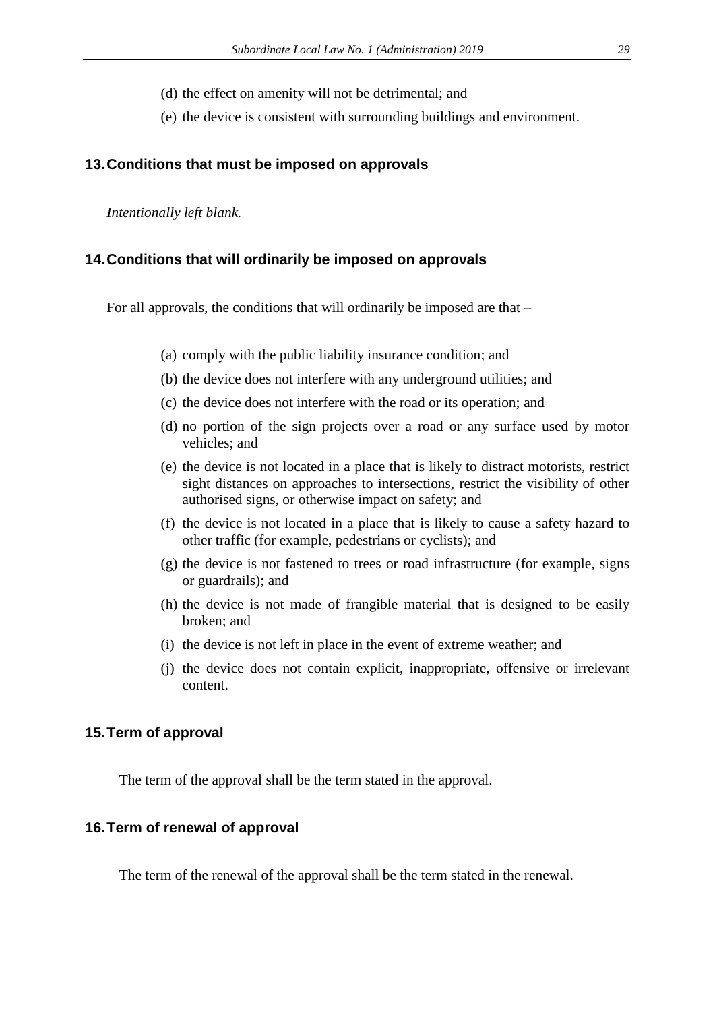- (d) the effect on amenity will not be detrimental; and
- (e) the device is consistent with surrounding buildings and environment.

#### **13.Conditions that must be imposed on approvals**

*Intentionally left blank.* 

#### **14.Conditions that will ordinarily be imposed on approvals**

For all approvals, the conditions that will ordinarily be imposed are that –

- (a) comply with the public liability insurance condition; and
- (b) the device does not interfere with any underground utilities; and
- (c) the device does not interfere with the road or its operation; and
- (d) no portion of the sign projects over a road or any surface used by motor vehicles; and
- (e) the device is not located in a place that is likely to distract motorists, restrict sight distances on approaches to intersections, restrict the visibility of other authorised signs, or otherwise impact on safety; and
- (f) the device is not located in a place that is likely to cause a safety hazard to other traffic (for example, pedestrians or cyclists); and
- (g) the device is not fastened to trees or road infrastructure (for example, signs or guardrails); and
- (h) the device is not made of frangible material that is designed to be easily broken; and
- (i) the device is not left in place in the event of extreme weather; and
- (j) the device does not contain explicit, inappropriate, offensive or irrelevant content.

#### **15.Term of approval**

The term of the approval shall be the term stated in the approval.

#### **16.Term of renewal of approval**

The term of the renewal of the approval shall be the term stated in the renewal.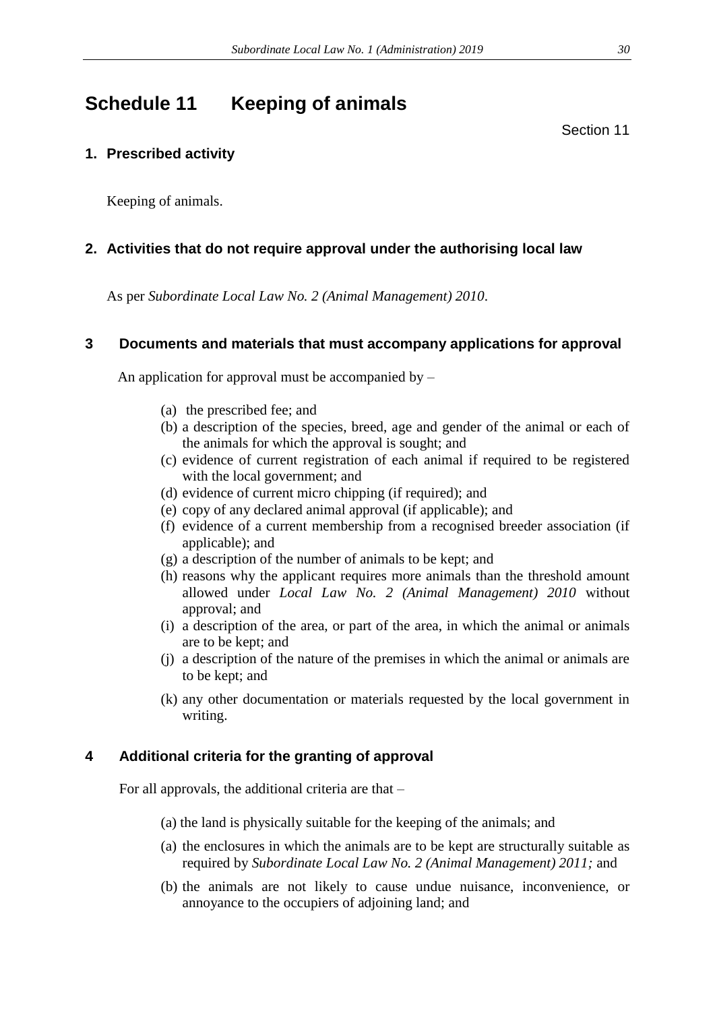## <span id="page-29-0"></span>**Schedule 11 Keeping of animals**

Section 11

## **1. Prescribed activity**

Keeping of animals.

## **2. Activities that do not require approval under the authorising local law**

As per *Subordinate Local Law No. 2 (Animal Management) 2010*.

### **3 Documents and materials that must accompany applications for approval**

An application for approval must be accompanied by –

- (a) the prescribed fee; and
- (b) a description of the species, breed, age and gender of the animal or each of the animals for which the approval is sought; and
- (c) evidence of current registration of each animal if required to be registered with the local government; and
- (d) evidence of current micro chipping (if required); and
- (e) copy of any declared animal approval (if applicable); and
- (f) evidence of a current membership from a recognised breeder association (if applicable); and
- (g) a description of the number of animals to be kept; and
- (h) reasons why the applicant requires more animals than the threshold amount allowed under *Local Law No. 2 (Animal Management) 2010* without approval; and
- (i) a description of the area, or part of the area, in which the animal or animals are to be kept; and
- (j) a description of the nature of the premises in which the animal or animals are to be kept; and
- (k) any other documentation or materials requested by the local government in writing.

## **4 Additional criteria for the granting of approval**

For all approvals, the additional criteria are that –

- (a) the land is physically suitable for the keeping of the animals; and
- (a) the enclosures in which the animals are to be kept are structurally suitable as required by *Subordinate Local Law No. 2 (Animal Management) 2011;* and
- (b) the animals are not likely to cause undue nuisance, inconvenience, or annoyance to the occupiers of adjoining land; and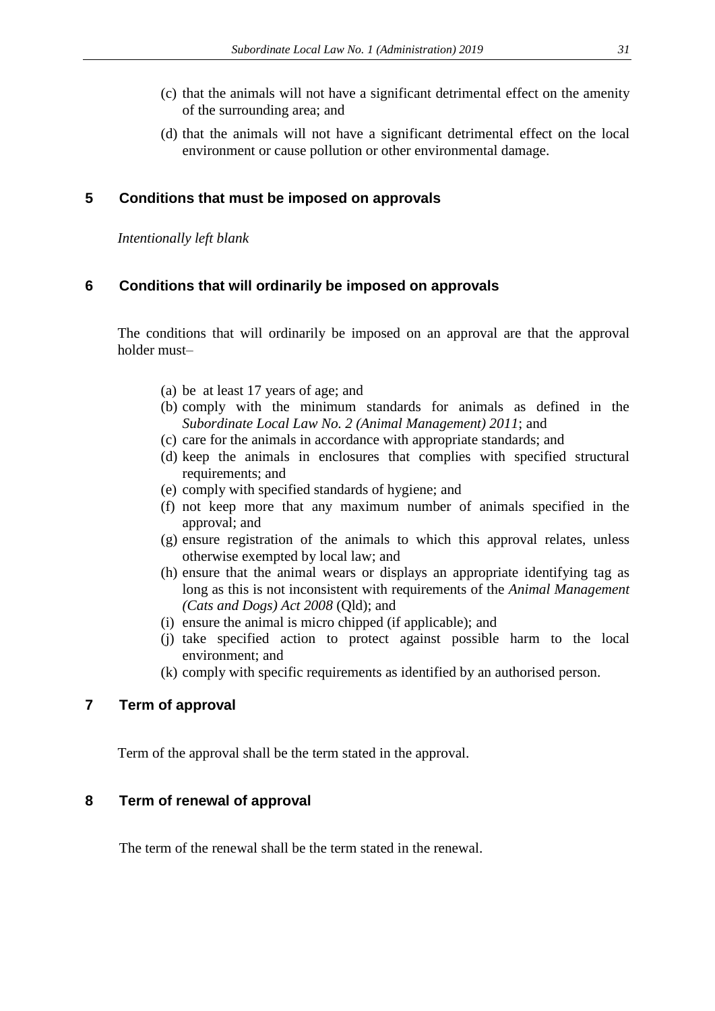- (c) that the animals will not have a significant detrimental effect on the amenity of the surrounding area; and
- (d) that the animals will not have a significant detrimental effect on the local environment or cause pollution or other environmental damage.

#### **5 Conditions that must be imposed on approvals**

*Intentionally left blank*

#### **6 Conditions that will ordinarily be imposed on approvals**

The conditions that will ordinarily be imposed on an approval are that the approval holder must–

- (a) be at least 17 years of age; and
- (b) comply with the minimum standards for animals as defined in the *Subordinate Local Law No. 2 (Animal Management) 2011*; and
- (c) care for the animals in accordance with appropriate standards; and
- (d) keep the animals in enclosures that complies with specified structural requirements; and
- (e) comply with specified standards of hygiene; and
- (f) not keep more that any maximum number of animals specified in the approval; and
- (g) ensure registration of the animals to which this approval relates, unless otherwise exempted by local law; and
- (h) ensure that the animal wears or displays an appropriate identifying tag as long as this is not inconsistent with requirements of the *Animal Management (Cats and Dogs) Act 2008* (Qld); and
- (i) ensure the animal is micro chipped (if applicable); and
- (j) take specified action to protect against possible harm to the local environment; and
- (k) comply with specific requirements as identified by an authorised person.

### **7 Term of approval**

Term of the approval shall be the term stated in the approval.

#### **8 Term of renewal of approval**

The term of the renewal shall be the term stated in the renewal.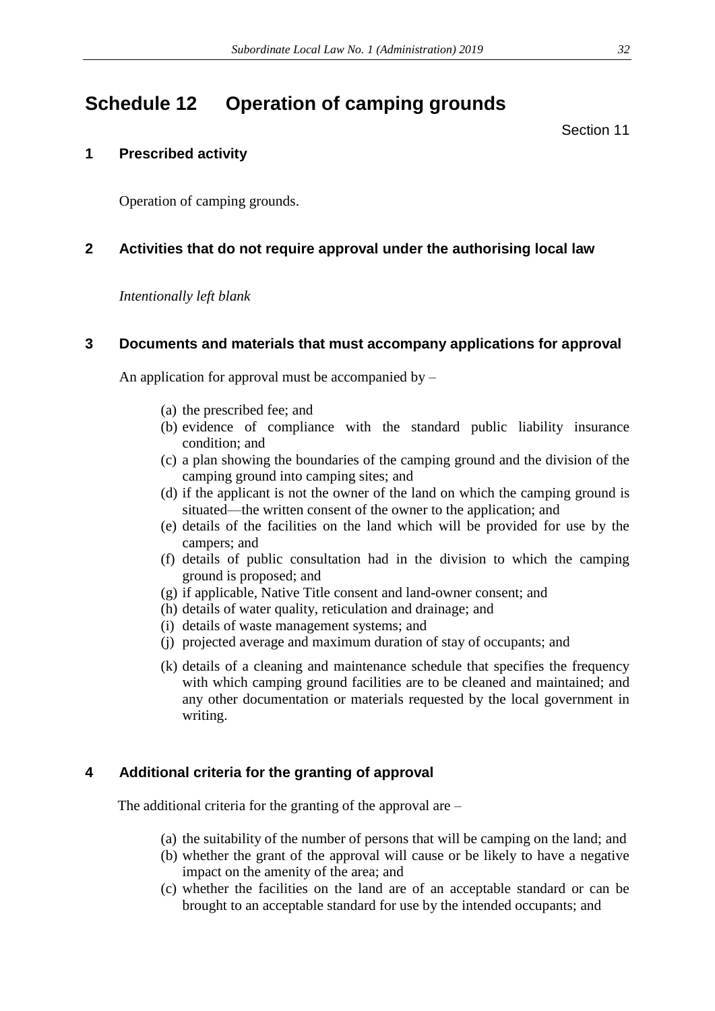## <span id="page-31-0"></span>**Schedule 12 Operation of camping grounds**

Section 11

### **1 Prescribed activity**

Operation of camping grounds.

### **2 Activities that do not require approval under the authorising local law**

*Intentionally left blank*

#### **3 Documents and materials that must accompany applications for approval**

An application for approval must be accompanied by –

- (a) the prescribed fee; and
- (b) evidence of compliance with the standard public liability insurance condition; and
- (c) a plan showing the boundaries of the camping ground and the division of the camping ground into camping sites; and
- (d) if the applicant is not the owner of the land on which the camping ground is situated—the written consent of the owner to the application; and
- (e) details of the facilities on the land which will be provided for use by the campers; and
- (f) details of public consultation had in the division to which the camping ground is proposed; and
- (g) if applicable, Native Title consent and land-owner consent; and
- (h) details of water quality, reticulation and drainage; and
- (i) details of waste management systems; and
- (j) projected average and maximum duration of stay of occupants; and
- (k) details of a cleaning and maintenance schedule that specifies the frequency with which camping ground facilities are to be cleaned and maintained; and any other documentation or materials requested by the local government in writing.

## **4 Additional criteria for the granting of approval**

The additional criteria for the granting of the approval are –

- (a) the suitability of the number of persons that will be camping on the land; and
- (b) whether the grant of the approval will cause or be likely to have a negative impact on the amenity of the area; and
- (c) whether the facilities on the land are of an acceptable standard or can be brought to an acceptable standard for use by the intended occupants; and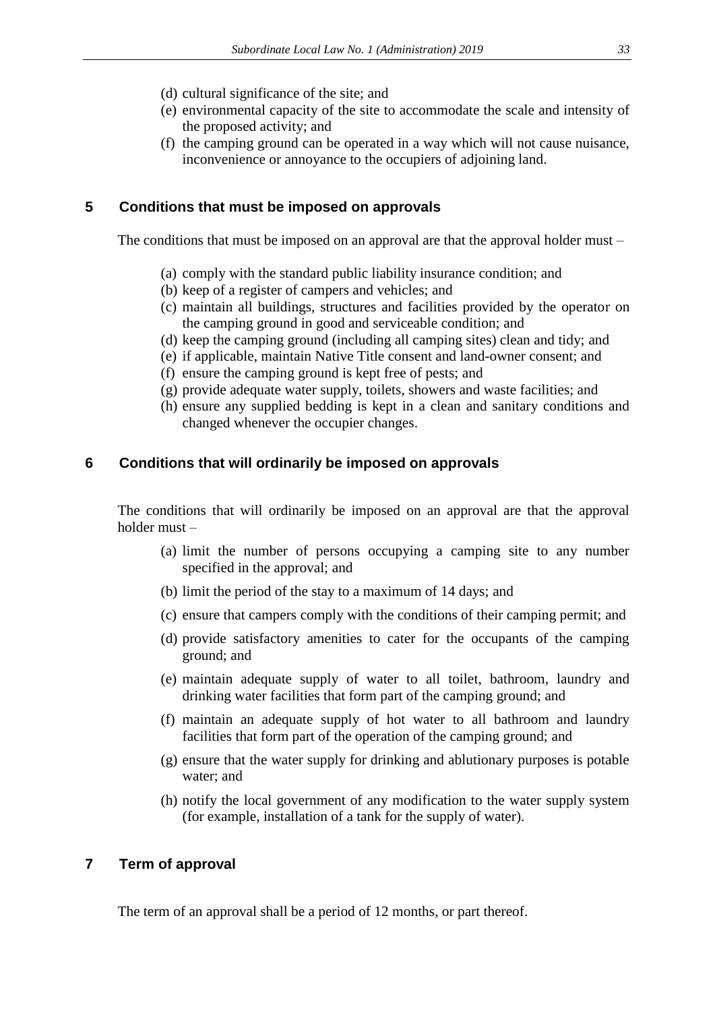- (d) cultural significance of the site; and
- (e) environmental capacity of the site to accommodate the scale and intensity of the proposed activity; and
- (f) the camping ground can be operated in a way which will not cause nuisance, inconvenience or annoyance to the occupiers of adjoining land.

## **5 Conditions that must be imposed on approvals**

The conditions that must be imposed on an approval are that the approval holder must –

- (a) comply with the standard public liability insurance condition; and
- (b) keep of a register of campers and vehicles; and
- (c) maintain all buildings, structures and facilities provided by the operator on the camping ground in good and serviceable condition; and
- (d) keep the camping ground (including all camping sites) clean and tidy; and
- (e) if applicable, maintain Native Title consent and land-owner consent; and
- (f) ensure the camping ground is kept free of pests; and
- (g) provide adequate water supply, toilets, showers and waste facilities; and
- (h) ensure any supplied bedding is kept in a clean and sanitary conditions and changed whenever the occupier changes.

#### **6 Conditions that will ordinarily be imposed on approvals**

The conditions that will ordinarily be imposed on an approval are that the approval holder must –

- (a) limit the number of persons occupying a camping site to any number specified in the approval; and
- (b) limit the period of the stay to a maximum of 14 days; and
- (c) ensure that campers comply with the conditions of their camping permit; and
- (d) provide satisfactory amenities to cater for the occupants of the camping ground; and
- (e) maintain adequate supply of water to all toilet, bathroom, laundry and drinking water facilities that form part of the camping ground; and
- (f) maintain an adequate supply of hot water to all bathroom and laundry facilities that form part of the operation of the camping ground; and
- (g) ensure that the water supply for drinking and ablutionary purposes is potable water; and
- (h) notify the local government of any modification to the water supply system (for example, installation of a tank for the supply of water).

## **7 Term of approval**

The term of an approval shall be a period of 12 months, or part thereof.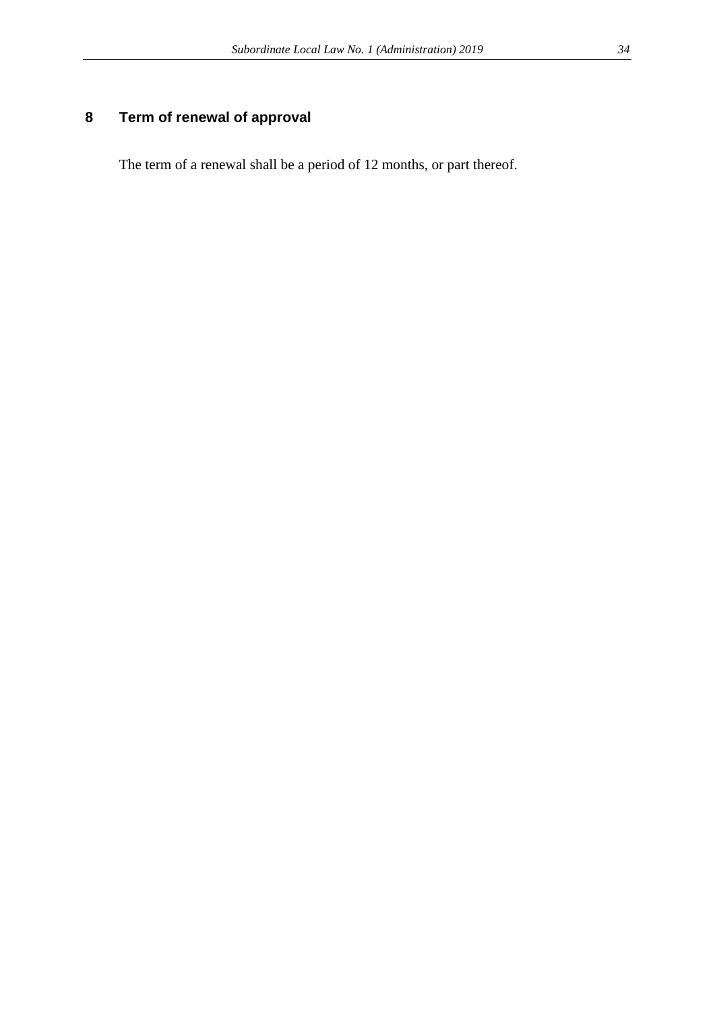## **8 Term of renewal of approval**

The term of a renewal shall be a period of 12 months, or part thereof.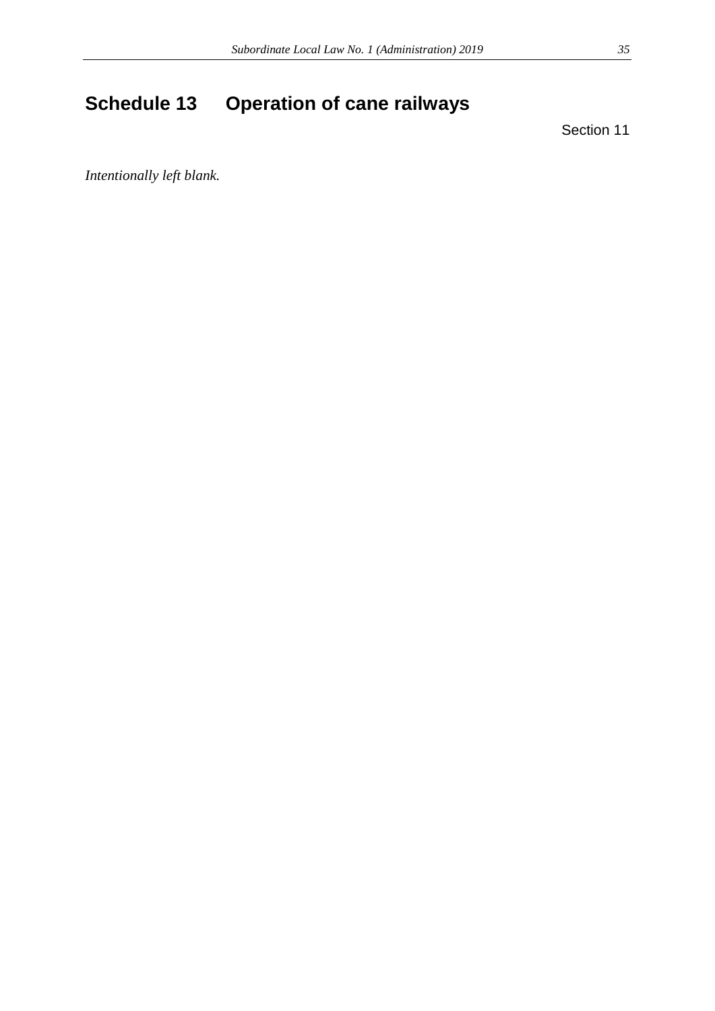# <span id="page-34-0"></span>**Schedule 13 Operation of cane railways**

Section 11

*Intentionally left blank.*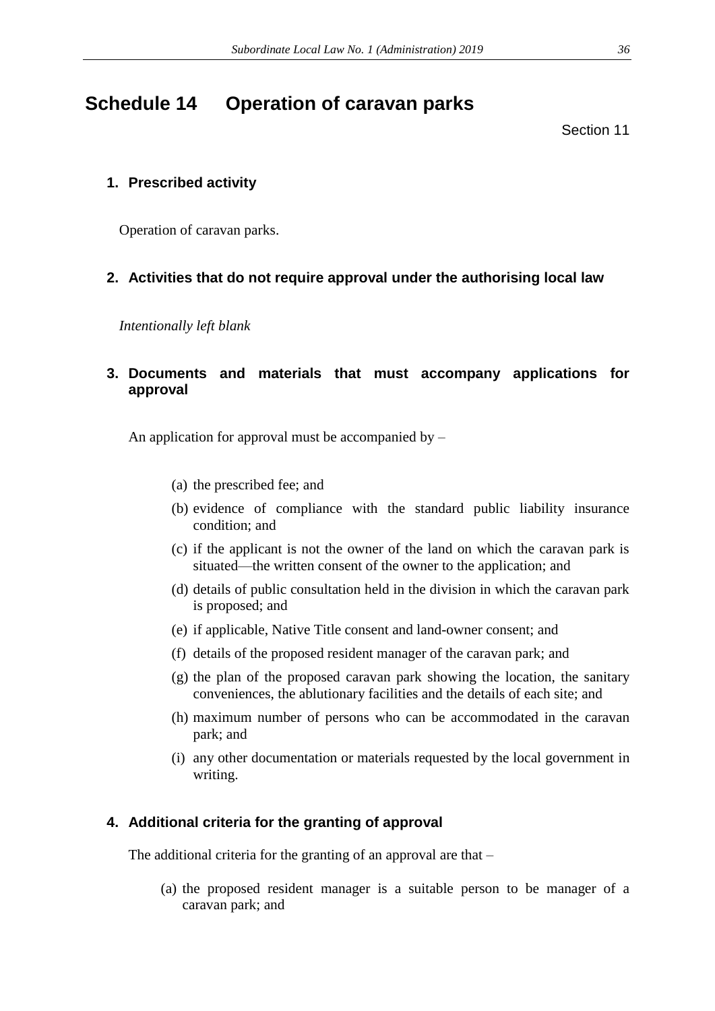## <span id="page-35-0"></span>**Schedule 14 Operation of caravan parks**

Section 11

## **1. Prescribed activity**

Operation of caravan parks.

## **2. Activities that do not require approval under the authorising local law**

*Intentionally left blank*

## **3. Documents and materials that must accompany applications for approval**

An application for approval must be accompanied by –

- (a) the prescribed fee; and
- (b) evidence of compliance with the standard public liability insurance condition; and
- (c) if the applicant is not the owner of the land on which the caravan park is situated—the written consent of the owner to the application; and
- (d) details of public consultation held in the division in which the caravan park is proposed; and
- (e) if applicable, Native Title consent and land-owner consent; and
- (f) details of the proposed resident manager of the caravan park; and
- (g) the plan of the proposed caravan park showing the location, the sanitary conveniences, the ablutionary facilities and the details of each site; and
- (h) maximum number of persons who can be accommodated in the caravan park; and
- (i) any other documentation or materials requested by the local government in writing.

## **4. Additional criteria for the granting of approval**

The additional criteria for the granting of an approval are that –

(a) the proposed resident manager is a suitable person to be manager of a caravan park; and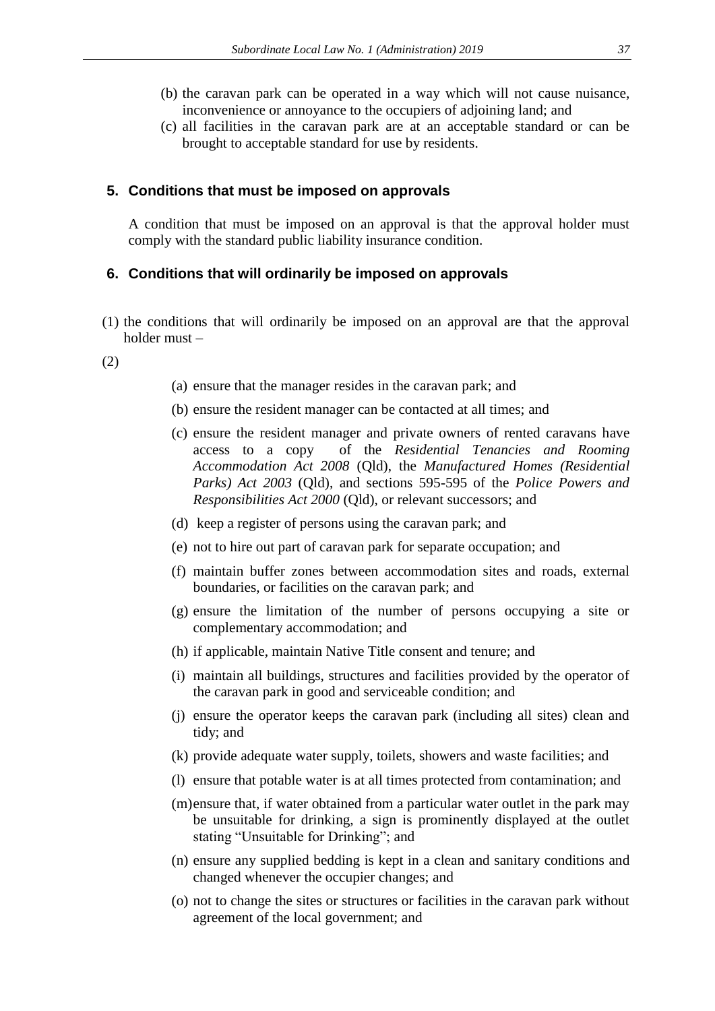- (b) the caravan park can be operated in a way which will not cause nuisance, inconvenience or annoyance to the occupiers of adjoining land; and
- (c) all facilities in the caravan park are at an acceptable standard or can be brought to acceptable standard for use by residents.

#### **5. Conditions that must be imposed on approvals**

A condition that must be imposed on an approval is that the approval holder must comply with the standard public liability insurance condition.

#### **6. Conditions that will ordinarily be imposed on approvals**

(1) the conditions that will ordinarily be imposed on an approval are that the approval holder must –

(2)

- (a) ensure that the manager resides in the caravan park; and
- (b) ensure the resident manager can be contacted at all times; and
- (c) ensure the resident manager and private owners of rented caravans have access to a copy of the *Residential Tenancies and Rooming Accommodation Act 2008* (Qld), the *Manufactured Homes (Residential Parks) Act 2003* (Qld), and sections 595-595 of the *Police Powers and Responsibilities Act 2000* (Qld), or relevant successors; and
- (d) keep a register of persons using the caravan park; and
- (e) not to hire out part of caravan park for separate occupation; and
- (f) maintain buffer zones between accommodation sites and roads, external boundaries, or facilities on the caravan park; and
- (g) ensure the limitation of the number of persons occupying a site or complementary accommodation; and
- (h) if applicable, maintain Native Title consent and tenure; and
- (i) maintain all buildings, structures and facilities provided by the operator of the caravan park in good and serviceable condition; and
- (j) ensure the operator keeps the caravan park (including all sites) clean and tidy; and
- (k) provide adequate water supply, toilets, showers and waste facilities; and
- (l) ensure that potable water is at all times protected from contamination; and
- (m)ensure that, if water obtained from a particular water outlet in the park may be unsuitable for drinking, a sign is prominently displayed at the outlet stating "Unsuitable for Drinking"; and
- (n) ensure any supplied bedding is kept in a clean and sanitary conditions and changed whenever the occupier changes; and
- (o) not to change the sites or structures or facilities in the caravan park without agreement of the local government; and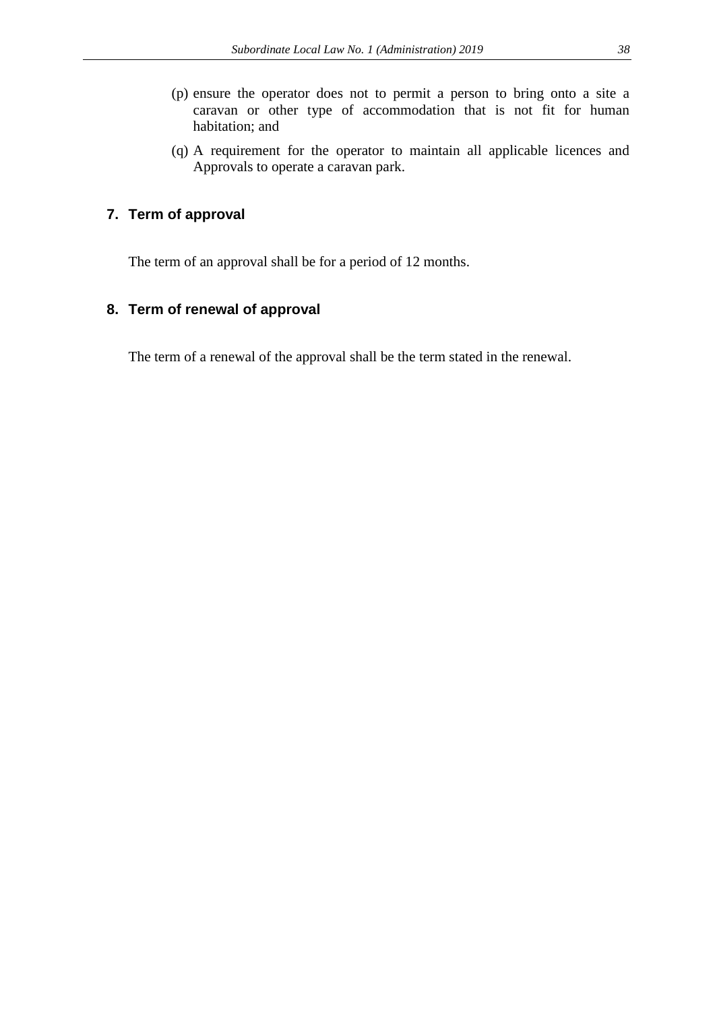- (p) ensure the operator does not to permit a person to bring onto a site a caravan or other type of accommodation that is not fit for human habitation; and
- (q) A requirement for the operator to maintain all applicable licences and Approvals to operate a caravan park.

# **7. Term of approval**

The term of an approval shall be for a period of 12 months.

# **8. Term of renewal of approval**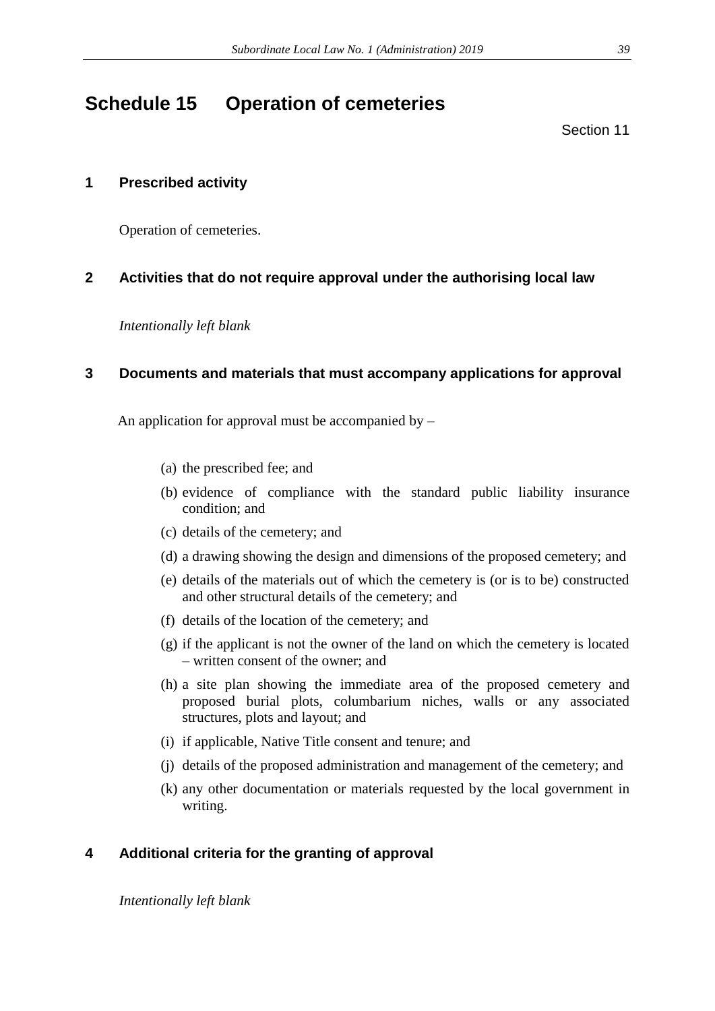# **Schedule 15 Operation of cemeteries**

Section 11

# **1 Prescribed activity**

Operation of cemeteries.

# **2 Activities that do not require approval under the authorising local law**

*Intentionally left blank*

# **3 Documents and materials that must accompany applications for approval**

An application for approval must be accompanied by –

- (a) the prescribed fee; and
- (b) evidence of compliance with the standard public liability insurance condition; and
- (c) details of the cemetery; and
- (d) a drawing showing the design and dimensions of the proposed cemetery; and
- (e) details of the materials out of which the cemetery is (or is to be) constructed and other structural details of the cemetery; and
- (f) details of the location of the cemetery; and
- (g) if the applicant is not the owner of the land on which the cemetery is located – written consent of the owner; and
- (h) a site plan showing the immediate area of the proposed cemetery and proposed burial plots, columbarium niches, walls or any associated structures, plots and layout; and
- (i) if applicable, Native Title consent and tenure; and
- (j) details of the proposed administration and management of the cemetery; and
- (k) any other documentation or materials requested by the local government in writing.

# **4 Additional criteria for the granting of approval**

*Intentionally left blank*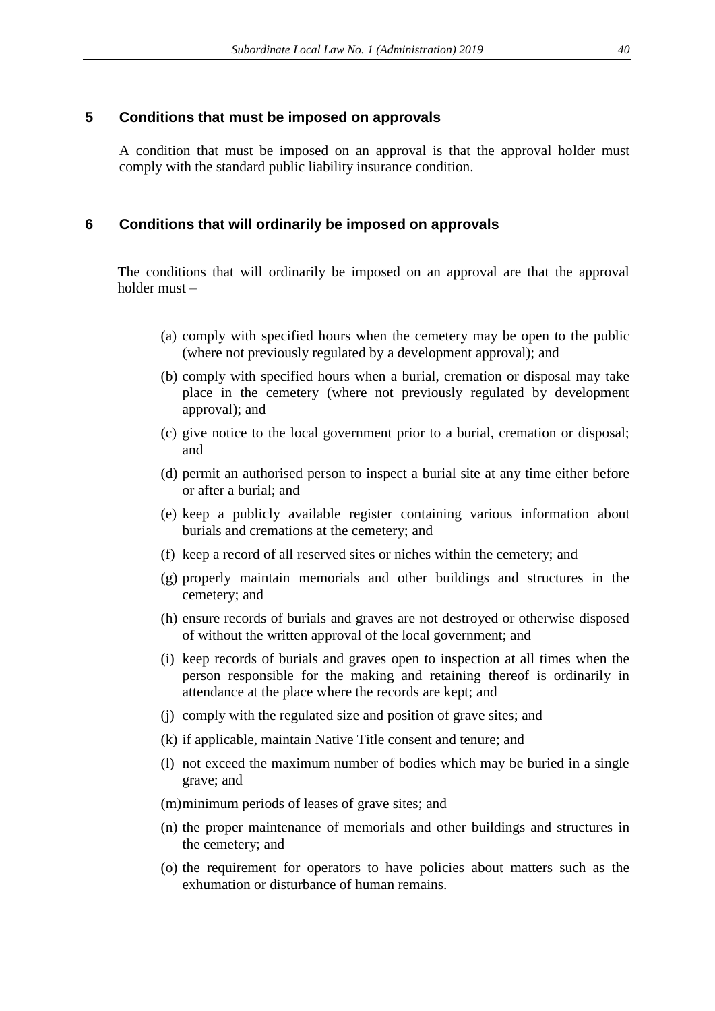### **5 Conditions that must be imposed on approvals**

A condition that must be imposed on an approval is that the approval holder must comply with the standard public liability insurance condition.

### **6 Conditions that will ordinarily be imposed on approvals**

The conditions that will ordinarily be imposed on an approval are that the approval holder must –

- (a) comply with specified hours when the cemetery may be open to the public (where not previously regulated by a development approval); and
- (b) comply with specified hours when a burial, cremation or disposal may take place in the cemetery (where not previously regulated by development approval); and
- (c) give notice to the local government prior to a burial, cremation or disposal; and
- (d) permit an authorised person to inspect a burial site at any time either before or after a burial; and
- (e) keep a publicly available register containing various information about burials and cremations at the cemetery; and
- (f) keep a record of all reserved sites or niches within the cemetery; and
- (g) properly maintain memorials and other buildings and structures in the cemetery; and
- (h) ensure records of burials and graves are not destroyed or otherwise disposed of without the written approval of the local government; and
- (i) keep records of burials and graves open to inspection at all times when the person responsible for the making and retaining thereof is ordinarily in attendance at the place where the records are kept; and
- (j) comply with the regulated size and position of grave sites; and
- (k) if applicable, maintain Native Title consent and tenure; and
- (l) not exceed the maximum number of bodies which may be buried in a single grave; and
- (m)minimum periods of leases of grave sites; and
- (n) the proper maintenance of memorials and other buildings and structures in the cemetery; and
- (o) the requirement for operators to have policies about matters such as the exhumation or disturbance of human remains.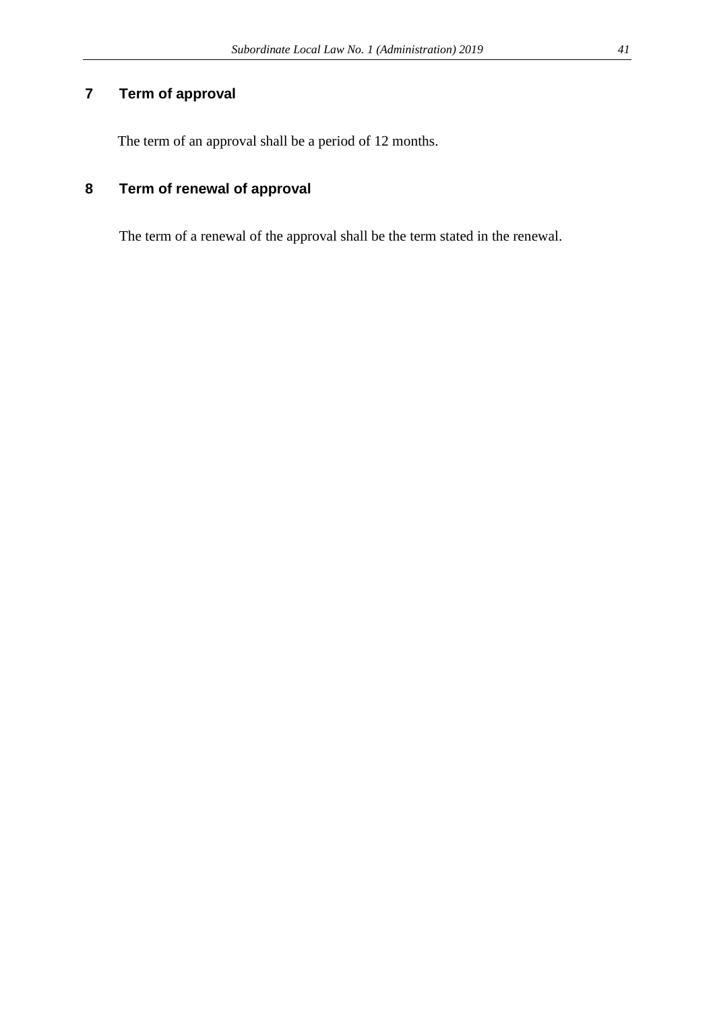# **7 Term of approval**

The term of an approval shall be a period of 12 months.

# **8 Term of renewal of approval**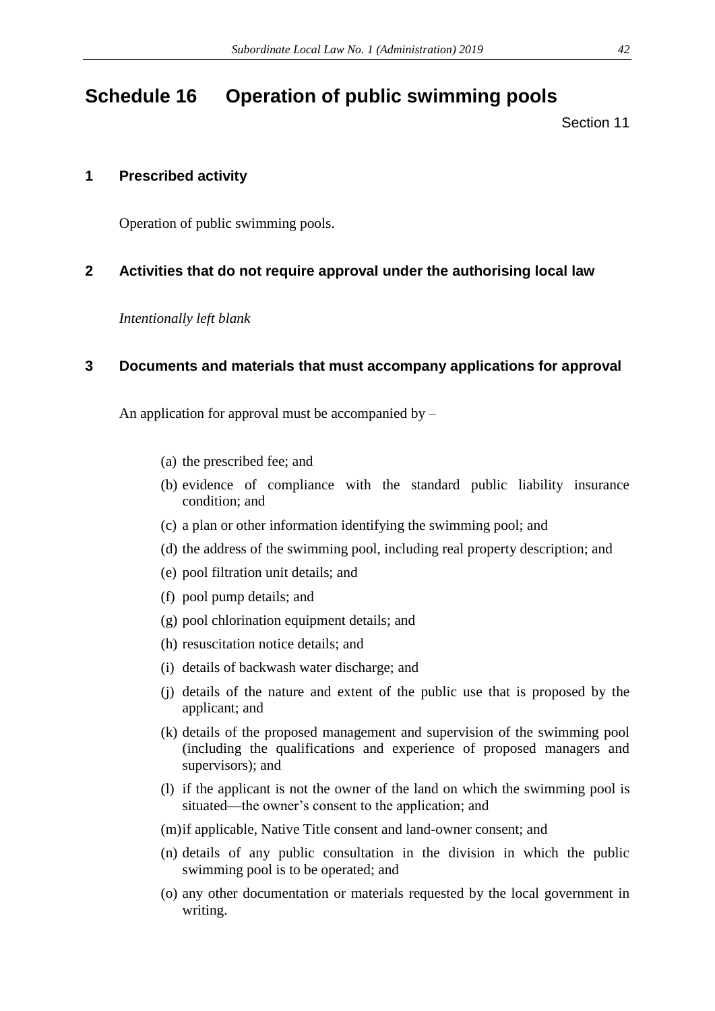# **Schedule 16 Operation of public swimming pools**

Section 11

# **1 Prescribed activity**

Operation of public swimming pools.

# **2 Activities that do not require approval under the authorising local law**

*Intentionally left blank*

## **3 Documents and materials that must accompany applications for approval**

An application for approval must be accompanied by –

- (a) the prescribed fee; and
- (b) evidence of compliance with the standard public liability insurance condition; and
- (c) a plan or other information identifying the swimming pool; and
- (d) the address of the swimming pool, including real property description; and
- (e) pool filtration unit details; and
- (f) pool pump details; and
- (g) pool chlorination equipment details; and
- (h) resuscitation notice details; and
- (i) details of backwash water discharge; and
- (j) details of the nature and extent of the public use that is proposed by the applicant; and
- (k) details of the proposed management and supervision of the swimming pool (including the qualifications and experience of proposed managers and supervisors); and
- (l) if the applicant is not the owner of the land on which the swimming pool is situated—the owner's consent to the application; and
- (m)if applicable, Native Title consent and land-owner consent; and
- (n) details of any public consultation in the division in which the public swimming pool is to be operated; and
- (o) any other documentation or materials requested by the local government in writing.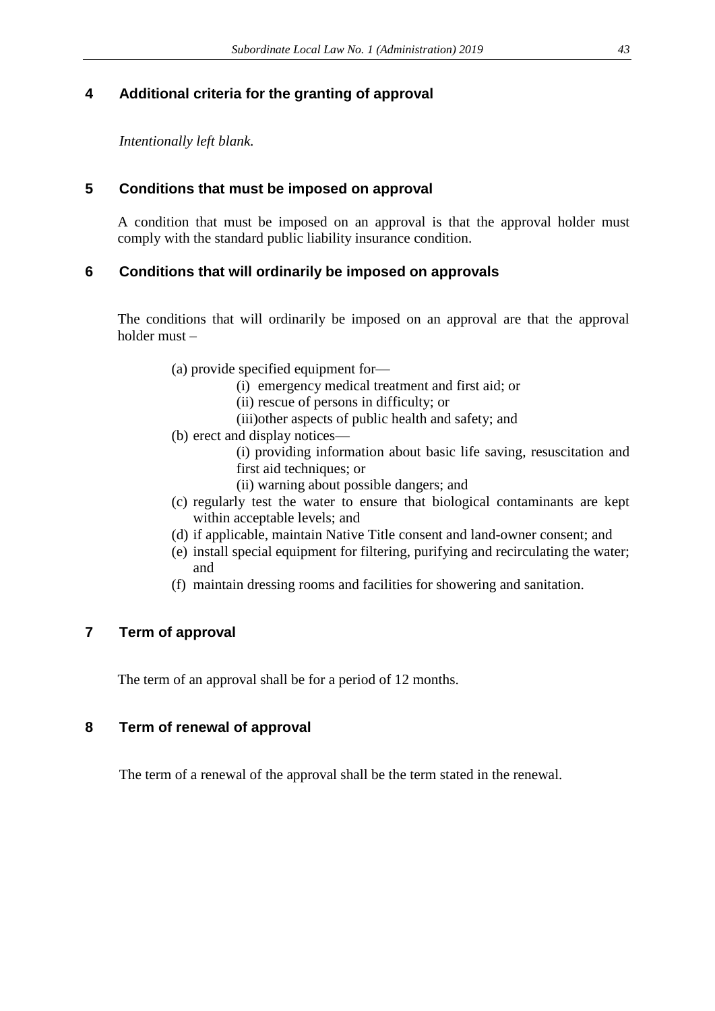# **4 Additional criteria for the granting of approval**

*Intentionally left blank.*

# **5 Conditions that must be imposed on approval**

A condition that must be imposed on an approval is that the approval holder must comply with the standard public liability insurance condition.

# **6 Conditions that will ordinarily be imposed on approvals**

The conditions that will ordinarily be imposed on an approval are that the approval holder must –

- (a) provide specified equipment for—
	- (i) emergency medical treatment and first aid; or
	- (ii) rescue of persons in difficulty; or
	- (iii)other aspects of public health and safety; and
- (b) erect and display notices—

(i) providing information about basic life saving, resuscitation and first aid techniques; or

- (ii) warning about possible dangers; and
- (c) regularly test the water to ensure that biological contaminants are kept within acceptable levels; and
- (d) if applicable, maintain Native Title consent and land-owner consent; and
- (e) install special equipment for filtering, purifying and recirculating the water; and
- (f) maintain dressing rooms and facilities for showering and sanitation.

# **7 Term of approval**

The term of an approval shall be for a period of 12 months.

# **8 Term of renewal of approval**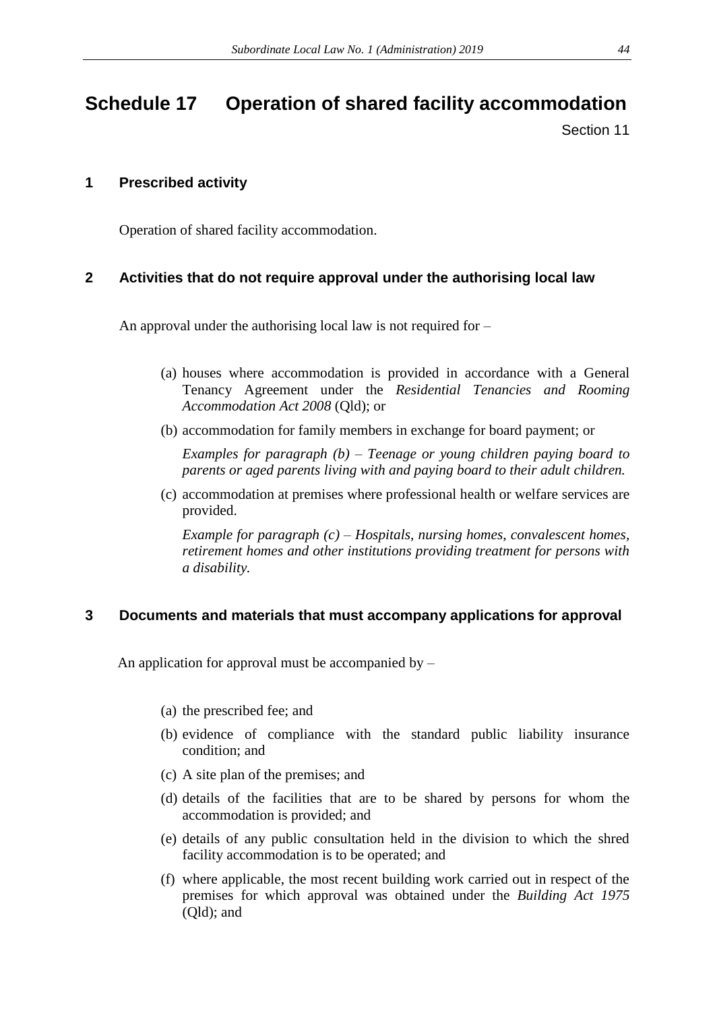# **Schedule 17 Operation of shared facility accommodation**

Section 11

## **1 Prescribed activity**

Operation of shared facility accommodation.

# **2 Activities that do not require approval under the authorising local law**

An approval under the authorising local law is not required for –

- (a) houses where accommodation is provided in accordance with a General Tenancy Agreement under the *Residential Tenancies and Rooming Accommodation Act 2008* (Qld); or
- (b) accommodation for family members in exchange for board payment; or

*Examples for paragraph (b) – Teenage or young children paying board to parents or aged parents living with and paying board to their adult children.* 

(c) accommodation at premises where professional health or welfare services are provided.

*Example for paragraph (c) – Hospitals, nursing homes, convalescent homes, retirement homes and other institutions providing treatment for persons with a disability.* 

### **3 Documents and materials that must accompany applications for approval**

An application for approval must be accompanied by –

- (a) the prescribed fee; and
- (b) evidence of compliance with the standard public liability insurance condition; and
- (c) A site plan of the premises; and
- (d) details of the facilities that are to be shared by persons for whom the accommodation is provided; and
- (e) details of any public consultation held in the division to which the shred facility accommodation is to be operated; and
- (f) where applicable, the most recent building work carried out in respect of the premises for which approval was obtained under the *Building Act 1975*  (Qld); and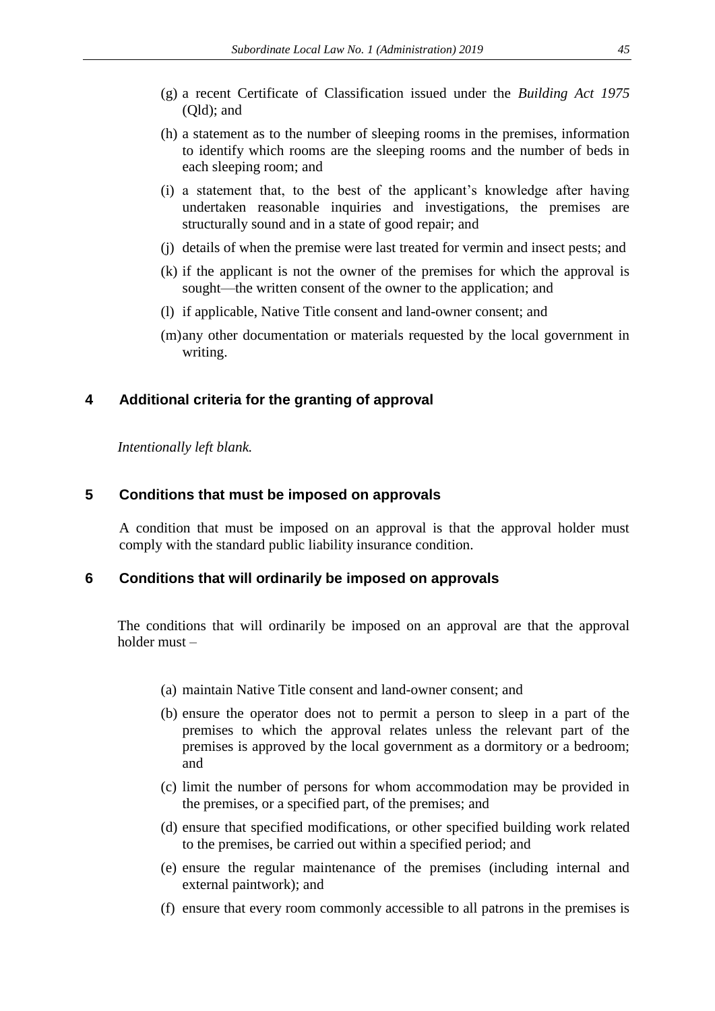- (g) a recent Certificate of Classification issued under the *Building Act 1975*  (Qld); and
- (h) a statement as to the number of sleeping rooms in the premises, information to identify which rooms are the sleeping rooms and the number of beds in each sleeping room; and
- (i) a statement that, to the best of the applicant's knowledge after having undertaken reasonable inquiries and investigations, the premises are structurally sound and in a state of good repair; and
- (j) details of when the premise were last treated for vermin and insect pests; and
- (k) if the applicant is not the owner of the premises for which the approval is sought—the written consent of the owner to the application; and
- (l) if applicable, Native Title consent and land-owner consent; and
- (m)any other documentation or materials requested by the local government in writing.

## **4 Additional criteria for the granting of approval**

*Intentionally left blank.* 

### **5 Conditions that must be imposed on approvals**

A condition that must be imposed on an approval is that the approval holder must comply with the standard public liability insurance condition.

#### **6 Conditions that will ordinarily be imposed on approvals**

The conditions that will ordinarily be imposed on an approval are that the approval holder must –

- (a) maintain Native Title consent and land-owner consent; and
- (b) ensure the operator does not to permit a person to sleep in a part of the premises to which the approval relates unless the relevant part of the premises is approved by the local government as a dormitory or a bedroom; and
- (c) limit the number of persons for whom accommodation may be provided in the premises, or a specified part, of the premises; and
- (d) ensure that specified modifications, or other specified building work related to the premises, be carried out within a specified period; and
- (e) ensure the regular maintenance of the premises (including internal and external paintwork); and
- (f) ensure that every room commonly accessible to all patrons in the premises is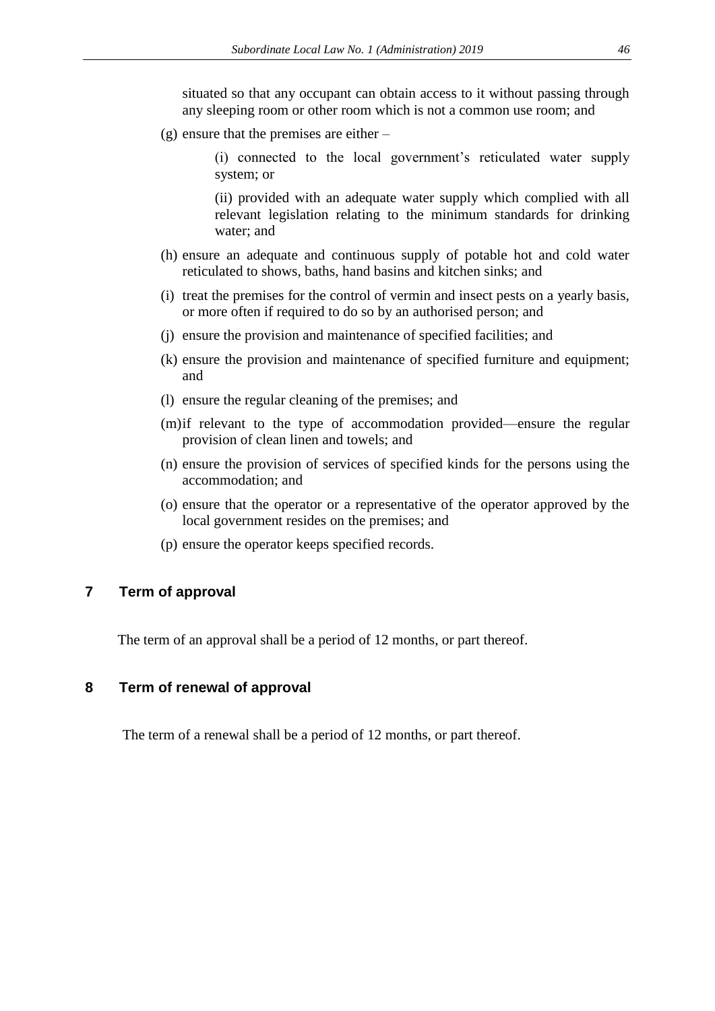situated so that any occupant can obtain access to it without passing through any sleeping room or other room which is not a common use room; and

(g) ensure that the premises are either –

(i) connected to the local government's reticulated water supply system; or

(ii) provided with an adequate water supply which complied with all relevant legislation relating to the minimum standards for drinking water; and

- (h) ensure an adequate and continuous supply of potable hot and cold water reticulated to shows, baths, hand basins and kitchen sinks; and
- (i) treat the premises for the control of vermin and insect pests on a yearly basis, or more often if required to do so by an authorised person; and
- (j) ensure the provision and maintenance of specified facilities; and
- (k) ensure the provision and maintenance of specified furniture and equipment; and
- (l) ensure the regular cleaning of the premises; and
- (m)if relevant to the type of accommodation provided—ensure the regular provision of clean linen and towels; and
- (n) ensure the provision of services of specified kinds for the persons using the accommodation; and
- (o) ensure that the operator or a representative of the operator approved by the local government resides on the premises; and
- (p) ensure the operator keeps specified records.

## **7 Term of approval**

The term of an approval shall be a period of 12 months, or part thereof.

### **8 Term of renewal of approval**

The term of a renewal shall be a period of 12 months, or part thereof.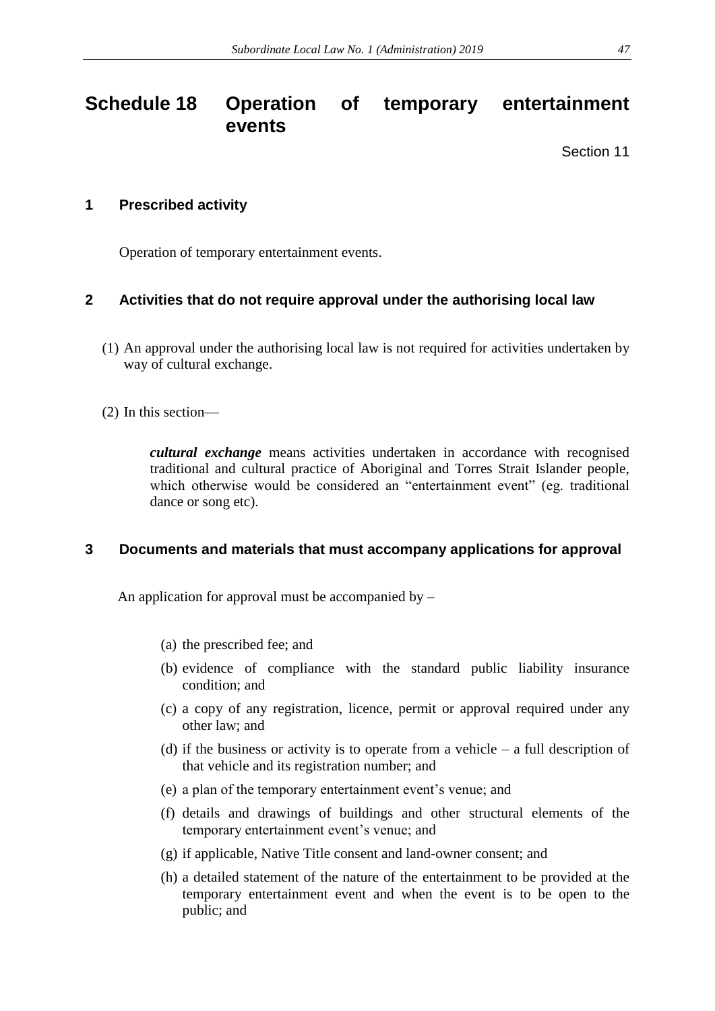# **Schedule 18 Operation of temporary entertainment events**

Section 11

# **1 Prescribed activity**

Operation of temporary entertainment events.

# **2 Activities that do not require approval under the authorising local law**

- (1) An approval under the authorising local law is not required for activities undertaken by way of cultural exchange.
- (2) In this section—

*cultural exchange* means activities undertaken in accordance with recognised traditional and cultural practice of Aboriginal and Torres Strait Islander people, which otherwise would be considered an "entertainment event" (eg. traditional dance or song etc).

# **3 Documents and materials that must accompany applications for approval**

An application for approval must be accompanied by  $-$ 

- (a) the prescribed fee; and
- (b) evidence of compliance with the standard public liability insurance condition; and
- (c) a copy of any registration, licence, permit or approval required under any other law; and
- (d) if the business or activity is to operate from a vehicle a full description of that vehicle and its registration number; and
- (e) a plan of the temporary entertainment event's venue; and
- (f) details and drawings of buildings and other structural elements of the temporary entertainment event's venue; and
- (g) if applicable, Native Title consent and land-owner consent; and
- (h) a detailed statement of the nature of the entertainment to be provided at the temporary entertainment event and when the event is to be open to the public; and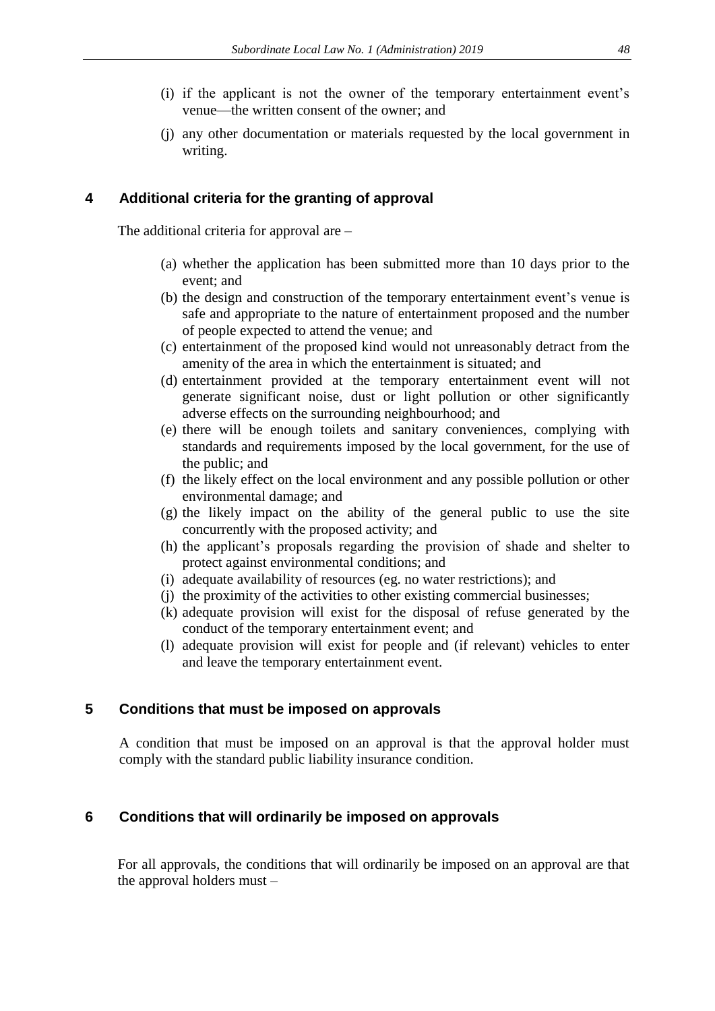- (i) if the applicant is not the owner of the temporary entertainment event's venue—the written consent of the owner; and
- (j) any other documentation or materials requested by the local government in writing.

## **4 Additional criteria for the granting of approval**

The additional criteria for approval are –

- (a) whether the application has been submitted more than 10 days prior to the event; and
- (b) the design and construction of the temporary entertainment event's venue is safe and appropriate to the nature of entertainment proposed and the number of people expected to attend the venue; and
- (c) entertainment of the proposed kind would not unreasonably detract from the amenity of the area in which the entertainment is situated; and
- (d) entertainment provided at the temporary entertainment event will not generate significant noise, dust or light pollution or other significantly adverse effects on the surrounding neighbourhood; and
- (e) there will be enough toilets and sanitary conveniences, complying with standards and requirements imposed by the local government, for the use of the public; and
- (f) the likely effect on the local environment and any possible pollution or other environmental damage; and
- (g) the likely impact on the ability of the general public to use the site concurrently with the proposed activity; and
- (h) the applicant's proposals regarding the provision of shade and shelter to protect against environmental conditions; and
- (i) adequate availability of resources (eg. no water restrictions); and
- (j) the proximity of the activities to other existing commercial businesses;
- (k) adequate provision will exist for the disposal of refuse generated by the conduct of the temporary entertainment event; and
- (l) adequate provision will exist for people and (if relevant) vehicles to enter and leave the temporary entertainment event.

### **5 Conditions that must be imposed on approvals**

A condition that must be imposed on an approval is that the approval holder must comply with the standard public liability insurance condition.

### **6 Conditions that will ordinarily be imposed on approvals**

For all approvals, the conditions that will ordinarily be imposed on an approval are that the approval holders must –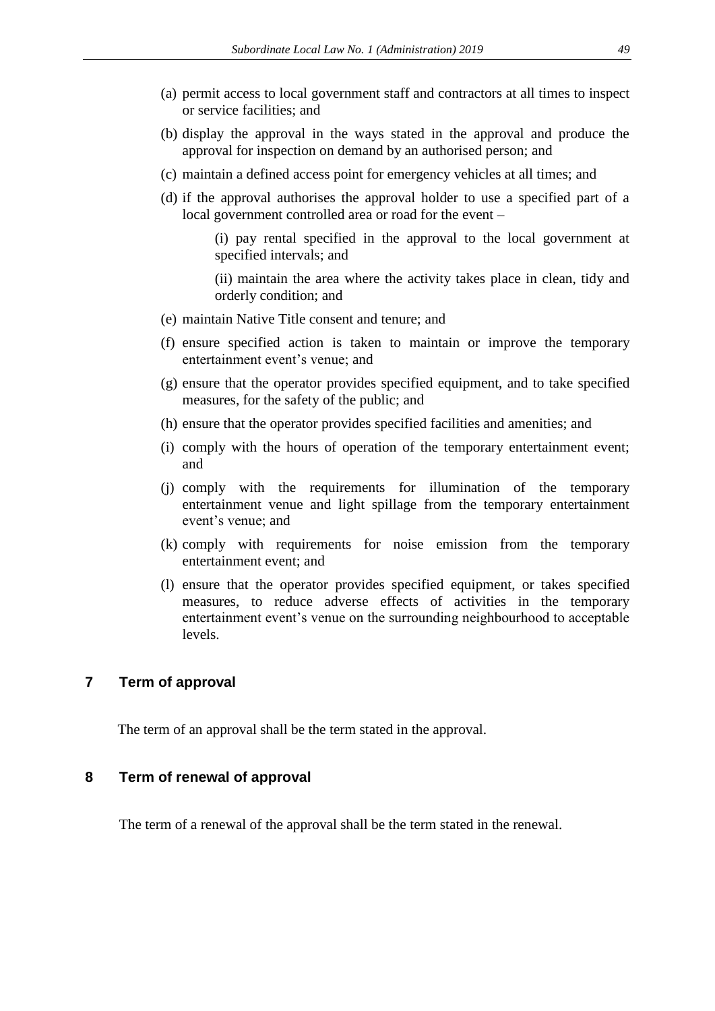- (a) permit access to local government staff and contractors at all times to inspect or service facilities; and
- (b) display the approval in the ways stated in the approval and produce the approval for inspection on demand by an authorised person; and
- (c) maintain a defined access point for emergency vehicles at all times; and
- (d) if the approval authorises the approval holder to use a specified part of a local government controlled area or road for the event –
	- (i) pay rental specified in the approval to the local government at specified intervals; and
	- (ii) maintain the area where the activity takes place in clean, tidy and orderly condition; and
- (e) maintain Native Title consent and tenure; and
- (f) ensure specified action is taken to maintain or improve the temporary entertainment event's venue; and
- (g) ensure that the operator provides specified equipment, and to take specified measures, for the safety of the public; and
- (h) ensure that the operator provides specified facilities and amenities; and
- (i) comply with the hours of operation of the temporary entertainment event; and
- (j) comply with the requirements for illumination of the temporary entertainment venue and light spillage from the temporary entertainment event's venue; and
- (k) comply with requirements for noise emission from the temporary entertainment event; and
- (l) ensure that the operator provides specified equipment, or takes specified measures, to reduce adverse effects of activities in the temporary entertainment event's venue on the surrounding neighbourhood to acceptable levels.

### **7 Term of approval**

The term of an approval shall be the term stated in the approval.

### **8 Term of renewal of approval**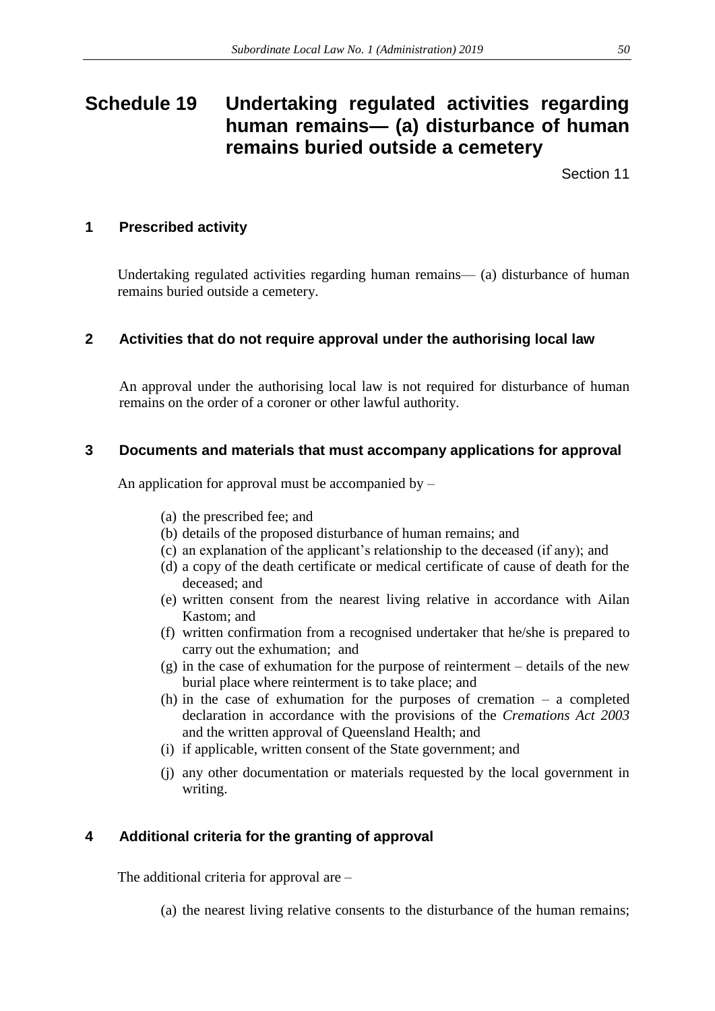# **Schedule 19 Undertaking regulated activities regarding human remains— (a) disturbance of human remains buried outside a cemetery**

Section 11

# **1 Prescribed activity**

Undertaking regulated activities regarding human remains— (a) disturbance of human remains buried outside a cemetery.

# **2 Activities that do not require approval under the authorising local law**

An approval under the authorising local law is not required for disturbance of human remains on the order of a coroner or other lawful authority.

# **3 Documents and materials that must accompany applications for approval**

An application for approval must be accompanied by  $-$ 

- (a) the prescribed fee; and
- (b) details of the proposed disturbance of human remains; and
- (c) an explanation of the applicant's relationship to the deceased (if any); and
- (d) a copy of the death certificate or medical certificate of cause of death for the deceased; and
- (e) written consent from the nearest living relative in accordance with Ailan Kastom; and
- (f) written confirmation from a recognised undertaker that he/she is prepared to carry out the exhumation; and
- (g) in the case of exhumation for the purpose of reinterment details of the new burial place where reinterment is to take place; and
- (h) in the case of exhumation for the purposes of cremation a completed declaration in accordance with the provisions of the *Cremations Act 2003*  and the written approval of Queensland Health; and
- (i) if applicable, written consent of the State government; and
- (j) any other documentation or materials requested by the local government in writing.

# **4 Additional criteria for the granting of approval**

The additional criteria for approval are –

(a) the nearest living relative consents to the disturbance of the human remains;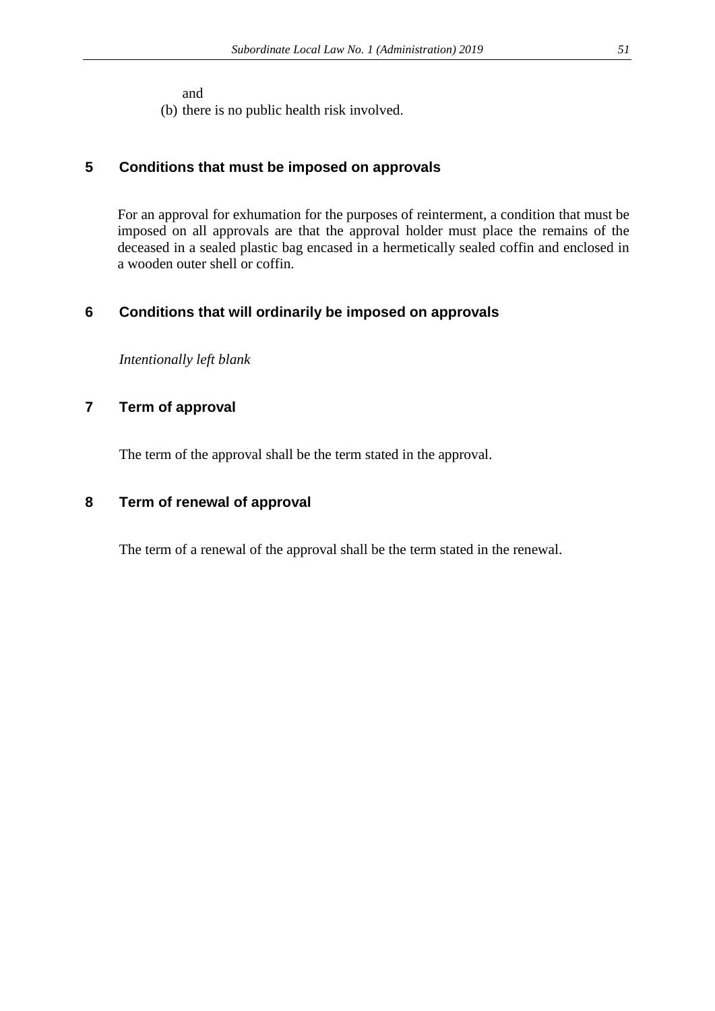and

(b) there is no public health risk involved.

# **5 Conditions that must be imposed on approvals**

For an approval for exhumation for the purposes of reinterment, a condition that must be imposed on all approvals are that the approval holder must place the remains of the deceased in a sealed plastic bag encased in a hermetically sealed coffin and enclosed in a wooden outer shell or coffin.

# **6 Conditions that will ordinarily be imposed on approvals**

*Intentionally left blank*

# **7 Term of approval**

The term of the approval shall be the term stated in the approval.

# **8 Term of renewal of approval**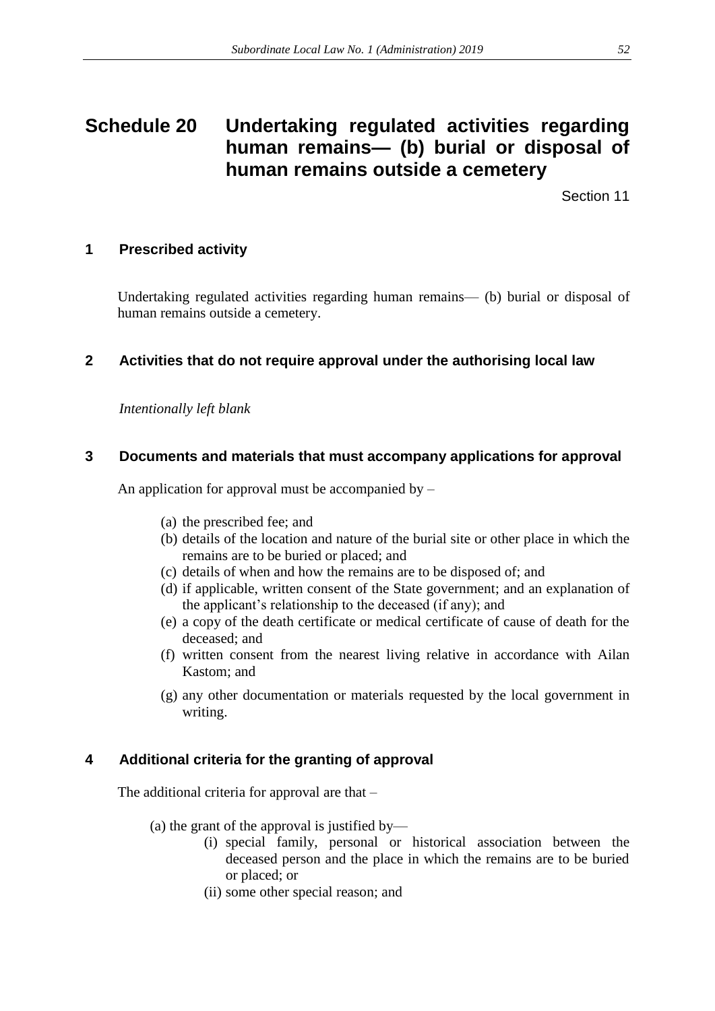# **Schedule 20 Undertaking regulated activities regarding human remains— (b) burial or disposal of human remains outside a cemetery**

Section 11

# **1 Prescribed activity**

Undertaking regulated activities regarding human remains— (b) burial or disposal of human remains outside a cemetery.

# **2 Activities that do not require approval under the authorising local law**

*Intentionally left blank*

# **3 Documents and materials that must accompany applications for approval**

An application for approval must be accompanied by –

- (a) the prescribed fee; and
- (b) details of the location and nature of the burial site or other place in which the remains are to be buried or placed; and
- (c) details of when and how the remains are to be disposed of; and
- (d) if applicable, written consent of the State government; and an explanation of the applicant's relationship to the deceased (if any); and
- (e) a copy of the death certificate or medical certificate of cause of death for the deceased; and
- (f) written consent from the nearest living relative in accordance with Ailan Kastom; and
- (g) any other documentation or materials requested by the local government in writing.

# **4 Additional criteria for the granting of approval**

The additional criteria for approval are that –

- (a) the grant of the approval is justified by—
	- (i) special family, personal or historical association between the deceased person and the place in which the remains are to be buried or placed; or
	- (ii) some other special reason; and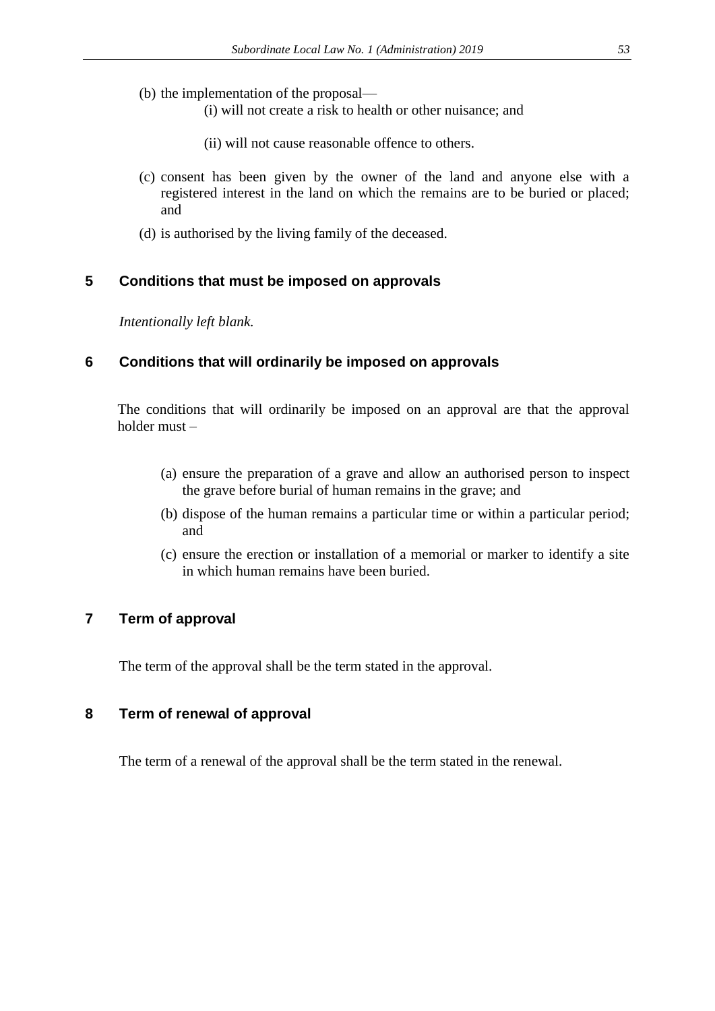- (b) the implementation of the proposal—
	- (i) will not create a risk to health or other nuisance; and
	- (ii) will not cause reasonable offence to others.
- (c) consent has been given by the owner of the land and anyone else with a registered interest in the land on which the remains are to be buried or placed; and
- (d) is authorised by the living family of the deceased.

### **5 Conditions that must be imposed on approvals**

*Intentionally left blank.* 

### **6 Conditions that will ordinarily be imposed on approvals**

The conditions that will ordinarily be imposed on an approval are that the approval holder must –

- (a) ensure the preparation of a grave and allow an authorised person to inspect the grave before burial of human remains in the grave; and
- (b) dispose of the human remains a particular time or within a particular period; and
- (c) ensure the erection or installation of a memorial or marker to identify a site in which human remains have been buried.

# **7 Term of approval**

The term of the approval shall be the term stated in the approval.

### **8 Term of renewal of approval**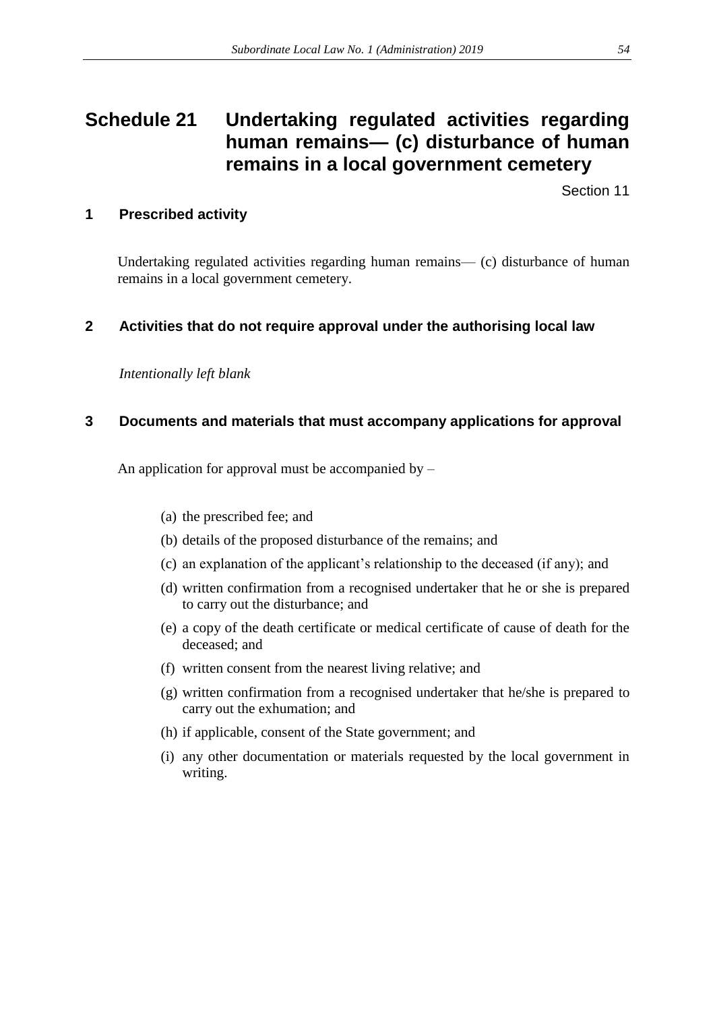# **Schedule 21 Undertaking regulated activities regarding human remains— (c) disturbance of human remains in a local government cemetery**

Section 11

# **1 Prescribed activity**

Undertaking regulated activities regarding human remains— (c) disturbance of human remains in a local government cemetery.

# **2 Activities that do not require approval under the authorising local law**

*Intentionally left blank*

# **3 Documents and materials that must accompany applications for approval**

An application for approval must be accompanied by  $-$ 

- (a) the prescribed fee; and
- (b) details of the proposed disturbance of the remains; and
- (c) an explanation of the applicant's relationship to the deceased (if any); and
- (d) written confirmation from a recognised undertaker that he or she is prepared to carry out the disturbance; and
- (e) a copy of the death certificate or medical certificate of cause of death for the deceased; and
- (f) written consent from the nearest living relative; and
- (g) written confirmation from a recognised undertaker that he/she is prepared to carry out the exhumation; and
- (h) if applicable, consent of the State government; and
- (i) any other documentation or materials requested by the local government in writing.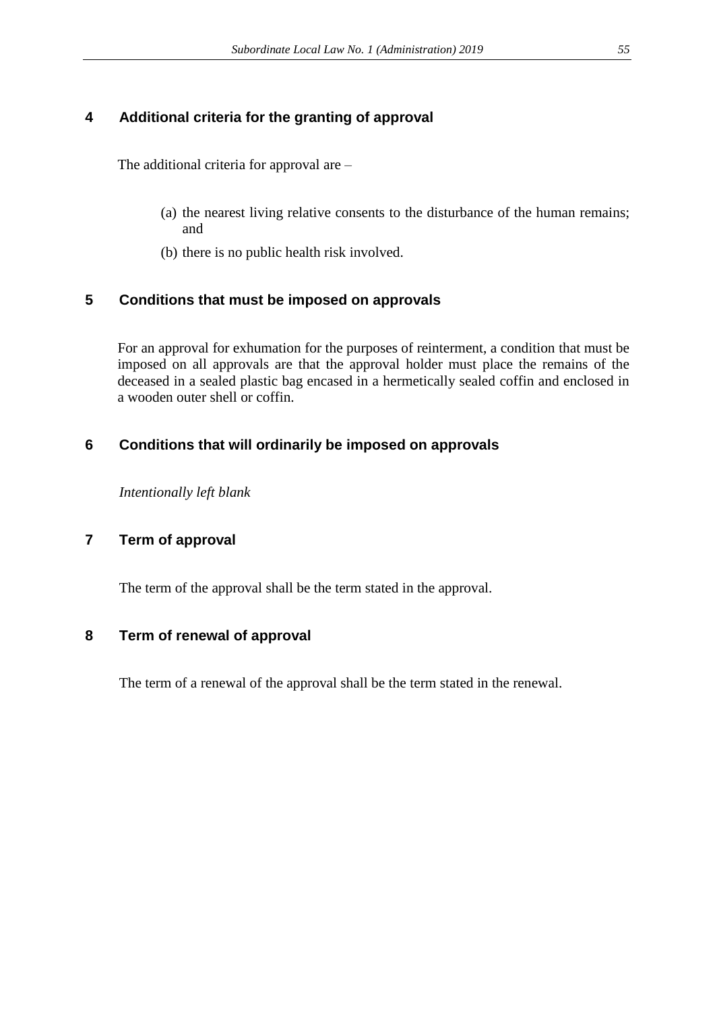# **4 Additional criteria for the granting of approval**

The additional criteria for approval are –

- (a) the nearest living relative consents to the disturbance of the human remains; and
- (b) there is no public health risk involved.

# **5 Conditions that must be imposed on approvals**

For an approval for exhumation for the purposes of reinterment, a condition that must be imposed on all approvals are that the approval holder must place the remains of the deceased in a sealed plastic bag encased in a hermetically sealed coffin and enclosed in a wooden outer shell or coffin.

# **6 Conditions that will ordinarily be imposed on approvals**

*Intentionally left blank*

# **7 Term of approval**

The term of the approval shall be the term stated in the approval.

# **8 Term of renewal of approval**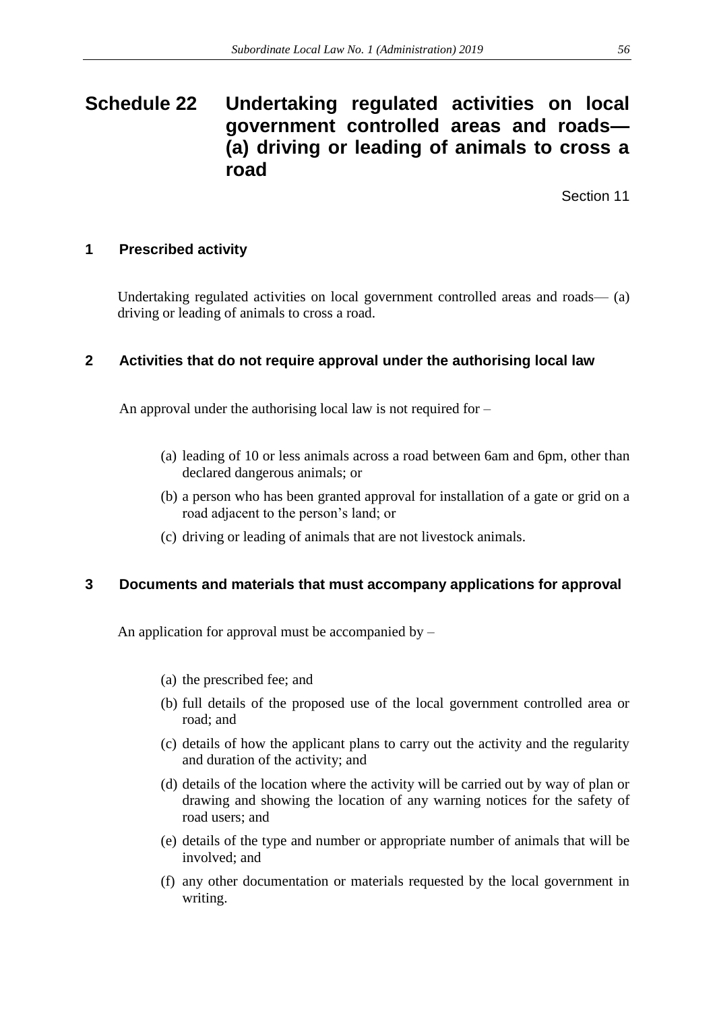# **Schedule 22 Undertaking regulated activities on local government controlled areas and roads— (a) driving or leading of animals to cross a road**

Section 11

# **1 Prescribed activity**

Undertaking regulated activities on local government controlled areas and roads— (a) driving or leading of animals to cross a road.

# **2 Activities that do not require approval under the authorising local law**

An approval under the authorising local law is not required for –

- (a) leading of 10 or less animals across a road between 6am and 6pm, other than declared dangerous animals; or
- (b) a person who has been granted approval for installation of a gate or grid on a road adjacent to the person's land; or
- (c) driving or leading of animals that are not livestock animals.

# **3 Documents and materials that must accompany applications for approval**

An application for approval must be accompanied by  $-$ 

- (a) the prescribed fee; and
- (b) full details of the proposed use of the local government controlled area or road; and
- (c) details of how the applicant plans to carry out the activity and the regularity and duration of the activity; and
- (d) details of the location where the activity will be carried out by way of plan or drawing and showing the location of any warning notices for the safety of road users; and
- (e) details of the type and number or appropriate number of animals that will be involved; and
- (f) any other documentation or materials requested by the local government in writing.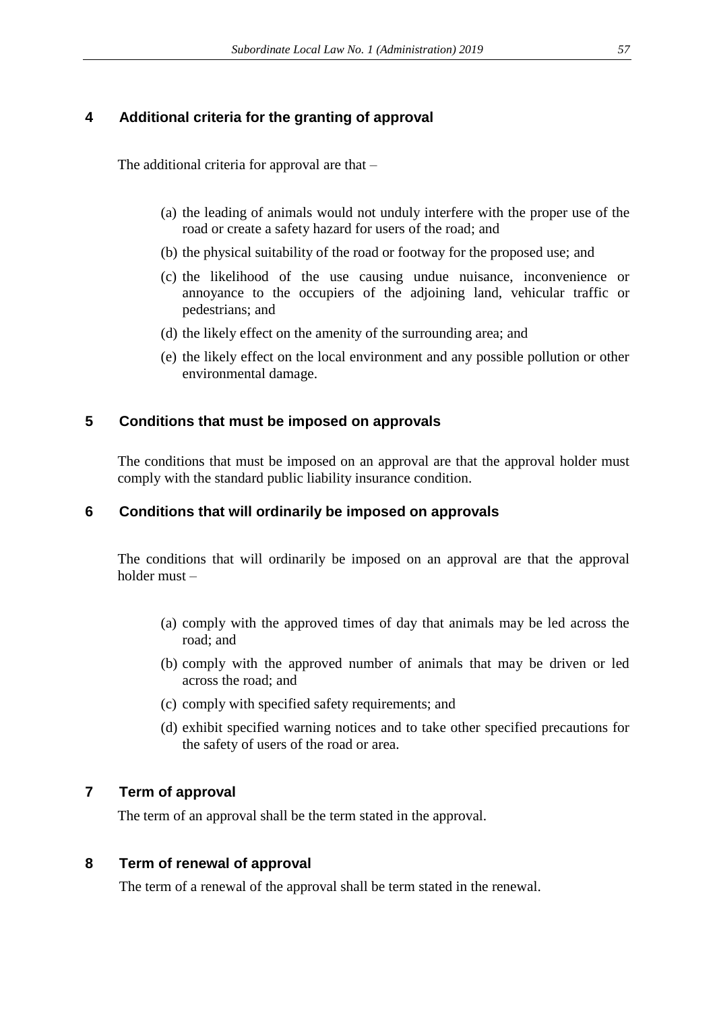# **4 Additional criteria for the granting of approval**

The additional criteria for approval are that –

- (a) the leading of animals would not unduly interfere with the proper use of the road or create a safety hazard for users of the road; and
- (b) the physical suitability of the road or footway for the proposed use; and
- (c) the likelihood of the use causing undue nuisance, inconvenience or annoyance to the occupiers of the adjoining land, vehicular traffic or pedestrians; and
- (d) the likely effect on the amenity of the surrounding area; and
- (e) the likely effect on the local environment and any possible pollution or other environmental damage.

# **5 Conditions that must be imposed on approvals**

The conditions that must be imposed on an approval are that the approval holder must comply with the standard public liability insurance condition.

# **6 Conditions that will ordinarily be imposed on approvals**

The conditions that will ordinarily be imposed on an approval are that the approval holder must –

- (a) comply with the approved times of day that animals may be led across the road; and
- (b) comply with the approved number of animals that may be driven or led across the road; and
- (c) comply with specified safety requirements; and
- (d) exhibit specified warning notices and to take other specified precautions for the safety of users of the road or area.

# **7 Term of approval**

The term of an approval shall be the term stated in the approval.

# **8 Term of renewal of approval**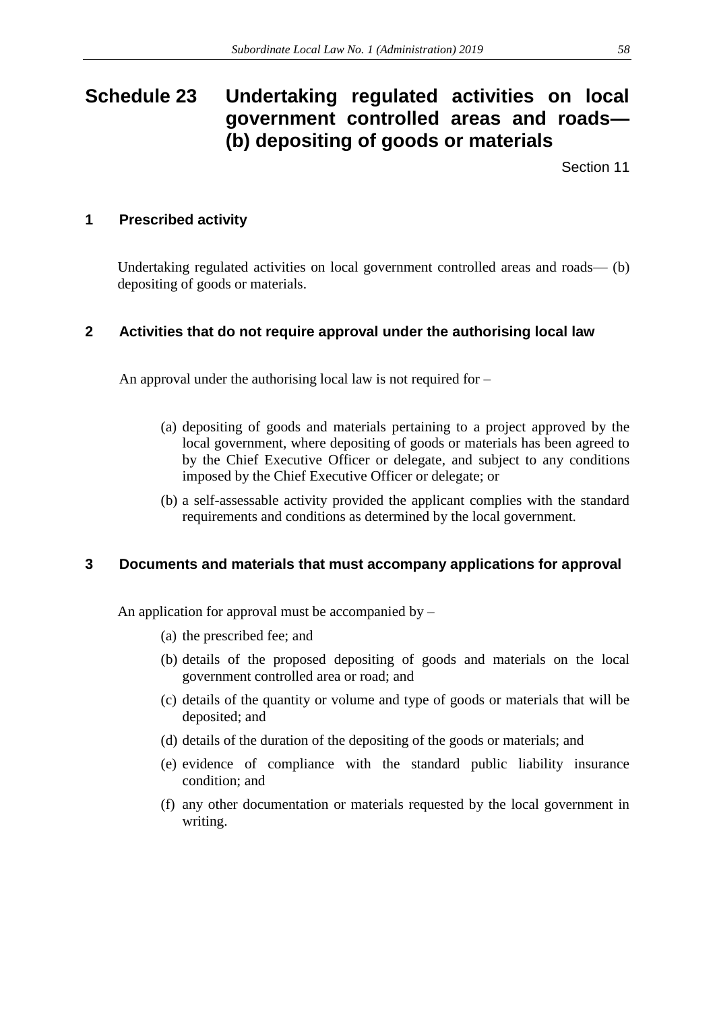# **Schedule 23 Undertaking regulated activities on local government controlled areas and roads— (b) depositing of goods or materials**

Section 11

# **1 Prescribed activity**

Undertaking regulated activities on local government controlled areas and roads— (b) depositing of goods or materials.

# **2 Activities that do not require approval under the authorising local law**

An approval under the authorising local law is not required for –

- (a) depositing of goods and materials pertaining to a project approved by the local government, where depositing of goods or materials has been agreed to by the Chief Executive Officer or delegate, and subject to any conditions imposed by the Chief Executive Officer or delegate; or
- (b) a self-assessable activity provided the applicant complies with the standard requirements and conditions as determined by the local government.

# **3 Documents and materials that must accompany applications for approval**

An application for approval must be accompanied by  $-$ 

- (a) the prescribed fee; and
- (b) details of the proposed depositing of goods and materials on the local government controlled area or road; and
- (c) details of the quantity or volume and type of goods or materials that will be deposited; and
- (d) details of the duration of the depositing of the goods or materials; and
- (e) evidence of compliance with the standard public liability insurance condition; and
- (f) any other documentation or materials requested by the local government in writing.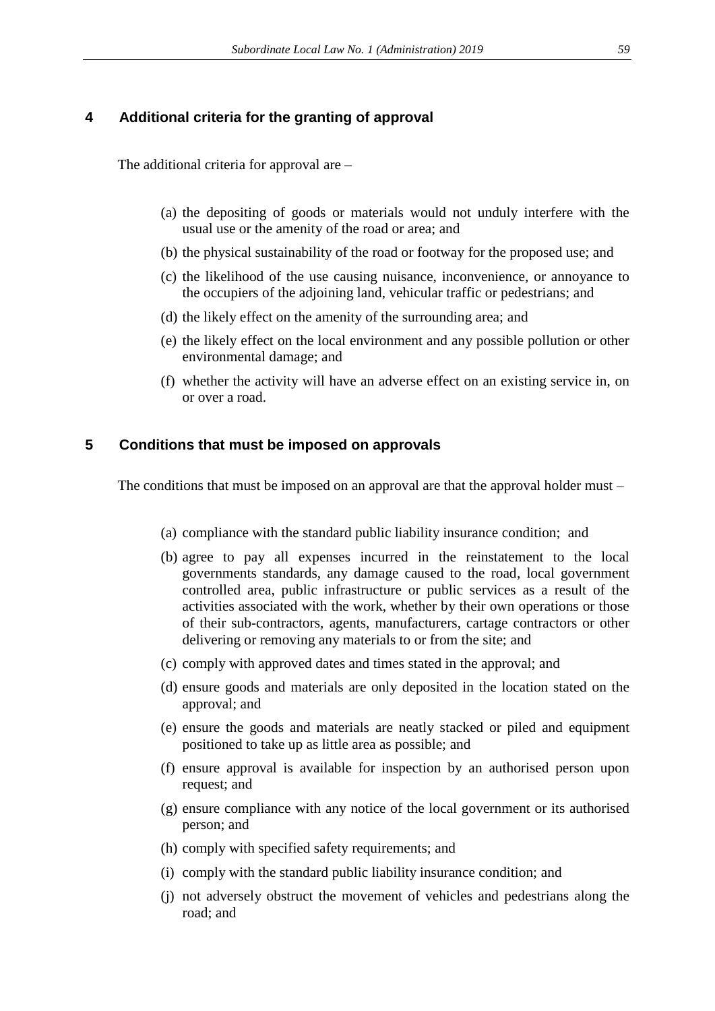### **4 Additional criteria for the granting of approval**

The additional criteria for approval are –

- (a) the depositing of goods or materials would not unduly interfere with the usual use or the amenity of the road or area; and
- (b) the physical sustainability of the road or footway for the proposed use; and
- (c) the likelihood of the use causing nuisance, inconvenience, or annoyance to the occupiers of the adjoining land, vehicular traffic or pedestrians; and
- (d) the likely effect on the amenity of the surrounding area; and
- (e) the likely effect on the local environment and any possible pollution or other environmental damage; and
- (f) whether the activity will have an adverse effect on an existing service in, on or over a road.

### **5 Conditions that must be imposed on approvals**

The conditions that must be imposed on an approval are that the approval holder must –

- (a) compliance with the standard public liability insurance condition; and
- (b) agree to pay all expenses incurred in the reinstatement to the local governments standards, any damage caused to the road, local government controlled area, public infrastructure or public services as a result of the activities associated with the work, whether by their own operations or those of their sub-contractors, agents, manufacturers, cartage contractors or other delivering or removing any materials to or from the site; and
- (c) comply with approved dates and times stated in the approval; and
- (d) ensure goods and materials are only deposited in the location stated on the approval; and
- (e) ensure the goods and materials are neatly stacked or piled and equipment positioned to take up as little area as possible; and
- (f) ensure approval is available for inspection by an authorised person upon request; and
- (g) ensure compliance with any notice of the local government or its authorised person; and
- (h) comply with specified safety requirements; and
- (i) comply with the standard public liability insurance condition; and
- (j) not adversely obstruct the movement of vehicles and pedestrians along the road; and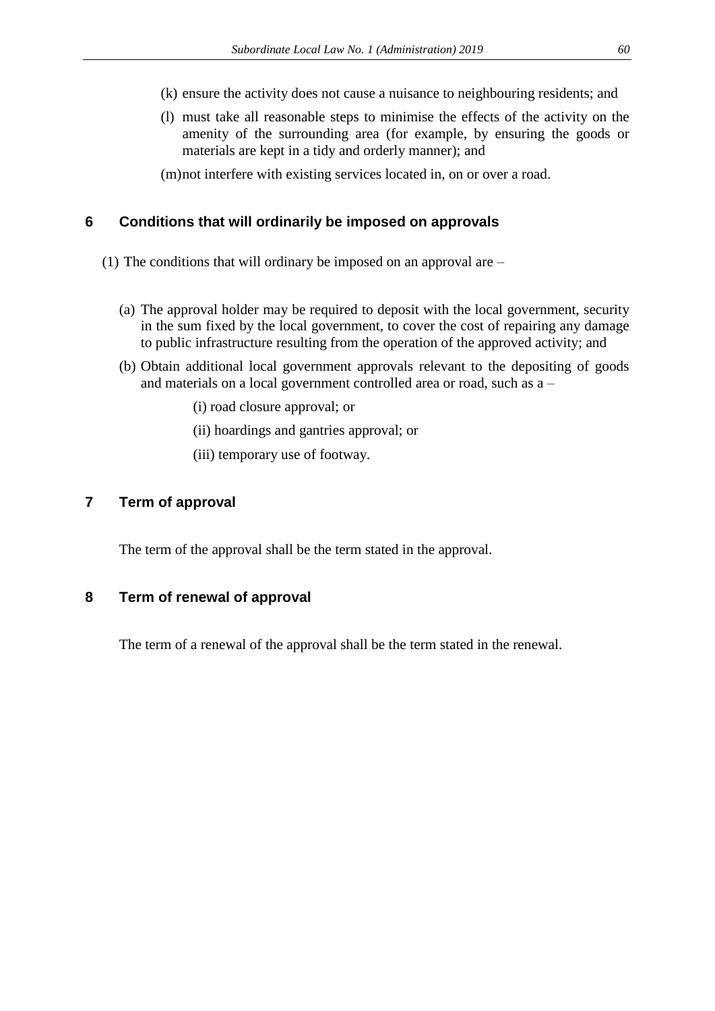- (k) ensure the activity does not cause a nuisance to neighbouring residents; and
- (l) must take all reasonable steps to minimise the effects of the activity on the amenity of the surrounding area (for example, by ensuring the goods or materials are kept in a tidy and orderly manner); and

(m)not interfere with existing services located in, on or over a road.

# **6 Conditions that will ordinarily be imposed on approvals**

- (1) The conditions that will ordinary be imposed on an approval are
	- (a) The approval holder may be required to deposit with the local government, security in the sum fixed by the local government, to cover the cost of repairing any damage to public infrastructure resulting from the operation of the approved activity; and
	- (b) Obtain additional local government approvals relevant to the depositing of goods and materials on a local government controlled area or road, such as a –
		- (i) road closure approval; or
		- (ii) hoardings and gantries approval; or
		- (iii) temporary use of footway.

# **7 Term of approval**

The term of the approval shall be the term stated in the approval.

# **8 Term of renewal of approval**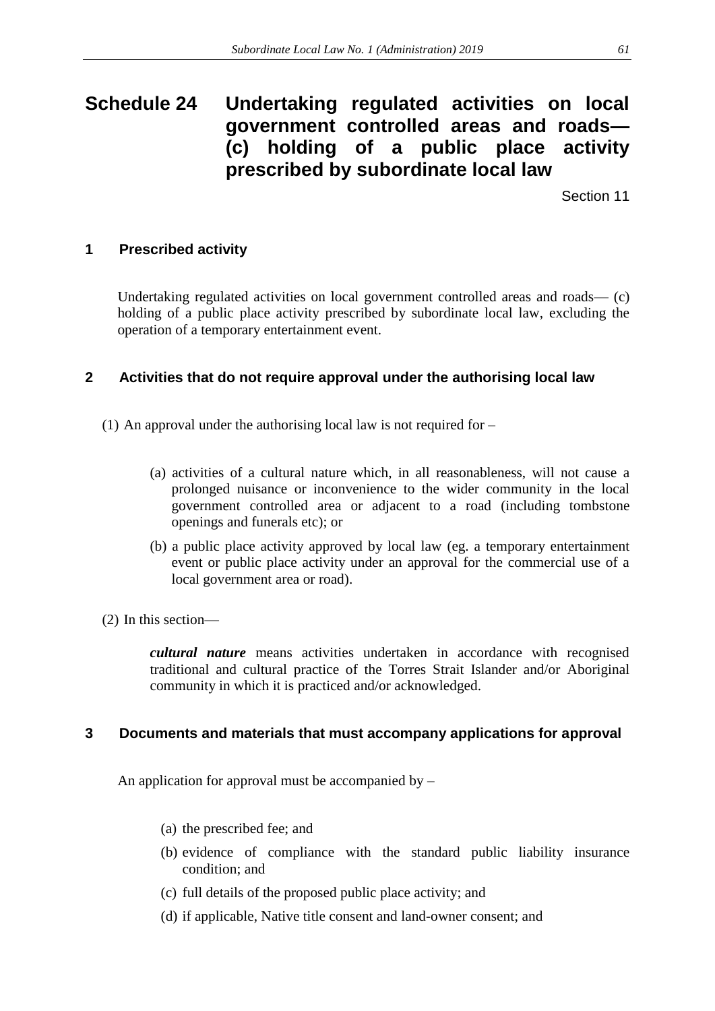# **Schedule 24 Undertaking regulated activities on local government controlled areas and roads— (c) holding of a public place activity prescribed by subordinate local law**

Section 11

# **1 Prescribed activity**

Undertaking regulated activities on local government controlled areas and roads— (c) holding of a public place activity prescribed by subordinate local law, excluding the operation of a temporary entertainment event.

# **2 Activities that do not require approval under the authorising local law**

- (1) An approval under the authorising local law is not required for
	- (a) activities of a cultural nature which, in all reasonableness, will not cause a prolonged nuisance or inconvenience to the wider community in the local government controlled area or adjacent to a road (including tombstone openings and funerals etc); or
	- (b) a public place activity approved by local law (eg. a temporary entertainment event or public place activity under an approval for the commercial use of a local government area or road).
- (2) In this section—

*cultural nature* means activities undertaken in accordance with recognised traditional and cultural practice of the Torres Strait Islander and/or Aboriginal community in which it is practiced and/or acknowledged.

# **3 Documents and materials that must accompany applications for approval**

An application for approval must be accompanied by –

- (a) the prescribed fee; and
- (b) evidence of compliance with the standard public liability insurance condition; and
- (c) full details of the proposed public place activity; and
- (d) if applicable, Native title consent and land-owner consent; and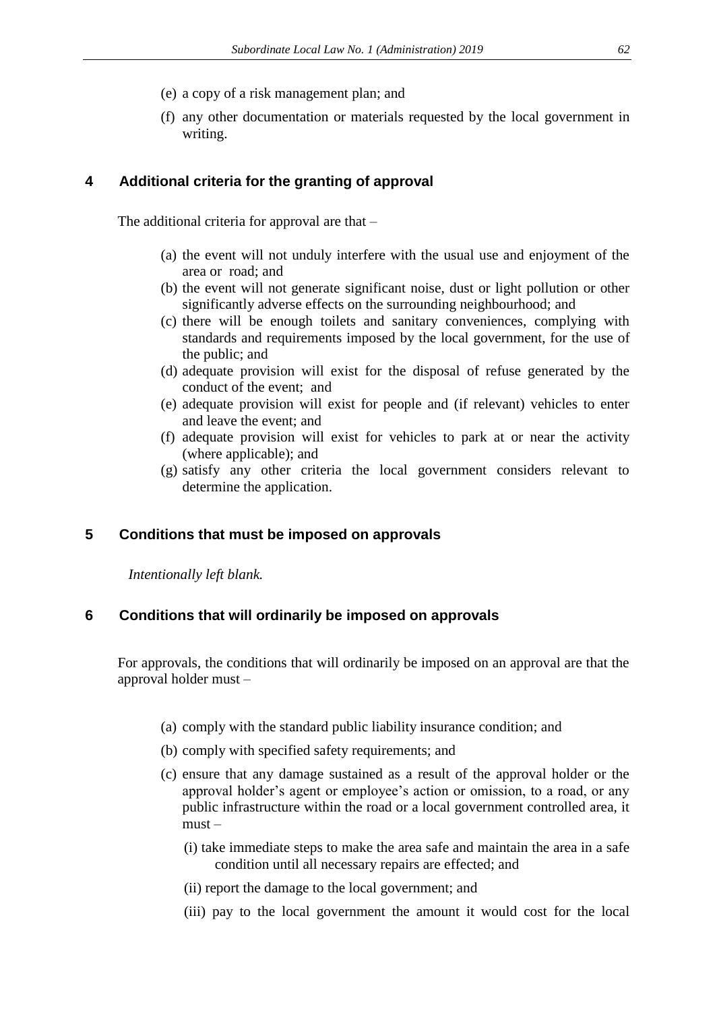- (e) a copy of a risk management plan; and
- (f) any other documentation or materials requested by the local government in writing.

## **4 Additional criteria for the granting of approval**

The additional criteria for approval are that –

- (a) the event will not unduly interfere with the usual use and enjoyment of the area or road; and
- (b) the event will not generate significant noise, dust or light pollution or other significantly adverse effects on the surrounding neighbourhood; and
- (c) there will be enough toilets and sanitary conveniences, complying with standards and requirements imposed by the local government, for the use of the public; and
- (d) adequate provision will exist for the disposal of refuse generated by the conduct of the event; and
- (e) adequate provision will exist for people and (if relevant) vehicles to enter and leave the event; and
- (f) adequate provision will exist for vehicles to park at or near the activity (where applicable); and
- (g) satisfy any other criteria the local government considers relevant to determine the application.

### **5 Conditions that must be imposed on approvals**

*Intentionally left blank.* 

### **6 Conditions that will ordinarily be imposed on approvals**

For approvals, the conditions that will ordinarily be imposed on an approval are that the approval holder must –

- (a) comply with the standard public liability insurance condition; and
- (b) comply with specified safety requirements; and
- (c) ensure that any damage sustained as a result of the approval holder or the approval holder's agent or employee's action or omission, to a road, or any public infrastructure within the road or a local government controlled area, it must –
	- (i) take immediate steps to make the area safe and maintain the area in a safe condition until all necessary repairs are effected; and
	- (ii) report the damage to the local government; and
	- (iii) pay to the local government the amount it would cost for the local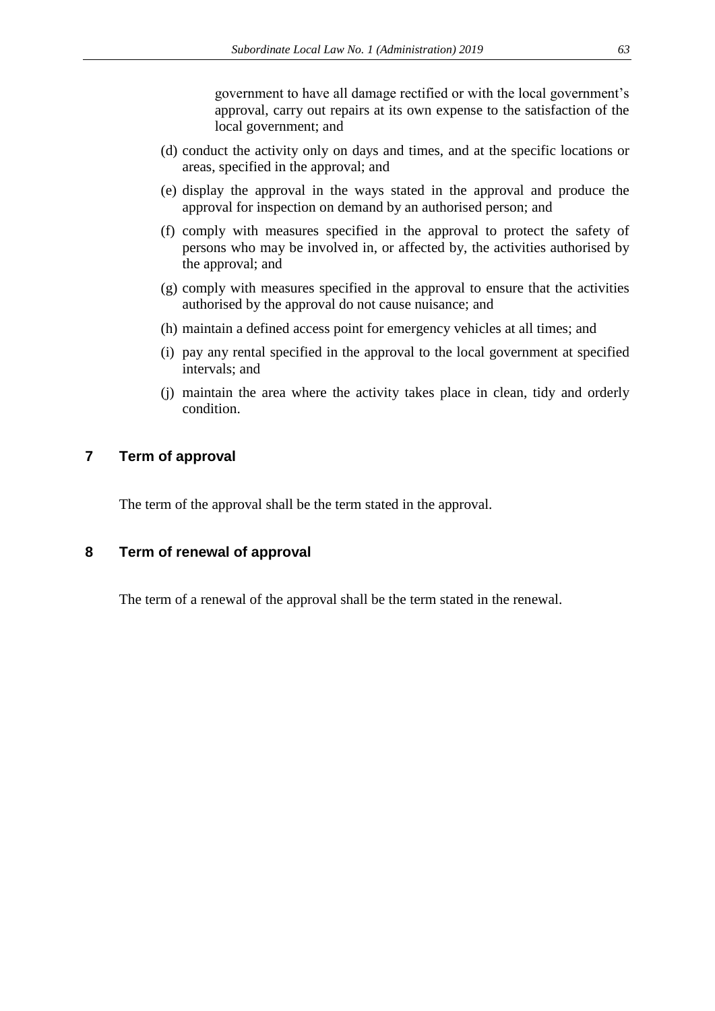government to have all damage rectified or with the local government's approval, carry out repairs at its own expense to the satisfaction of the local government; and

- (d) conduct the activity only on days and times, and at the specific locations or areas, specified in the approval; and
- (e) display the approval in the ways stated in the approval and produce the approval for inspection on demand by an authorised person; and
- (f) comply with measures specified in the approval to protect the safety of persons who may be involved in, or affected by, the activities authorised by the approval; and
- (g) comply with measures specified in the approval to ensure that the activities authorised by the approval do not cause nuisance; and
- (h) maintain a defined access point for emergency vehicles at all times; and
- (i) pay any rental specified in the approval to the local government at specified intervals; and
- (j) maintain the area where the activity takes place in clean, tidy and orderly condition.

# **7 Term of approval**

The term of the approval shall be the term stated in the approval.

## **8 Term of renewal of approval**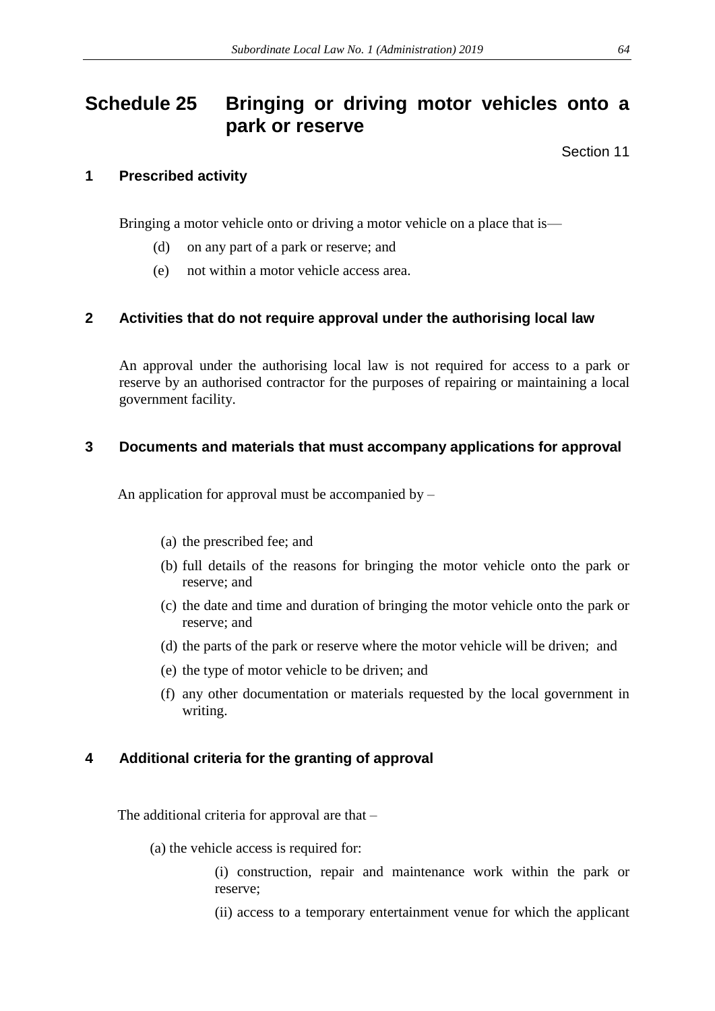# **Schedule 25 Bringing or driving motor vehicles onto a park or reserve**

Section 11

## **1 Prescribed activity**

Bringing a motor vehicle onto or driving a motor vehicle on a place that is—

- (d) on any part of a park or reserve; and
- (e) not within a motor vehicle access area.

# **2 Activities that do not require approval under the authorising local law**

An approval under the authorising local law is not required for access to a park or reserve by an authorised contractor for the purposes of repairing or maintaining a local government facility.

## **3 Documents and materials that must accompany applications for approval**

An application for approval must be accompanied by –

- (a) the prescribed fee; and
- (b) full details of the reasons for bringing the motor vehicle onto the park or reserve; and
- (c) the date and time and duration of bringing the motor vehicle onto the park or reserve; and
- (d) the parts of the park or reserve where the motor vehicle will be driven; and
- (e) the type of motor vehicle to be driven; and
- (f) any other documentation or materials requested by the local government in writing.

# **4 Additional criteria for the granting of approval**

The additional criteria for approval are that –

(a) the vehicle access is required for:

(i) construction, repair and maintenance work within the park or reserve;

(ii) access to a temporary entertainment venue for which the applicant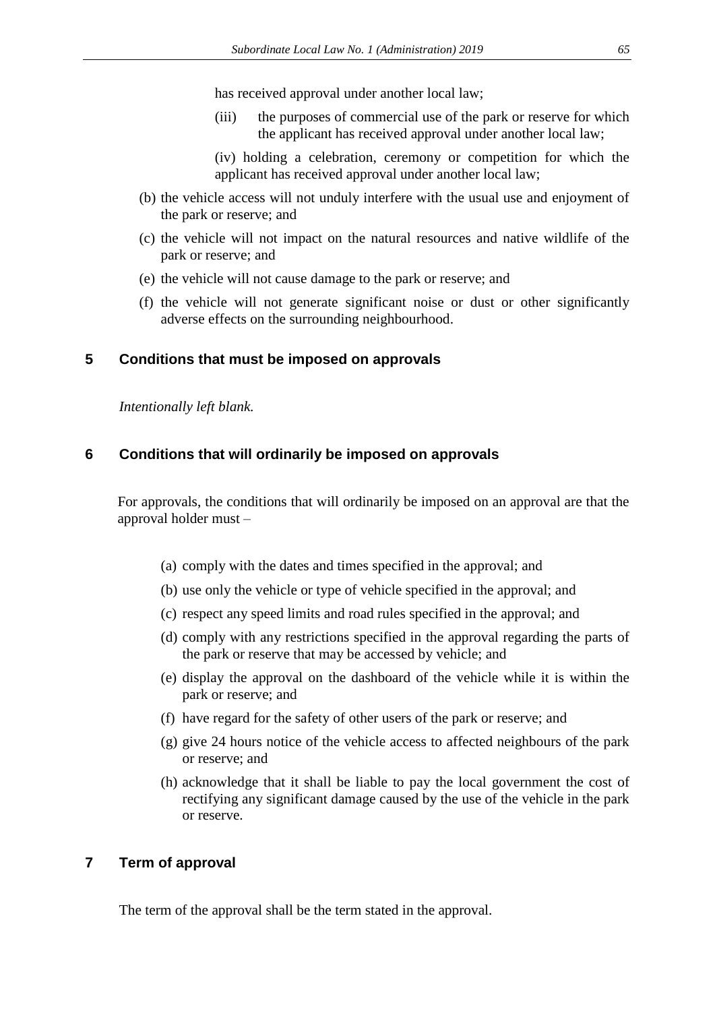has received approval under another local law;

- (iii) the purposes of commercial use of the park or reserve for which the applicant has received approval under another local law;
- (iv) holding a celebration, ceremony or competition for which the applicant has received approval under another local law;
- (b) the vehicle access will not unduly interfere with the usual use and enjoyment of the park or reserve; and
- (c) the vehicle will not impact on the natural resources and native wildlife of the park or reserve; and
- (e) the vehicle will not cause damage to the park or reserve; and
- (f) the vehicle will not generate significant noise or dust or other significantly adverse effects on the surrounding neighbourhood.

### **5 Conditions that must be imposed on approvals**

*Intentionally left blank.* 

### **6 Conditions that will ordinarily be imposed on approvals**

For approvals, the conditions that will ordinarily be imposed on an approval are that the approval holder must –

- (a) comply with the dates and times specified in the approval; and
- (b) use only the vehicle or type of vehicle specified in the approval; and
- (c) respect any speed limits and road rules specified in the approval; and
- (d) comply with any restrictions specified in the approval regarding the parts of the park or reserve that may be accessed by vehicle; and
- (e) display the approval on the dashboard of the vehicle while it is within the park or reserve; and
- (f) have regard for the safety of other users of the park or reserve; and
- (g) give 24 hours notice of the vehicle access to affected neighbours of the park or reserve; and
- (h) acknowledge that it shall be liable to pay the local government the cost of rectifying any significant damage caused by the use of the vehicle in the park or reserve.

## **7 Term of approval**

The term of the approval shall be the term stated in the approval.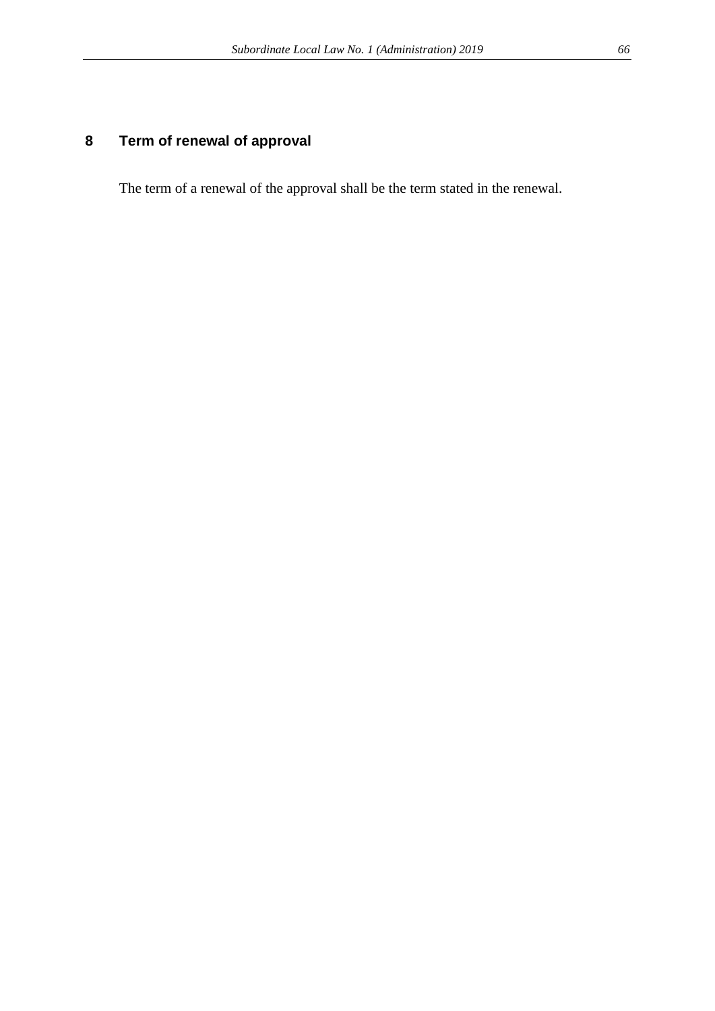# **8 Term of renewal of approval**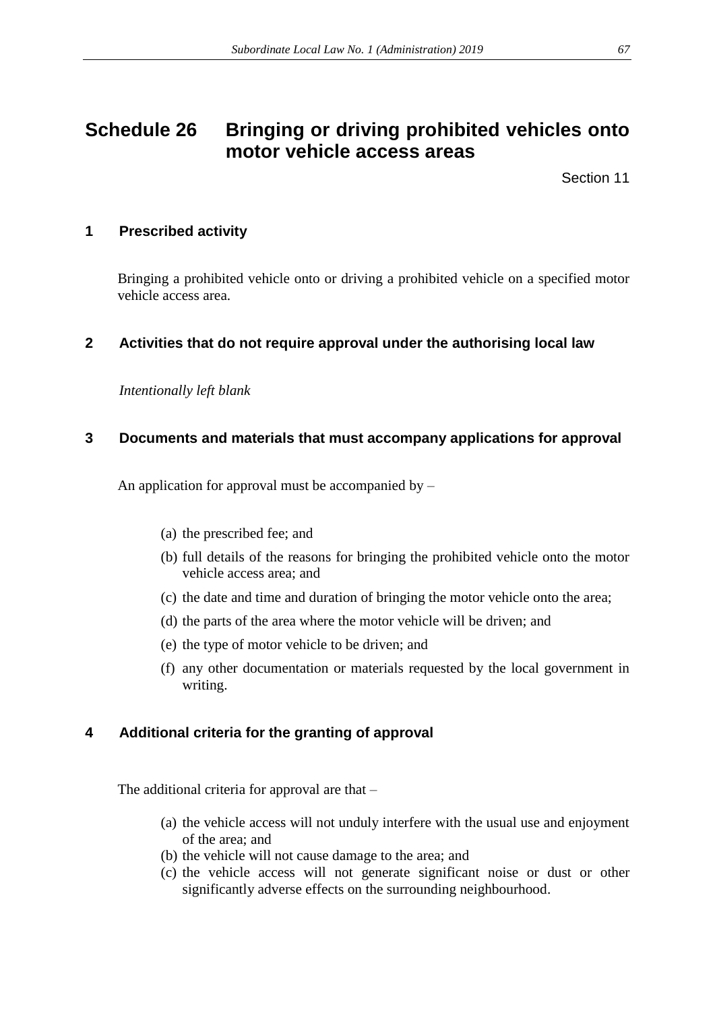# **Schedule 26 Bringing or driving prohibited vehicles onto motor vehicle access areas**

Section 11

# **1 Prescribed activity**

Bringing a prohibited vehicle onto or driving a prohibited vehicle on a specified motor vehicle access area.

# **2 Activities that do not require approval under the authorising local law**

*Intentionally left blank*

# **3 Documents and materials that must accompany applications for approval**

An application for approval must be accompanied by –

- (a) the prescribed fee; and
- (b) full details of the reasons for bringing the prohibited vehicle onto the motor vehicle access area; and
- (c) the date and time and duration of bringing the motor vehicle onto the area;
- (d) the parts of the area where the motor vehicle will be driven; and
- (e) the type of motor vehicle to be driven; and
- (f) any other documentation or materials requested by the local government in writing.

# **4 Additional criteria for the granting of approval**

The additional criteria for approval are that –

- (a) the vehicle access will not unduly interfere with the usual use and enjoyment of the area; and
- (b) the vehicle will not cause damage to the area; and
- (c) the vehicle access will not generate significant noise or dust or other significantly adverse effects on the surrounding neighbourhood.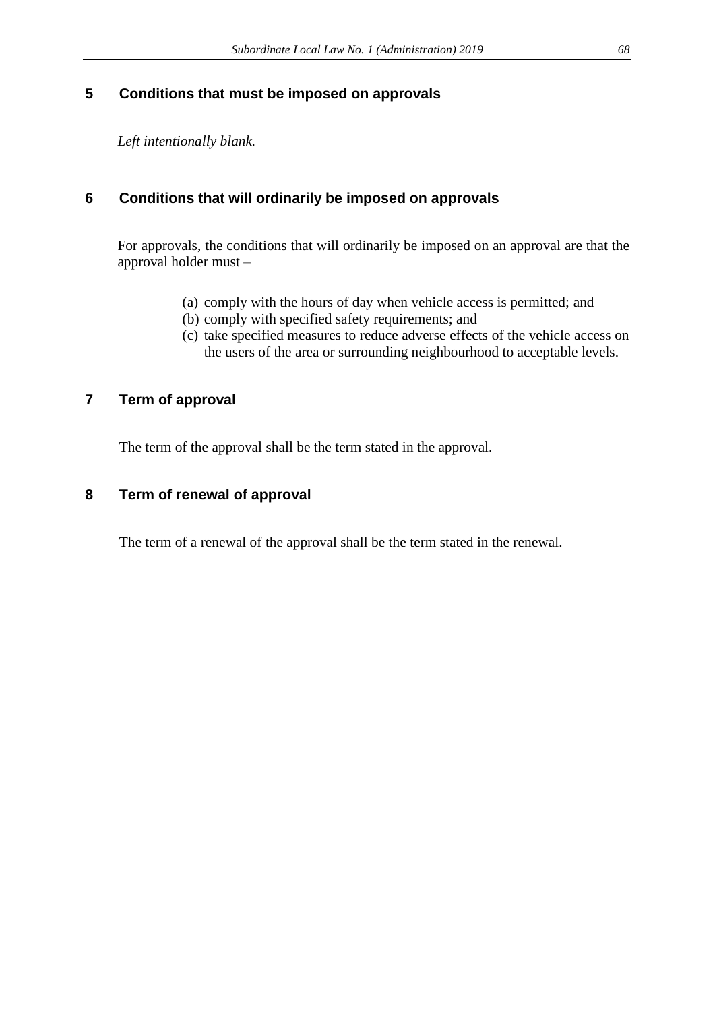# **5 Conditions that must be imposed on approvals**

*Left intentionally blank.* 

# **6 Conditions that will ordinarily be imposed on approvals**

For approvals, the conditions that will ordinarily be imposed on an approval are that the approval holder must –

- (a) comply with the hours of day when vehicle access is permitted; and
- (b) comply with specified safety requirements; and
- (c) take specified measures to reduce adverse effects of the vehicle access on the users of the area or surrounding neighbourhood to acceptable levels.

# **7 Term of approval**

The term of the approval shall be the term stated in the approval.

# **8 Term of renewal of approval**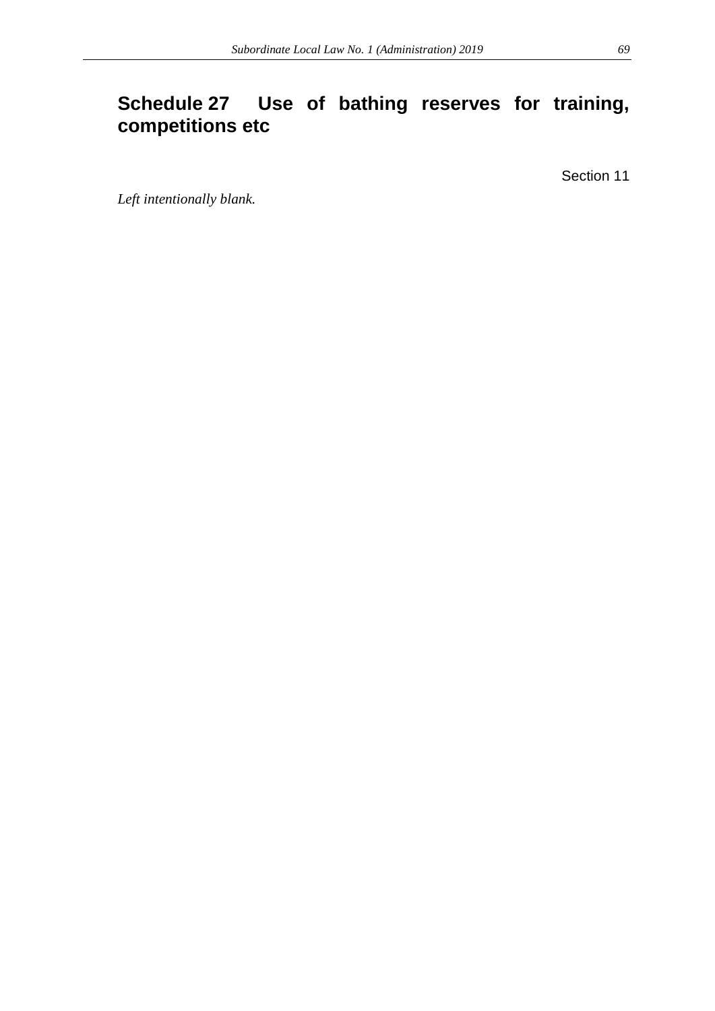# **Schedule 27 Use of bathing reserves for training, competitions etc**

Section 11

*Left intentionally blank.*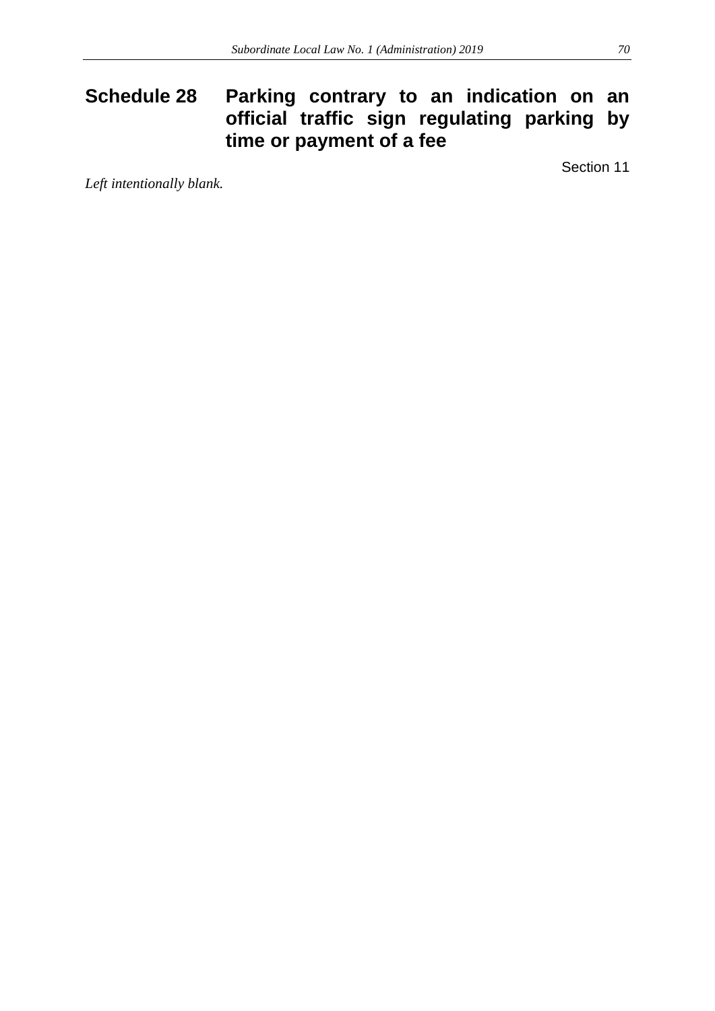# **Schedule 28 Parking contrary to an indication on an official traffic sign regulating parking by time or payment of a fee**

Section 11

*Left intentionally blank.*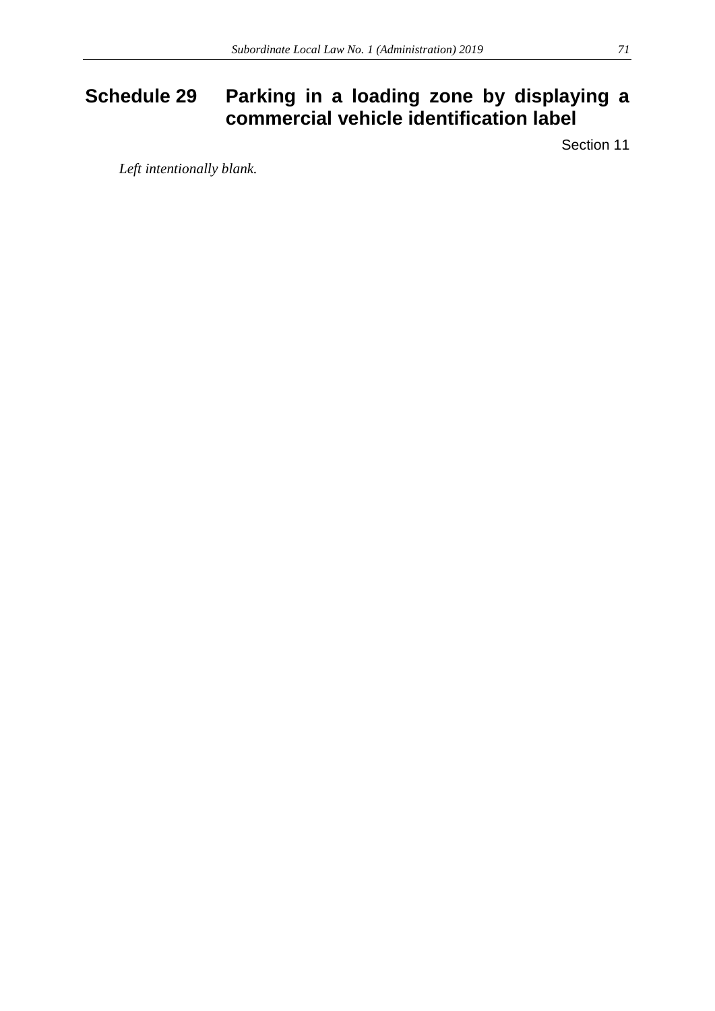# **Schedule 29 Parking in a loading zone by displaying a commercial vehicle identification label**

Section 11

*Left intentionally blank.*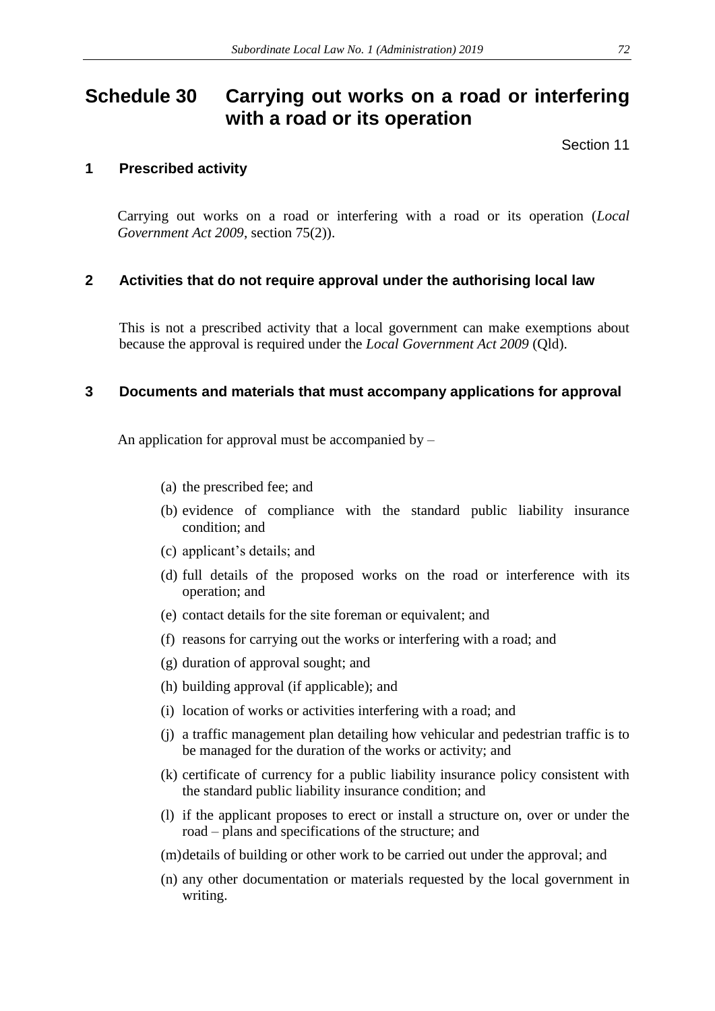# **Schedule 30 Carrying out works on a road or interfering with a road or its operation**

Section 11

# **1 Prescribed activity**

Carrying out works on a road or interfering with a road or its operation (*Local Government Act 2009*, section 75(2)).

# **2 Activities that do not require approval under the authorising local law**

This is not a prescribed activity that a local government can make exemptions about because the approval is required under the *Local Government Act 2009* (Qld).

# **3 Documents and materials that must accompany applications for approval**

An application for approval must be accompanied by  $-$ 

- (a) the prescribed fee; and
- (b) evidence of compliance with the standard public liability insurance condition; and
- (c) applicant's details; and
- (d) full details of the proposed works on the road or interference with its operation; and
- (e) contact details for the site foreman or equivalent; and
- (f) reasons for carrying out the works or interfering with a road; and
- (g) duration of approval sought; and
- (h) building approval (if applicable); and
- (i) location of works or activities interfering with a road; and
- (j) a traffic management plan detailing how vehicular and pedestrian traffic is to be managed for the duration of the works or activity; and
- (k) certificate of currency for a public liability insurance policy consistent with the standard public liability insurance condition; and
- (l) if the applicant proposes to erect or install a structure on, over or under the road – plans and specifications of the structure; and
- (m)details of building or other work to be carried out under the approval; and
- (n) any other documentation or materials requested by the local government in writing.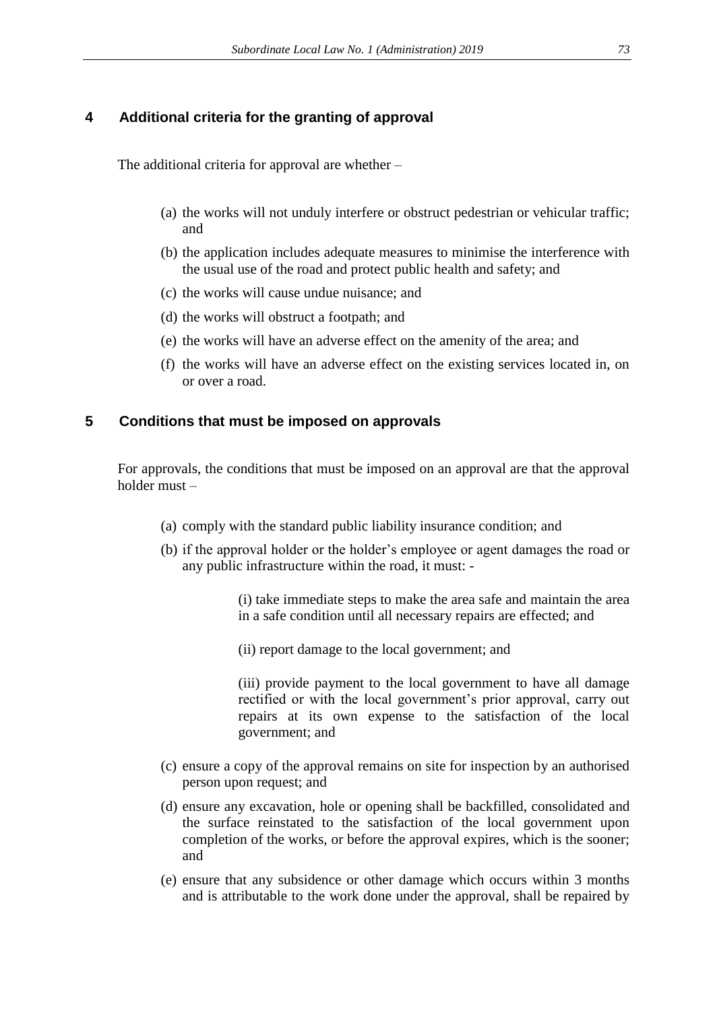#### **4 Additional criteria for the granting of approval**

The additional criteria for approval are whether –

- (a) the works will not unduly interfere or obstruct pedestrian or vehicular traffic; and
- (b) the application includes adequate measures to minimise the interference with the usual use of the road and protect public health and safety; and
- (c) the works will cause undue nuisance; and
- (d) the works will obstruct a footpath; and
- (e) the works will have an adverse effect on the amenity of the area; and
- (f) the works will have an adverse effect on the existing services located in, on or over a road.

#### **5 Conditions that must be imposed on approvals**

For approvals, the conditions that must be imposed on an approval are that the approval holder must –

- (a) comply with the standard public liability insurance condition; and
- (b) if the approval holder or the holder's employee or agent damages the road or any public infrastructure within the road, it must: -

(i) take immediate steps to make the area safe and maintain the area in a safe condition until all necessary repairs are effected; and

(ii) report damage to the local government; and

(iii) provide payment to the local government to have all damage rectified or with the local government's prior approval, carry out repairs at its own expense to the satisfaction of the local government; and

- (c) ensure a copy of the approval remains on site for inspection by an authorised person upon request; and
- (d) ensure any excavation, hole or opening shall be backfilled, consolidated and the surface reinstated to the satisfaction of the local government upon completion of the works, or before the approval expires, which is the sooner; and
- (e) ensure that any subsidence or other damage which occurs within 3 months and is attributable to the work done under the approval, shall be repaired by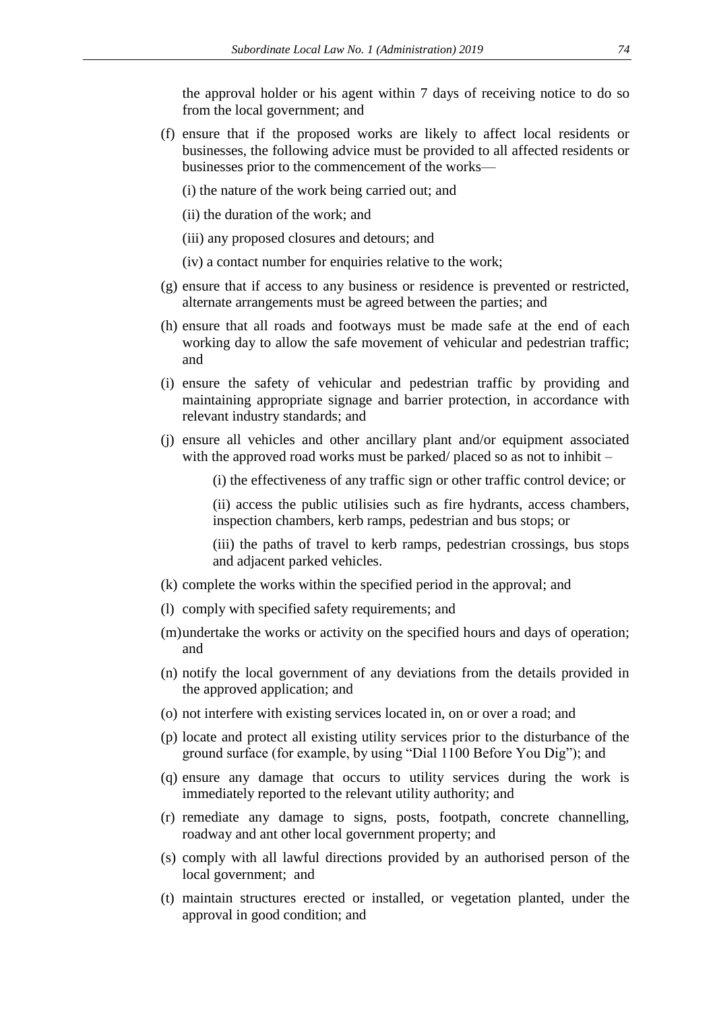the approval holder or his agent within 7 days of receiving notice to do so from the local government; and

- (f) ensure that if the proposed works are likely to affect local residents or businesses, the following advice must be provided to all affected residents or businesses prior to the commencement of the works—
	- (i) the nature of the work being carried out; and
	- (ii) the duration of the work; and
	- (iii) any proposed closures and detours; and
	- (iv) a contact number for enquiries relative to the work;
- (g) ensure that if access to any business or residence is prevented or restricted, alternate arrangements must be agreed between the parties; and
- (h) ensure that all roads and footways must be made safe at the end of each working day to allow the safe movement of vehicular and pedestrian traffic; and
- (i) ensure the safety of vehicular and pedestrian traffic by providing and maintaining appropriate signage and barrier protection, in accordance with relevant industry standards; and
- (j) ensure all vehicles and other ancillary plant and/or equipment associated with the approved road works must be parked/ placed so as not to inhibit –
	- (i) the effectiveness of any traffic sign or other traffic control device; or
	- (ii) access the public utilisies such as fire hydrants, access chambers, inspection chambers, kerb ramps, pedestrian and bus stops; or
	- (iii) the paths of travel to kerb ramps, pedestrian crossings, bus stops and adjacent parked vehicles.
- (k) complete the works within the specified period in the approval; and
- (l) comply with specified safety requirements; and
- (m)undertake the works or activity on the specified hours and days of operation; and
- (n) notify the local government of any deviations from the details provided in the approved application; and
- (o) not interfere with existing services located in, on or over a road; and
- (p) locate and protect all existing utility services prior to the disturbance of the ground surface (for example, by using "Dial 1100 Before You Dig"); and
- (q) ensure any damage that occurs to utility services during the work is immediately reported to the relevant utility authority; and
- (r) remediate any damage to signs, posts, footpath, concrete channelling, roadway and ant other local government property; and
- (s) comply with all lawful directions provided by an authorised person of the local government; and
- (t) maintain structures erected or installed, or vegetation planted, under the approval in good condition; and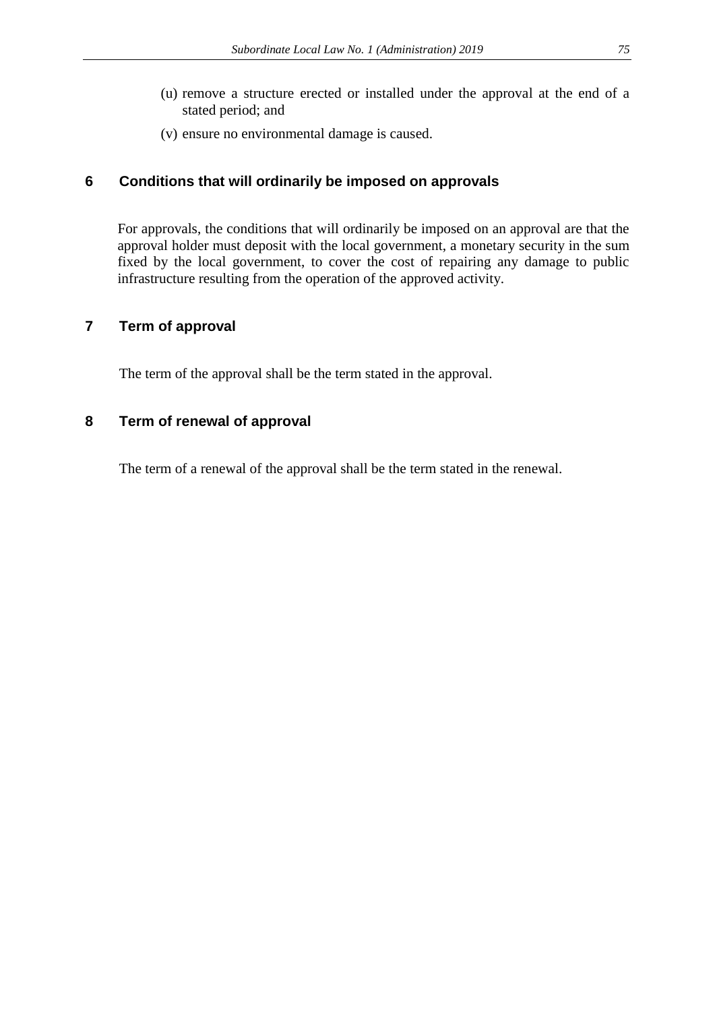- (u) remove a structure erected or installed under the approval at the end of a stated period; and
- (v) ensure no environmental damage is caused.

## **6 Conditions that will ordinarily be imposed on approvals**

For approvals, the conditions that will ordinarily be imposed on an approval are that the approval holder must deposit with the local government, a monetary security in the sum fixed by the local government, to cover the cost of repairing any damage to public infrastructure resulting from the operation of the approved activity.

## **7 Term of approval**

The term of the approval shall be the term stated in the approval.

### **8 Term of renewal of approval**

The term of a renewal of the approval shall be the term stated in the renewal.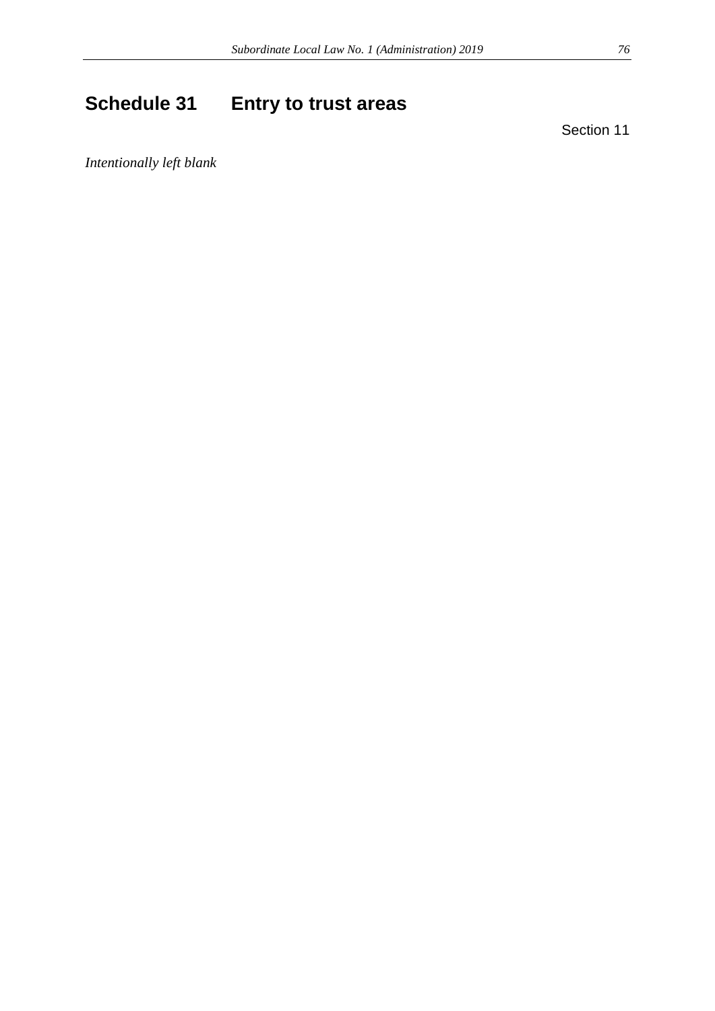# **Schedule 31 Entry to trust areas**

Section 11

*Intentionally left blank*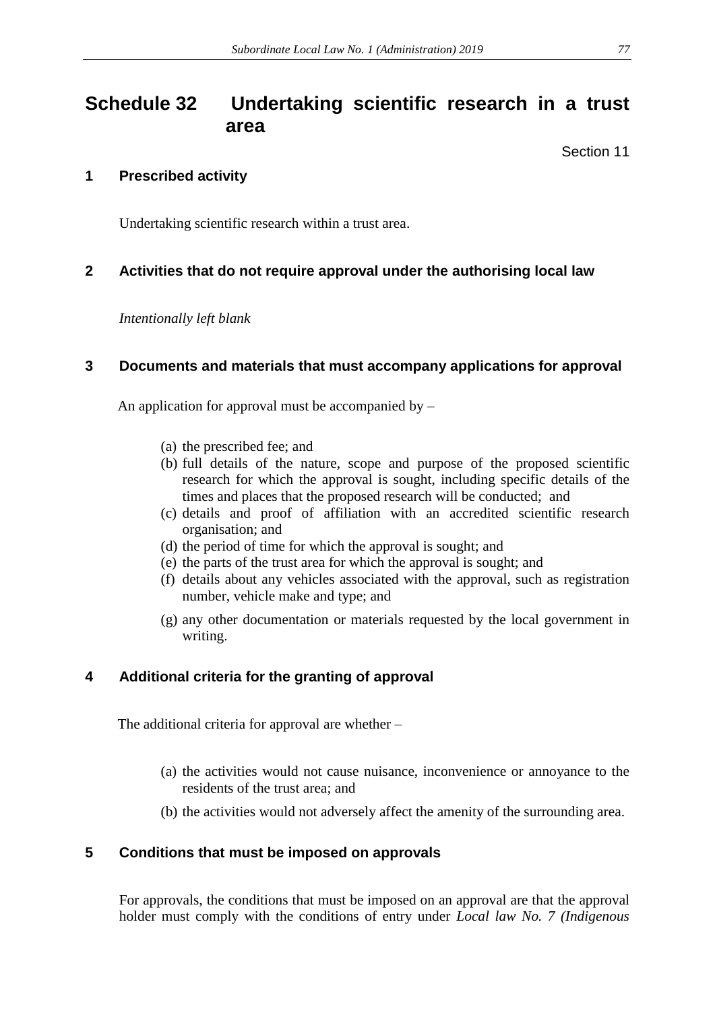# **Schedule 32 Undertaking scientific research in a trust area**

Section 11

## **1 Prescribed activity**

Undertaking scientific research within a trust area.

## **2 Activities that do not require approval under the authorising local law**

*Intentionally left blank*

### **3 Documents and materials that must accompany applications for approval**

An application for approval must be accompanied by –

- (a) the prescribed fee; and
- (b) full details of the nature, scope and purpose of the proposed scientific research for which the approval is sought, including specific details of the times and places that the proposed research will be conducted; and
- (c) details and proof of affiliation with an accredited scientific research organisation; and
- (d) the period of time for which the approval is sought; and
- (e) the parts of the trust area for which the approval is sought; and
- (f) details about any vehicles associated with the approval, such as registration number, vehicle make and type; and
- (g) any other documentation or materials requested by the local government in writing.

## **4 Additional criteria for the granting of approval**

The additional criteria for approval are whether –

- (a) the activities would not cause nuisance, inconvenience or annoyance to the residents of the trust area; and
- (b) the activities would not adversely affect the amenity of the surrounding area.

### **5 Conditions that must be imposed on approvals**

For approvals, the conditions that must be imposed on an approval are that the approval holder must comply with the conditions of entry under *Local law No. 7 (Indigenous*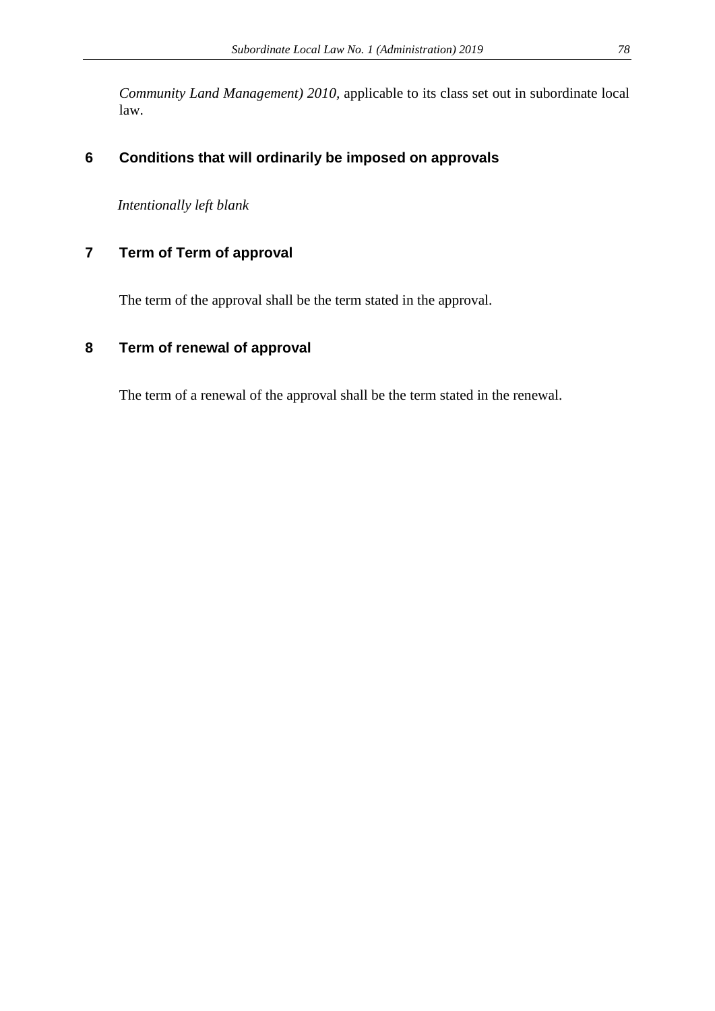*Community Land Management) 2010,* applicable to its class set out in subordinate local law.

# **6 Conditions that will ordinarily be imposed on approvals**

*Intentionally left blank*

# **7 Term of Term of approval**

The term of the approval shall be the term stated in the approval.

## **8 Term of renewal of approval**

The term of a renewal of the approval shall be the term stated in the renewal.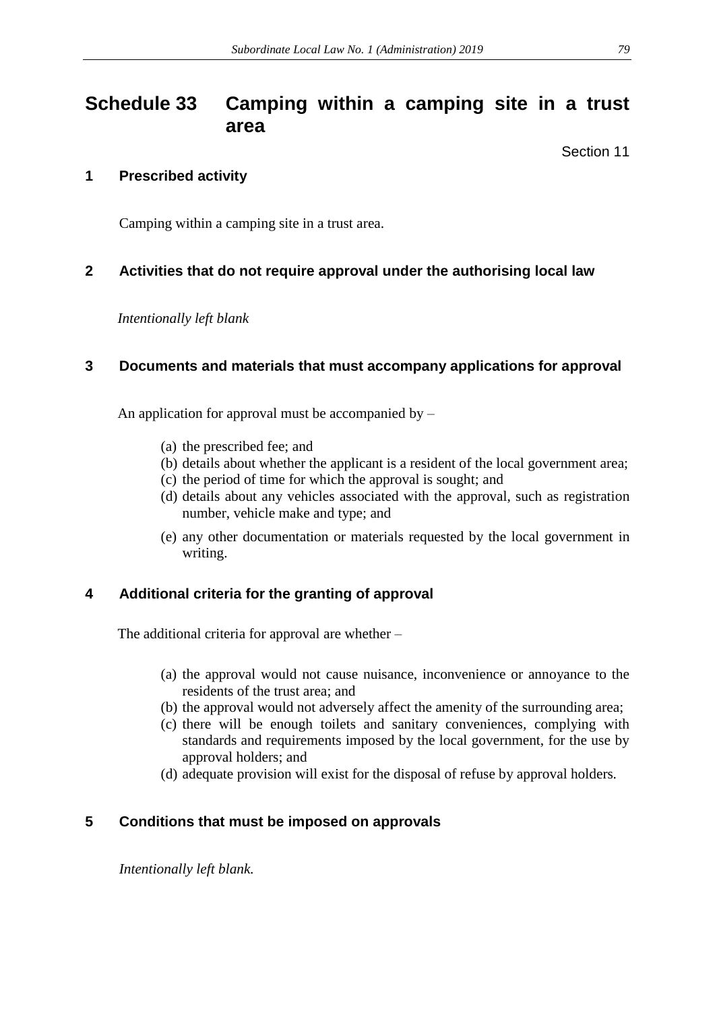# **Schedule 33 Camping within a camping site in a trust area**

Section 11

## **1 Prescribed activity**

Camping within a camping site in a trust area.

## **2 Activities that do not require approval under the authorising local law**

*Intentionally left blank*

## **3 Documents and materials that must accompany applications for approval**

An application for approval must be accompanied by  $-$ 

- (a) the prescribed fee; and
- (b) details about whether the applicant is a resident of the local government area;
- (c) the period of time for which the approval is sought; and
- (d) details about any vehicles associated with the approval, such as registration number, vehicle make and type; and
- (e) any other documentation or materials requested by the local government in writing.

## **4 Additional criteria for the granting of approval**

The additional criteria for approval are whether –

- (a) the approval would not cause nuisance, inconvenience or annoyance to the residents of the trust area; and
- (b) the approval would not adversely affect the amenity of the surrounding area;
- (c) there will be enough toilets and sanitary conveniences, complying with standards and requirements imposed by the local government, for the use by approval holders; and
- (d) adequate provision will exist for the disposal of refuse by approval holders*.*

## **5 Conditions that must be imposed on approvals**

*Intentionally left blank.*